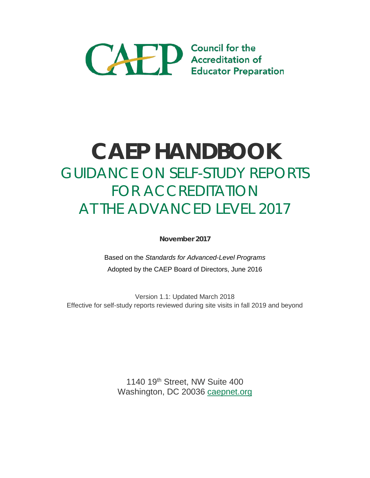

# **CAEP HANDBOOK** GUIDANCE ON SELF-STUDY REPORTS FOR ACCREDITATION AT THE ADVANCED LEVEL 2017

**November 2017**

Based on the *Standards for Advanced-Level Programs* Adopted by the CAEP Board of Directors, June 2016

Version 1.1: Updated March 2018 Effective for self-study reports reviewed during site visits in fall 2019 and beyond

> 1140 19<sup>th</sup> Street, NW Suite 400 Washington, DC 20036 [caepnet.org](http://www.caepnet.org/)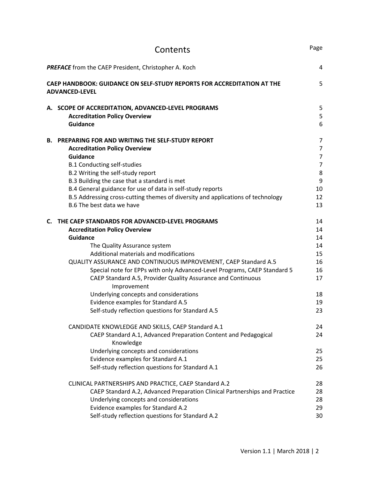|    | Contents                                                                                                                                    | Page           |
|----|---------------------------------------------------------------------------------------------------------------------------------------------|----------------|
|    | <b>PREFACE</b> from the CAEP President, Christopher A. Koch                                                                                 | 4              |
|    | <b>CAEP HANDBOOK: GUIDANCE ON SELF-STUDY REPORTS FOR ACCREDITATION AT THE</b><br><b>ADVANCED-LEVEL</b>                                      | 5              |
|    | A. SCOPE OF ACCREDITATION, ADVANCED-LEVEL PROGRAMS                                                                                          | 5              |
|    | <b>Accreditation Policy Overview</b><br><b>Guidance</b>                                                                                     | 5<br>6         |
|    | <b>B. PREPARING FOR AND WRITING THE SELF-STUDY REPORT</b>                                                                                   | 7              |
|    | <b>Accreditation Policy Overview</b>                                                                                                        | $\overline{7}$ |
|    | <b>Guidance</b>                                                                                                                             | $\overline{7}$ |
|    | <b>B.1 Conducting self-studies</b><br>B.2 Writing the self-study report                                                                     | $\overline{7}$ |
|    | B.3 Building the case that a standard is met                                                                                                | $\bf 8$<br>9   |
|    | B.4 General guidance for use of data in self-study reports                                                                                  | 10             |
|    | B.5 Addressing cross-cutting themes of diversity and applications of technology                                                             | 12             |
|    | B.6 The best data we have                                                                                                                   | 13             |
| C. | THE CAEP STANDARDS FOR ADVANCED-LEVEL PROGRAMS                                                                                              | 14             |
|    | <b>Accreditation Policy Overview</b>                                                                                                        | 14             |
|    | <b>Guidance</b>                                                                                                                             | 14             |
|    | The Quality Assurance system                                                                                                                | 14             |
|    | Additional materials and modifications                                                                                                      | 15<br>16       |
|    | QUALITY ASSURANCE AND CONTINUOUS IMPROVEMENT, CAEP Standard A.5<br>Special note for EPPs with only Advanced-Level Programs, CAEP Standard 5 | 16             |
|    | CAEP Standard A.5, Provider Quality Assurance and Continuous<br>Improvement                                                                 | 17             |
|    | Underlying concepts and considerations                                                                                                      | 18             |
|    | Evidence examples for Standard A.5                                                                                                          | 19             |
|    | Self-study reflection questions for Standard A.5                                                                                            | 23             |
|    | CANDIDATE KNOWLEDGE AND SKILLS, CAEP Standard A.1                                                                                           | 24             |
|    | CAEP Standard A.1, Advanced Preparation Content and Pedagogical<br>Knowledge                                                                | 24             |
|    | Underlying concepts and considerations                                                                                                      | 25             |
|    | Evidence examples for Standard A.1                                                                                                          | 25             |
|    | Self-study reflection questions for Standard A.1                                                                                            | 26             |
|    | CLINICAL PARTNERSHIPS AND PRACTICE, CAEP Standard A.2                                                                                       | 28             |
|    | CAEP Standard A.2, Advanced Preparation Clinical Partnerships and Practice                                                                  | 28             |
|    | Underlying concepts and considerations                                                                                                      | 28             |
|    | Evidence examples for Standard A.2                                                                                                          | 29             |
|    | Self-study reflection questions for Standard A.2                                                                                            | 30             |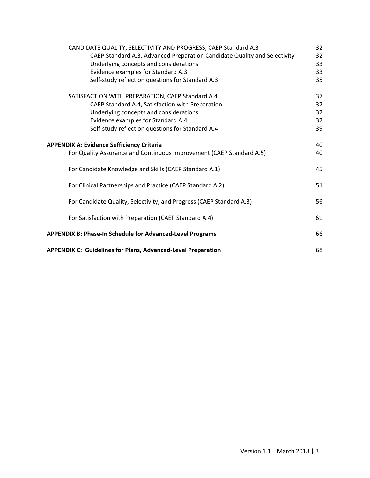| CANDIDATE QUALITY, SELECTIVITY AND PROGRESS, CAEP Standard A.3            | 32 |
|---------------------------------------------------------------------------|----|
| CAEP Standard A.3, Advanced Preparation Candidate Quality and Selectivity | 32 |
| Underlying concepts and considerations                                    | 33 |
| Evidence examples for Standard A.3                                        | 33 |
| Self-study reflection questions for Standard A.3                          | 35 |
| SATISFACTION WITH PREPARATION, CAEP Standard A.4                          | 37 |
| CAEP Standard A.4, Satisfaction with Preparation                          | 37 |
| Underlying concepts and considerations                                    | 37 |
| Evidence examples for Standard A.4                                        | 37 |
| Self-study reflection questions for Standard A.4                          | 39 |
| <b>APPENDIX A: Evidence Sufficiency Criteria</b>                          | 40 |
| For Quality Assurance and Continuous Improvement (CAEP Standard A.5)      | 40 |
| For Candidate Knowledge and Skills (CAEP Standard A.1)                    | 45 |
| For Clinical Partnerships and Practice (CAEP Standard A.2)                | 51 |
| For Candidate Quality, Selectivity, and Progress (CAEP Standard A.3)      | 56 |
| For Satisfaction with Preparation (CAEP Standard A.4)                     | 61 |
| <b>APPENDIX B: Phase-In Schedule for Advanced-Level Programs</b>          |    |
| <b>APPENDIX C: Guidelines for Plans, Advanced-Level Preparation</b>       | 68 |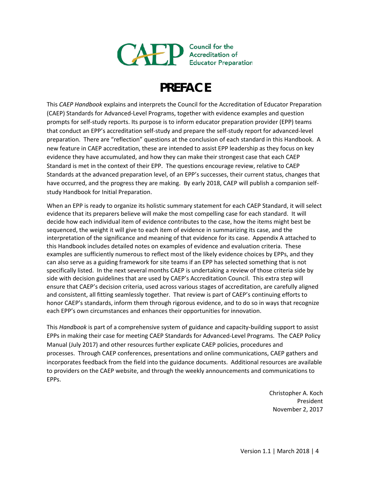

# **PREFACE**

This *CAEP Handbook* explains and interprets the Council for the Accreditation of Educator Preparation (CAEP) Standards for Advanced-Level Programs, together with evidence examples and question prompts for self-study reports. Its purpose is to inform educator preparation provider (EPP) teams that conduct an EPP's accreditation self-study and prepare the self-study report for advanced-level preparation. There are "reflection" questions at the conclusion of each standard in this Handbook. A new feature in CAEP accreditation, these are intended to assist EPP leadership as they focus on key evidence they have accumulated, and how they can make their strongest case that each CAEP Standard is met in the context of their EPP. The questions encourage review, relative to CAEP Standards at the advanced preparation level, of an EPP's successes, their current status, changes that have occurred, and the progress they are making. By early 2018, CAEP will publish a companion selfstudy Handbook for Initial Preparation.

When an EPP is ready to organize its holistic summary statement for each CAEP Standard, it will select evidence that its preparers believe will make the most compelling case for each standard. It will decide how each individual item of evidence contributes to the case, how the items might best be sequenced, the weight it will give to each item of evidence in summarizing its case, and the interpretation of the significance and meaning of that evidence for its case. Appendix A attached to this Handbook includes detailed notes on examples of evidence and evaluation criteria. These examples are sufficiently numerous to reflect most of the likely evidence choices by EPPs, and they can also serve as a guiding framework for site teams if an EPP has selected something that is not specifically listed. In the next several months CAEP is undertaking a review of those criteria side by side with decision guidelines that are used by CAEP's Accreditation Council. This extra step will ensure that CAEP's decision criteria, used across various stages of accreditation, are carefully aligned and consistent, all fitting seamlessly together. That review is part of CAEP's continuing efforts to honor CAEP's standards, inform them through rigorous evidence, and to do so in ways that recognize each EPP's own circumstances and enhances their opportunities for innovation.

This *Handbook* is part of a comprehensive system of guidance and capacity-building support to assist EPPs in making their case for meeting CAEP Standards for Advanced-Level Programs. The CAEP Policy Manual (July 2017) and other resources further explicate CAEP policies, procedures and processes. Through CAEP conferences, presentations and online communications, CAEP gathers and incorporates feedback from the field into the guidance documents. Additional resources are available to providers on the CAEP website, and through the weekly announcements and communications to EPPs.

> Christopher A. Koch President November 2, 2017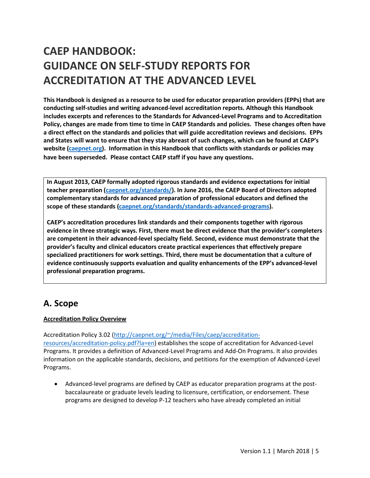# **CAEP HANDBOOK: GUIDANCE ON SELF-STUDY REPORTS FOR ACCREDITATION AT THE ADVANCED LEVEL**

**This Handbook is designed as a resource to be used for educator preparation providers (EPPs) that are conducting self-studies and writing advanced-level accreditation reports. Although this Handbook includes excerpts and references to the Standards for Advanced-Level Programs and to Accreditation Policy, changes are made from time to time in CAEP Standards and policies. These changes often have a direct effect on the standards and policies that will guide accreditation reviews and decisions. EPPs and States will want to ensure that they stay abreast of such changes, which can be found at CAEP's website [\(caepnet.org\)](http://www.caepnet.org/). Information in this Handbook that conflicts with standards or policies may have been superseded. Please contact CAEP staff if you have any questions.**

**In August 2013, CAEP formally adopted rigorous standards and evidence expectations for initial teacher preparation [\(caepnet.org/standards/\)](http://caepnet.org/standards/). In June 2016, the CAEP Board of Directors adopted complementary standards for advanced preparation of professional educators and defined the scope of these standards [\(caepnet.org/standards/standards-advanced-programs\)](http://caepnet.org/standards/standards-advanced-programs).**

**CAEP's accreditation procedures link standards and their components together with rigorous evidence in three strategic ways. First, there must be direct evidence that the provider's completers are competent in their advanced-level specialty field. Second, evidence must demonstrate that the provider's faculty and clinical educators create practical experiences that effectively prepare specialized practitioners for work settings. Third, there must be documentation that a culture of evidence continuously supports evaluation and quality enhancements of the EPP's advanced-level professional preparation programs.**

## **A. Scope**

## **Accreditation Policy Overview**

Accreditation Policy 3.02 [\(http://caepnet.org/~/media/Files/caep/accreditation-](http://caepnet.org/%7E/media/Files/caep/accreditation-resources/accreditation-policy.pdf?la=en)

[resources/accreditation-policy.pdf?la=en\)](http://caepnet.org/%7E/media/Files/caep/accreditation-resources/accreditation-policy.pdf?la=en) establishes the scope of accreditation for Advanced-Level Programs. It provides a definition of Advanced-Level Programs and Add-On Programs. It also provides information on the applicable standards, decisions, and petitions for the exemption of Advanced-Level Programs.

• Advanced-level programs are defined by CAEP as educator preparation programs at the postbaccalaureate or graduate levels leading to licensure, certification, or endorsement. These programs are designed to develop P-12 teachers who have already completed an initial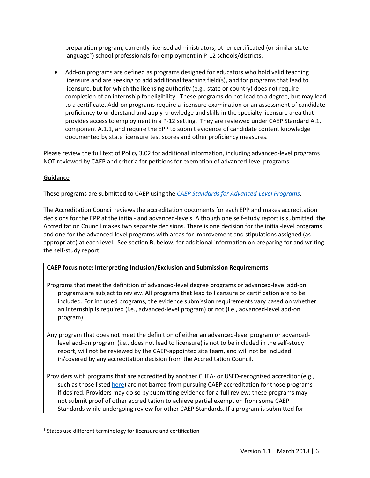preparation program, currently licensed administrators, other certificated (or similar state language<sup>[1](#page-5-0)</sup>) school professionals for employment in P-12 schools/districts.

• Add-on programs are defined as programs designed for educators who hold valid teaching licensure and are seeking to add additional teaching field(s), and for programs that lead to licensure, but for which the licensing authority (e.g., state or country) does not require completion of an internship for eligibility. These programs do not lead to a degree, but may lead to a certificate. Add-on programs require a licensure examination or an assessment of candidate proficiency to understand and apply knowledge and skills in the specialty licensure area that provides access to employment in a P-12 setting. They are reviewed under CAEP Standard A.1, component A.1.1, and require the EPP to submit evidence of candidate content knowledge documented by state licensure test scores and other proficiency measures.

Please review the full text of Policy 3.02 for additional information, including advanced-level programs NOT reviewed by CAEP and criteria for petitions for exemption of advanced-level programs.

## **Guidance**

These programs are submitted to CAEP using the *[CAEP Standards for Advanced-Level Programs](http://caepnet.org/standards/standards-advanced-programs)*.

The Accreditation Council reviews the accreditation documents for each EPP and makes accreditation decisions for the EPP at the initial- and advanced-levels. Although one self-study report is submitted, the Accreditation Council makes two separate decisions. There is one decision for the initial-level programs and one for the advanced-level programs with areas for improvement and stipulations assigned (as appropriate) at each level. See section B, below, for additional information on preparing for and writing the self-study report.

## **CAEP focus note: Interpreting Inclusion/Exclusion and Submission Requirements**

- Programs that meet the definition of advanced-level degree programs or advanced-level add-on programs are subject to review. All programs that lead to licensure or certification are to be included. For included programs, the evidence submission requirements vary based on whether an internship is required (i.e., advanced-level program) or not (i.e., advanced-level add-on program).
- Any program that does not meet the definition of either an advanced-level program or advancedlevel add-on program (i.e., does not lead to licensure) is not to be included in the self-study report, will not be reviewed by the CAEP-appointed site team, and will not be included in/covered by any accreditation decision from the Accreditation Council.
- Providers with programs that are accredited by another CHEA- or USED-recognized accreditor (e.g., such as those listed [here\)](http://caepnet.org/accreditation/caep-accreditation/caep-accreditation-resources/national-specialized-accreditors) are not barred from pursuing CAEP accreditation for those programs if desired. Providers may do so by submitting evidence for a full review; these programs may not submit proof of other accreditation to achieve partial exemption from some CAEP Standards while undergoing review for other CAEP Standards. If a program is submitted for

<span id="page-5-0"></span><sup>&</sup>lt;sup>1</sup> States use different terminology for licensure and certification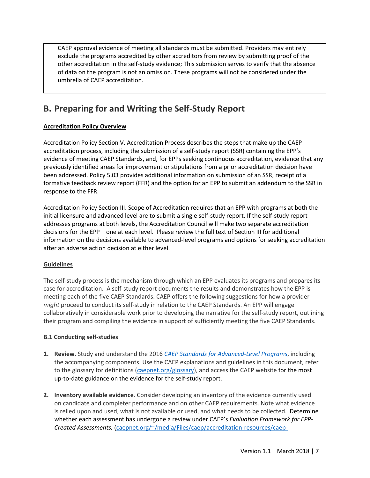CAEP approval evidence of meeting all standards must be submitted. Providers may entirely exclude the programs accredited by other accreditors from review by submitting proof of the other accreditation in the self-study evidence; This submission serves to verify that the absence of data on the program is not an omission. These programs will not be considered under the umbrella of CAEP accreditation.

## **B. Preparing for and Writing the Self-Study Report**

## **Accreditation Policy Overview**

Accreditation Policy Section V. Accreditation Process describes the steps that make up the CAEP accreditation process, including the submission of a self-study report (SSR) containing the EPP's evidence of meeting CAEP Standards, and, for EPPs seeking continuous accreditation, evidence that any previously identified areas for improvement or stipulations from a prior accreditation decision have been addressed. Policy 5.03 provides additional information on submission of an SSR, receipt of a formative feedback review report (FFR) and the option for an EPP to submit an addendum to the SSR in response to the FFR.

Accreditation Policy Section III. Scope of Accreditation requires that an EPP with programs at both the initial licensure and advanced level are to submit a single self-study report. If the self-study report addresses programs at both levels, the Accreditation Council will make two separate accreditation decisions for the EPP – one at each level. Please review the full text of Section III for additional information on the decisions available to advanced-level programs and options for seeking accreditation after an adverse action decision at either level.

## **Guidelines**

The self-study process is the mechanism through which an EPP evaluates its programs and prepares its case for accreditation. A self-study report documents the results and demonstrates how the EPP is meeting each of the five CAEP Standards. CAEP offers the following suggestions for how a provider *might* proceed to conduct its self-study in relation to the CAEP Standards. An EPP will engage collaboratively in considerable work prior to developing the narrative for the self-study report, outlining their program and compiling the evidence in support of sufficiently meeting the five CAEP Standards.

## **B.1 Conducting self-studies**

- **1. Review**. Study and understand the 2016 *[CAEP Standards for Advanced-Level Programs](http://caepnet.org/standards/standards-advanced-programs)*, including the accompanying components. Use the CAEP explanations and guidelines in this document, refer to the glossary for definitions [\(caepnet.org/glossary\)](http://caepnet.org/glossary), and access the CAEP website for the most up-to-date guidance on the evidence for the self-study report.
- **2. Inventory available evidence**. Consider developing an inventory of the evidence currently used on candidate and completer performance and on other CAEP requirements. Note what evidence is relied upon and used, what is not available or used, and what needs to be collected. Determine whether each assessment has undergone a review under CAEP's *Evaluation Framework for EPP-Created Assessments,* [\(caepnet.org/~/media/Files/caep/accreditation-resources/caep-](http://caepnet.org/%7E/media/Files/caep/accreditation-resources/caep-assessment-tool.pdf?la=en)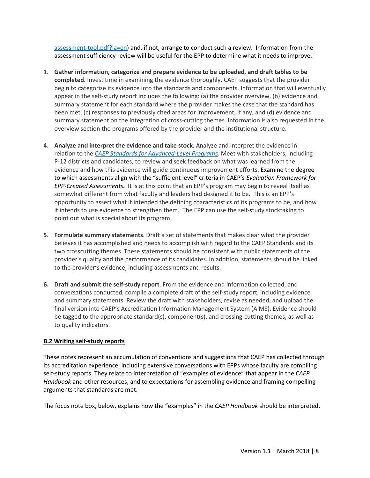[assessment-tool.pdf?la=en\)](http://caepnet.org/%7E/media/Files/caep/accreditation-resources/caep-assessment-tool.pdf?la=en) and, if not, arrange to conduct such a review. Information from the assessment sufficiency review will be useful for the EPP to determine what it needs to improve.

- 1. **Gather information, categorize and prepare evidence to be uploaded, and draft tables to be completed**. Invest time in examining the evidence thoroughly. CAEP suggests that the provider begin to categorize its evidence into the standards and components. Information that will eventually appear in the self-study report includes the following: (a) the provider overview, (b) evidence and summary statement for each standard where the provider makes the case that the standard has been met, (c) responses to previously cited areas for improvement, if any, and (d) evidence and summary statement on the integration of cross-cutting themes. Information is also requested in the overview section the programs offered by the provider and the institutional structure.
- **4. Analyze and interpret the evidence and take stock.** Analyze and interpret the evidence in relation to the *[CAEP Standards for Advanced-Level Programs.](http://caepnet.org/standards/standards-advanced-programs)* Meet with stakeholders, including P-12 districts and candidates, to review and seek feedback on what was learned from the evidence and how this evidence will guide continuous improvement efforts. Examine the degree to which assessments align with the "sufficient level" criteria in CAEP's *Evaluation Framework for EPP-Created Assessments.* It is at this point that an EPP's program may begin to reveal itself as somewhat different from what faculty and leaders had designed it to be. This is an EPP's opportunity to assert what it intended the defining characteristics of its programs to be, and how it intends to use evidence to strengthen them. The EPP can use the self-study stocktaking to point out what is special about its program.
- **5. Formulate summary statements**. Draft a set of statements that makes clear what the provider believes it has accomplished and needs to accomplish with regard to the CAEP Standards and its two crosscutting themes. These statements should be consistent with public statements of the provider's quality and the performance of its candidates. In addition, statements should be linked to the provider's evidence, including assessments and results.
- **6. Draft and submit the self-study report**. From the evidence and information collected, and conversations conducted, compile a complete draft of the self-study report, including evidence and summary statements. Review the draft with stakeholders, revise as needed, and upload the final version into CAEP's Accreditation Information Management System (AIMS). Evidence should be tagged to the appropriate standard(s), component(s), and crossing-cutting themes, as well as to quality indicators.

### **B.2 Writing self-study reports**

These notes represent an accumulation of conventions and suggestions that CAEP has collected through its accreditation experience, including extensive conversations with EPPs whose faculty are compiling self-study reports. They relate to interpretation of "examples of evidence" that appear in the *CAEP Handbook* and other resources, and to expectations for assembling evidence and framing compelling arguments that standards are met.

The focus note box, below, explains how the "examples" in the *CAEP Handbook* should be interpreted.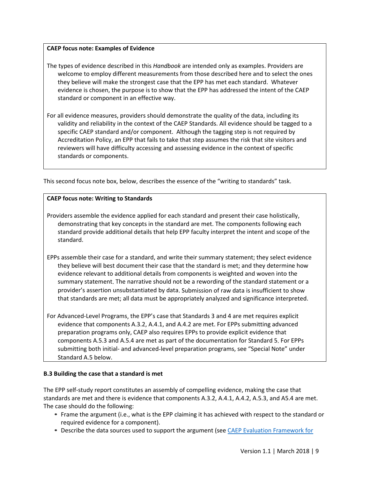## **CAEP focus note: Examples of Evidence**

- The types of evidence described in this *Handbook* are intended only as examples. Providers are welcome to employ different measurements from those described here and to select the ones they believe will make the strongest case that the EPP has met each standard. Whatever evidence is chosen, the purpose is to show that the EPP has addressed the intent of the CAEP standard or component in an effective way.
- For all evidence measures, providers should demonstrate the quality of the data, including its validity and reliability in the context of the CAEP Standards. All evidence should be tagged to a specific CAEP standard and/or component. Although the tagging step is not required by Accreditation Policy, an EPP that fails to take that step assumes the risk that site visitors and reviewers will have difficulty accessing and assessing evidence in the context of specific standards or components.

This second focus note box, below, describes the essence of the "writing to standards" task.

## **CAEP focus note: Writing to Standards**

- Providers assemble the evidence applied for each standard and present their case holistically, demonstrating that key concepts in the standard are met. The components following each standard provide additional details that help EPP faculty interpret the intent and scope of the standard.
- EPPs assemble their case for a standard, and write their summary statement; they select evidence they believe will best document their case that the standard is met; and they determine how evidence relevant to additional details from components is weighted and woven into the summary statement. The narrative should not be a rewording of the standard statement or a provider's assertion unsubstantiated by data. Submission of raw data is insufficient to show that standards are met; all data must be appropriately analyzed and significance interpreted.
- For Advanced-Level Programs, the EPP's case that Standards 3 and 4 are met requires explicit evidence that components A.3.2, A.4.1, and A.4.2 are met. For EPPs submitting advanced preparation programs only, CAEP also requires EPPs to provide explicit evidence that components A.5.3 and A.5.4 are met as part of the documentation for Standard 5. For EPPs submitting both initial- and advanced-level preparation programs, see "Special Note" under Standard A.5 below.

### **B.3 Building the case that a standard is met**

The EPP self-study report constitutes an assembly of compelling evidence, making the case that standards are met and there is evidence that components A.3.2, A.4.1, A.4.2, A.5.3, and A5.4 are met. The case should do the following:

- **•** Frame the argument (i.e., what is the EPP claiming it has achieved with respect to the standard or required evidence for a component).
- **•** Describe the data sources used to support the argument (se[e CAEP Evaluation Framework for](http://caepnet.org/%7E/media/Files/caep/accreditation-resources/caep-assessment-tool.pdf?la=en)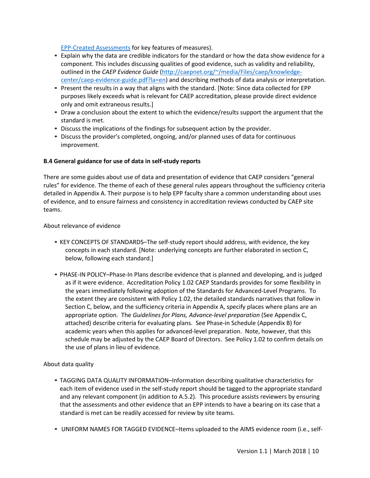[EPP-Created Assessments](http://caepnet.org/%7E/media/Files/caep/accreditation-resources/caep-assessment-tool.pdf?la=en) for key features of measures).

- **•** Explain why the data are credible indicators for the standard or how the data show evidence for a component. This includes discussing qualities of good evidence, such as validity and reliability, outlined in the *CAEP Evidence Guide* [\(http://caepnet.org/~/media/Files/caep/knowledge](http://caepnet.org/%7E/media/Files/caep/knowledge-center/caep-evidence-guide.pdf?la=en)[center/caep-evidence-guide.pdf?la=en\)](http://caepnet.org/%7E/media/Files/caep/knowledge-center/caep-evidence-guide.pdf?la=en) and describing methods of data analysis or interpretation.
- **•** Present the results in a way that aligns with the standard. [Note: Since data collected for EPP purposes likely exceeds what is relevant for CAEP accreditation, please provide direct evidence only and omit extraneous results.]
- **•** Draw a conclusion about the extent to which the evidence/results support the argument that the standard is met.
- **•** Discuss the implications of the findings for subsequent action by the provider.
- **•** Discuss the provider's completed, ongoing, and/or planned uses of data for continuous improvement.

## **B.4 General guidance for use of data in self-study reports**

There are some guides about use of data and presentation of evidence that CAEP considers "general rules" for evidence. The theme of each of these general rules appears throughout the sufficiency criteria detailed in Appendix A. Their purpose is to help EPP faculty share a common understanding about uses of evidence, and to ensure fairness and consistency in accreditation reviews conducted by CAEP site teams.

### About relevance of evidence

- *•* KEY CONCEPTS OF STANDARDS–The self-study report should address, with evidence, the key concepts in each standard. [Note: underlying concepts are further elaborated in section C, below, following each standard.]
- *•* PHASE-IN POLICY–Phase-In Plans describe evidence that is planned and developing, and is judged as if it were evidence. Accreditation Policy 1.02 CAEP Standards provides for some flexibility in the years immediately following adoption of the Standards for Advanced-Level Programs. To the extent they are consistent with Policy 1.02, the detailed standards narratives that follow in Section C, below, and the sufficiency criteria in Appendix A, specify places where plans are an appropriate option. The *Guidelines for Plans, Advance-level preparation* (See Appendix C, attached) describe criteria for evaluating plans. See Phase-in Schedule (Appendix B) for academic years when this applies for advanced-level preparation. Note, however, that this schedule may be adjusted by the CAEP Board of Directors. See Policy 1.02 to confirm details on the use of plans in lieu of evidence.

## About data quality

- *•* TAGGING DATA QUALITY INFORMATION–Information describing qualitative characteristics for each item of evidence used in the self-study report should be tagged to the appropriate standard and any relevant component (in addition to A.5.2). This procedure assists reviewers by ensuring that the assessments and other evidence that an EPP intends to have a bearing on its case that a standard is met can be readily accessed for review by site teams.
- *•* UNIFORM NAMES FOR TAGGED EVIDENCE–Items uploaded to the AIMS evidence room (i.e., self-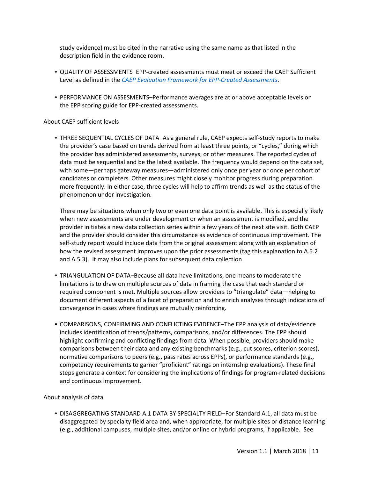study evidence) must be cited in the narrative using the same name as that listed in the description field in the evidence room.

- *•* QUALITY OF ASSESSMENTS–EPP-created assessments must meet or exceed the CAEP Sufficient Level as defined in the *[CAEP Evaluation Framework for EPP-Created Assessments](http://caepnet.org/%7E/media/Files/caep/accreditation-resources/caep-assessment-tool.pdf?la=en)*.
- *•* PERFORMANCE ON ASSESMENTS–Performance averages are at or above acceptable levels on the EPP scoring guide for EPP-created assessments.

#### About CAEP sufficient levels

*•* THREE SEQUENTIAL CYCLES OF DATA–As a general rule, CAEP expects self-study reports to make the provider's case based on trends derived from at least three points, or "cycles," during which the provider has administered assessments, surveys, or other measures. The reported cycles of data must be sequential and be the latest available. The frequency would depend on the data set, with some—perhaps gateway measures—administered only once per year or once per cohort of candidates or completers. Other measures might closely monitor progress during preparation more frequently. In either case, three cycles will help to affirm trends as well as the status of the phenomenon under investigation.

There may be situations when only two or even one data point is available. This is especially likely when new assessments are under development or when an assessment is modified, and the provider initiates a new data collection series within a few years of the next site visit. Both CAEP and the provider should consider this circumstance as evidence of continuous improvement. The self-study report would include data from the original assessment along with an explanation of how the revised assessment improves upon the prior assessments (tag this explanation to A.5.2 and A.5.3). It may also include plans for subsequent data collection.

- *•* TRIANGULATION OF DATA–Because all data have limitations, one means to moderate the limitations is to draw on multiple sources of data in framing the case that each standard or required component is met. Multiple sources allow providers to "triangulate" data—helping to document different aspects of a facet of preparation and to enrich analyses through indications of convergence in cases where findings are mutually reinforcing.
- COMPARISONS, CONFIRMING AND CONFLICTING EVIDENCE–The EPP analysis of data/evidence includes identification of trends/patterns, comparisons, and/or differences. The EPP should highlight confirming and conflicting findings from data. When possible, providers should make comparisons between their data and any existing benchmarks (e.g., cut scores, criterion scores), normative comparisons to peers (e.g., pass rates across EPPs), or performance standards (e.g., competency requirements to garner "proficient" ratings on internship evaluations). These final steps generate a context for considering the implications of findings for program-related decisions and continuous improvement.

### About analysis of data

*•* DISAGGREGATING STANDARD A.1 DATA BY SPECIALTY FIELD–For Standard A.1, all data must be disaggregated by specialty field area and, when appropriate, for multiple sites or distance learning (e.g., additional campuses, multiple sites, and/or online or hybrid programs, if applicable. See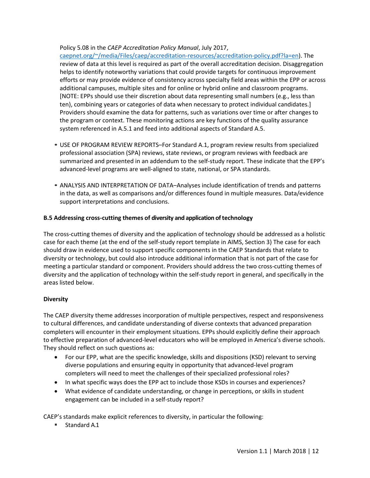## Policy 5.08 in the *CAEP Accreditation Policy Manual*, July 2017,

[caepnet.org/~/media/Files/caep/accreditation-resources/accreditation-policy.pdf?la=en\)](http://caepnet.org/%7E/media/Files/caep/accreditation-resources/accreditation-policy.pdf?la=en). The review of data at this level is required as part of the overall accreditation decision. Disaggregation helps to identify noteworthy variations that could provide targets for continuous improvement efforts or may provide evidence of consistency across specialty field areas within the EPP or across additional campuses, multiple sites and for online or hybrid online and classroom programs. [NOTE: EPPs should use their discretion about data representing small numbers (e.g., less than ten), combining years or categories of data when necessary to protect individual candidates.] Providers should examine the data for patterns, such as variations over time or after changes to the program or context. These monitoring actions are key functions of the quality assurance system referenced in A.5.1 and feed into additional aspects of Standard A.5.

- *•* USE OF PROGRAM REVIEW REPORTS–For Standard A.1, program review results from specialized professional association (SPA) reviews, state reviews, or program reviews with feedback are summarized and presented in an addendum to the self-study report. These indicate that the EPP's advanced-level programs are well-aligned to state, national, or SPA standards.
- *•* ANALYSIS AND INTERPRETATION OF DATA–Analyses include identification of trends and patterns in the data, as well as comparisons and/or differences found in multiple measures. Data/evidence support interpretations and conclusions.

## **B.5 Addressing cross-cutting themes of diversity and application of technology**

The cross-cutting themes of diversity and the application of technology should be addressed as a holistic case for each theme (at the end of the self-study report template in AIMS, Section 3) The case for each should draw in evidence used to support specific components in the CAEP Standards that relate to diversity or technology, but could also introduce additional information that is not part of the case for meeting a particular standard or component. Providers should address the two cross-cutting themes of diversity and the application of technology within the self-study report in general, and specifically in the areas listed below.

### **Diversity**

The CAEP diversity theme addresses incorporation of multiple perspectives, respect and responsiveness to cultural differences, and candidate understanding of diverse contexts that advanced preparation completers will encounter in their employment situations. EPPs should explicitly define their approach to effective preparation of advanced-level educators who will be employed in America's diverse schools. They should reflect on such questions as:

- For our EPP, what are the specific knowledge, skills and dispositions (KSD) relevant to serving diverse populations and ensuring equity in opportunity that advanced-level program completers will need to meet the challenges of their specialized professional roles?
- In what specific ways does the EPP act to include those KSDs in courses and experiences?
- What evidence of candidate understanding, or change in perceptions, or skills in student engagement can be included in a self-study report?

CAEP's standards make explicit references to diversity, in particular the following:

■ Standard A.1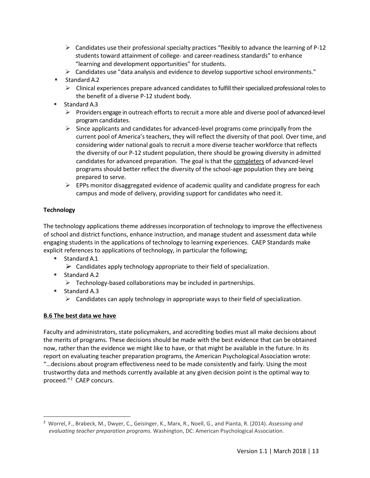- $\triangleright$  Candidates use their professional specialty practices "flexibly to advance the learning of P-12 students toward attainment of college- and career-readiness standards" to enhance "learning and development opportunities" for students.
- $\triangleright$  Candidates use "data analysis and evidence to develop supportive school environments."
- Standard A.2
	- $\triangleright$  Clinical experiences prepare advanced candidates to fulfill their specialized professional roles to the benefit of a diverse P-12 student body.
- Standard A.3
	- $\triangleright$  Providers engage in outreach efforts to recruit a more able and diverse pool of advanced-level program candidates.
	- $\triangleright$  Since applicants and candidates for advanced-level programs come principally from the current pool of America's teachers, they will reflect the diversity of that pool. Over time, and considering wider national goals to recruit a more diverse teacher workforce that reflects the diversity of our P-12 student population, there should be growing diversity in admitted candidates for advanced preparation. The goal is that the completers of advanced-level programs should better reflect the diversity of the school-age population they are being prepared to serve.
	- $\triangleright$  EPPs monitor disaggregated evidence of academic quality and candidate progress for each campus and mode of delivery, providing support for candidates who need it.

## **Technology**

The technology applications theme addresses incorporation of technology to improve the effectiveness of school and district functions, enhance instruction, and manage student and assessment data while engaging students in the applications of technology to learning experiences. CAEP Standards make explicit references to applications of technology, in particular the following;

- Standard A.1
	- $\triangleright$  Candidates apply technology appropriate to their field of specialization.
- Standard A.2
	- $\triangleright$  Technology-based collaborations may be included in partnerships.
- Standard A.3
	- $\triangleright$  Candidates can apply technology in appropriate ways to their field of specialization.

## **B.6 The best data we have**

Faculty and administrators, state policymakers, and accrediting bodies must all make decisions about the merits of programs. These decisions should be made with the best evidence that can be obtained now, rather than the evidence we might like to have, or that might be available in the future. In its report on evaluating teacher preparation programs, the American Psychological Association wrote: "…decisions about program effectiveness need to be made consistently and fairly. Using the most trustworthy data and methods currently available at any given decision point is the optimal way to proceed."<sup>[2](#page-12-0)</sup> CAEP concurs.

<span id="page-12-0"></span> $\overline{2}$  Worrel, F., Brabeck, M., Dwyer, C., Geisinger, K., Marx, R., Noell, G., and Pianta, R. (2014). *Assessing and evaluating teacher preparation programs.* Washington, DC: American Psychological Association.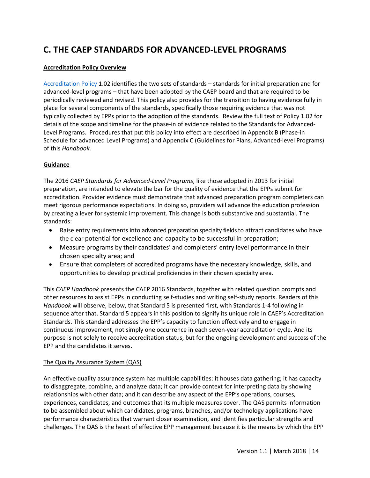## **C. THE CAEP STANDARDS FOR ADVANCED-LEVEL PROGRAMS**

## **Accreditation Policy Overview**

[Accreditation Policy](http://www.caepnet.org/%7E/media/Files/caep/accreditation-resources/accreditation-policy.pdf?la=en) 1.02 identifies the two sets of standards – standards for initial preparation and for advanced-level programs – that have been adopted by the CAEP board and that are required to be periodically reviewed and revised. This policy also provides for the transition to having evidence fully in place for several components of the standards, specifically those requiring evidence that was not typically collected by EPPs prior to the adoption of the standards. Review the full text of Policy 1.02 for details of the scope and timeline for the phase-in of evidence related to the Standards for Advanced-Level Programs. Procedures that put this policy into effect are described in Appendix B (Phase-in Schedule for advanced Level Programs) and Appendix C (Guidelines for Plans, Advanced-level Programs) of this *Handbook.*

## **Guidance**

The 2016 *CAEP Standards for Advanced-Level Programs*, like those adopted in 2013 for initial preparation, are intended to elevate the bar for the quality of evidence that the EPPs submit for accreditation. Provider evidence must demonstrate that advanced preparation program completers can meet rigorous performance expectations. In doing so, providers will advance the education profession by creating a lever for systemic improvement. This change is both substantive and substantial. The standards:

- Raise entry requirements into advanced preparation specialty fields to attract candidates who have the clear potential for excellence and capacity to be successful in preparation;
- Measure programs by their candidates' and completers' entry level performance in their chosen specialty area; and
- Ensure that completers of accredited programs have the necessary knowledge, skills, and opportunities to develop practical proficiencies in their chosen specialty area.

This *CAEP Handbook* presents the CAEP 2016 Standards, together with related question prompts and other resources to assist EPPs in conducting self-studies and writing self-study reports. Readers of this *Handbook* will observe, below, that Standard 5 is presented first, with Standards 1-4 following in sequence after that. Standard 5 appears in this position to signify its unique role in CAEP's Accreditation Standards. This standard addresses the EPP's capacity to function effectively and to engage in continuous improvement, not simply one occurrence in each seven-year accreditation cycle. And its purpose is not solely to receive accreditation status, but for the ongoing development and success of the EPP and the candidates it serves.

### The Quality Assurance System (QAS)

An effective quality assurance system has multiple capabilities: it houses data gathering; it has capacity to disaggregate, combine, and analyze data; it can provide context for interpreting data by showing relationships with other data; and it can describe any aspect of the EPP's operations, courses, experiences, candidates, and outcomes that its multiple measures cover. The QAS permits information to be assembled about which candidates, programs, branches, and/or technology applications have performance characteristics that warrant closer examination, and identifies particular strengths and challenges. The QAS is the heart of effective EPP management because it is the means by which the EPP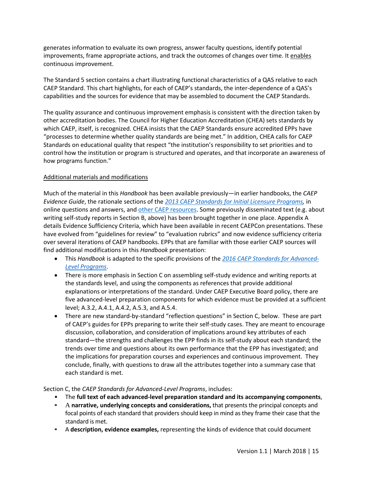generates information to evaluate its own progress, answer faculty questions, identify potential improvements, frame appropriate actions, and track the outcomes of changes over time. It enables continuous improvement.

The Standard 5 section contains a chart illustrating functional characteristics of a QAS relative to each CAEP Standard. This chart highlights, for each of CAEP's standards, the inter-dependence of a QAS's capabilities and the sources for evidence that may be assembled to document the CAEP Standards.

The quality assurance and continuous improvement emphasis is consistent with the direction taken by other accreditation bodies. The Council for Higher Education Accreditation (CHEA) sets standards by which CAEP, itself, is recognized. CHEA insists that the CAEP Standards ensure accredited EPPs have "processes to determine whether quality standards are being met." In addition, CHEA calls for CAEP Standards on educational quality that respect "the institution's responsibility to set priorities and to control how the institution or program is structured and operates, and that incorporate an awareness of how programs function."

## Additional materials and modifications

Much of the material in this *Handbook* has been available previously—in earlier handbooks, the *CAEP Evidence Guide*, the rationale sections of the *[2013 CAEP Standards for Initial Licensure Programs,](http://caepnet.org/standards/introduction)* in online questions and answers, and [other CAEP resources.](http://caepnet.org/accreditation/caep-accreditation/caep-accreditation-resources) Some previously disseminated text (e.g. about writing self-study reports in Section B, above) has been brought together in one place. Appendix A details Evidence Sufficiency Criteria, which have been available in recent CAEPCon presentations. These have evolved from "guidelines for review" to "evaluation rubrics" and now evidence sufficiency criteria over several iterations of CAEP handbooks. EPPs that are familiar with those earlier CAEP sources will find additional modifications in this *Handbook* presentation:

- This *Handbook* is adapted to the specific provisions of the *[2016 CAEP Standards for Advanced-](http://caepnet.org/standards/commission-on-standards)[Level Programs](http://caepnet.org/standards/commission-on-standards)*.
- There is more emphasis in Section C on assembling self-study evidence and writing reports at the standards level, and using the components as references that provide additional explanations or interpretations of the standard. Under CAEP Executive Board policy, there are five advanced-level preparation components for which evidence must be provided at a sufficient level; A.3.2, A.4.1, A.4.2, A.5.3, and A.5.4.
- There are new standard-by-standard "reflection questions" in Section C, below. These are part of CAEP's guides for EPPs preparing to write their self-study cases. They are meant to encourage discussion, collaboration, and consideration of implications around key attributes of each standard—the strengths and challenges the EPP finds in its self-study about each standard; the trends over time and questions about its own performance that the EPP has investigated; and the implications for preparation courses and experiences and continuous improvement. They conclude, finally, with questions to draw all the attributes together into a summary case that each standard is met.

Section C, the *CAEP Standards for Advanced-Level Programs*, includes:

- The **full text of each advanced-level preparation standard and its accompanying components**,
- **•** A **narrative, underlying concepts and considerations,** that presents the principal concepts and focal points of each standard that providers should keep in mind as they frame their case that the standard is met.
- **•** A **description, evidence examples,** representing the kinds of evidence that could document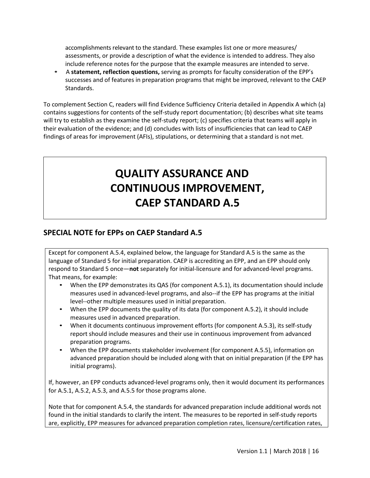accomplishments relevant to the standard. These examples list one or more measures/ assessments, or provide a description of what the evidence is intended to address. They also include reference notes for the purpose that the example measures are intended to serve.

*•*A **statement, reflection questions,** serving as prompts for faculty consideration of the EPP's successes and of features in preparation programs that might be improved, relevant to the CAEP Standards.

To complement Section C, readers will find Evidence Sufficiency Criteria detailed in Appendix A which (a) contains suggestions for contents of the self-study report documentation; (b) describes what site teams will try to establish as they examine the self-study report; (c) specifies criteria that teams will apply in their evaluation of the evidence; and (d) concludes with lists of insufficiencies that can lead to CAEP findings of areas for improvement (AFIs), stipulations, or determining that a standard is not met.

# **QUALITY ASSURANCE AND CONTINUOUS IMPROVEMENT, CAEP STANDARD A.5**

## **SPECIAL NOTE for EPPs on CAEP Standard A.5**

Except for component A.5.4, explained below, the language for Standard A.5 is the same as the language of Standard 5 for initial preparation. CAEP is accrediting an EPP, and an EPP should only respond to Standard 5 once—**not** separately for initial-licensure and for advanced-level programs. That means, for example:

- When the EPP demonstrates its QAS (for component A.5.1), its documentation should include measures used in advanced-level programs, and also--if the EPP has programs at the initial level--other multiple measures used in initial preparation.
- When the EPP documents the quality of its data (for component A.5.2), it should include measures used in advanced preparation.
- When it documents continuous improvement efforts (for component A.5.3), its self-study report should include measures and their use in continuous improvement from advanced preparation programs.
- When the EPP documents stakeholder involvement (for component A.5.5), information on advanced preparation should be included along with that on initial preparation (if the EPP has initial programs).

If, however, an EPP conducts advanced-level programs only, then it would document its performances for A.5.1, A.5.2, A.5.3, and A.5.5 for those programs alone.

Note that for component A.5.4, the standards for advanced preparation include additional words not found in the initial standards to clarify the intent. The measures to be reported in self-study reports are, explicitly, EPP measures for advanced preparation completion rates, licensure/certification rates,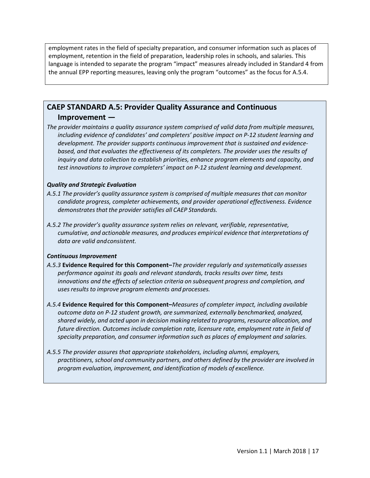employment rates in the field of specialty preparation, and consumer information such as places of employment, retention in the field of preparation, leadership roles in schools, and salaries. This language is intended to separate the program "impact" measures already included in Standard 4 from the annual EPP reporting measures, leaving only the program "outcomes" as the focus for A.5.4.

## **CAEP STANDARD A.5: Provider Quality Assurance and Continuous Improvement —**

*The provider maintains a quality assurance system comprised of valid data from multiple measures, including evidence of candidates' and completers' positive impact on P-12 student learning and development. The provider supports continuous improvement that is sustained and evidencebased, and that evaluates the effectiveness of its completers. The provider uses the results of inquiry and data collection to establish priorities, enhance program elements and capacity, and test innovations to improve completers' impact on P-12 student learning and development.*

### *Quality and Strategic Evaluation*

- *A.5.1 The provider's quality assurance system is comprised of multiple measuresthat can monitor candidate progress, completer achievements, and provider operational effectiveness. Evidence demonstratesthat the provider satisfies all CAEP Standards.*
- *A.5.2 The provider's quality assurance system relies on relevant, verifiable, representative, cumulative, and actionable measures, and produces empirical evidence that interpretations of data are valid andconsistent.*

#### *Continuous Improvement*

- *A.5.3* **Evidence Required for this Component–***The provider regularly and systematically assesses performance against its goals and relevant standards, tracks results over time, tests innovations and the effects of selection criteria on subsequent progress and completion, and usesresults to improve program elements and processes.*
- *A.5.4* **Evidence Required for this Component–***Measures of completer impact, including available outcome data on P-12 student growth, are summarized, externally benchmarked, analyzed, shared widely, and acted upon in decision making related to programs, resource allocation, and future direction. Outcomes include completion rate, licensure rate, employment rate in field of specialty preparation, and consumer information such as places of employment and salaries.*
- *A.5.5 The provider assures that appropriate stakeholders, including alumni, employers, practitioners, school and community partners, and others defined by the provider are involved in program evaluation, improvement, and identification of models of excellence.*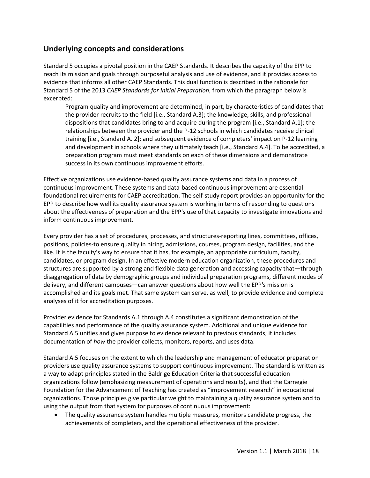## **Underlying concepts and considerations**

Standard 5 occupies a pivotal position in the CAEP Standards. It describes the capacity of the EPP to reach its mission and goals through purposeful analysis and use of evidence, and it provides access to evidence that informs all other CAEP Standards. This dual function is described in the rationale for Standard 5 of the 2013 *CAEP Standards for Initial Preparation*, from which the paragraph below is excerpted:

Program quality and improvement are determined, in part, by characteristics of candidates that the provider recruits to the field [i.e., Standard A.3]; the knowledge, skills, and professional dispositions that candidates bring to and acquire during the program [i.e., Standard A.1]; the relationships between the provider and the P-12 schools in which candidates receive clinical training [i.e., Standard A. 2]; and subsequent evidence of completers' impact on P-12 learning and development in schools where they ultimately teach [i.e., Standard A.4]. To be accredited, a preparation program must meet standards on each of these dimensions and demonstrate success in its own continuous improvement efforts.

Effective organizations use evidence-based quality assurance systems and data in a process of continuous improvement. These systems and data-based continuous improvement are essential foundational requirements for CAEP accreditation. The self-study report provides an opportunity for the EPP to describe how well its quality assurance system is working in terms of responding to questions about the effectiveness of preparation and the EPP's use of that capacity to investigate innovations and inform continuous improvement.

Every provider has a set of procedures, processes, and structures-reporting lines, committees, offices, positions, policies-to ensure quality in hiring, admissions, courses, program design, facilities, and the like. It is the faculty's way to ensure that it has, for example, an appropriate curriculum, faculty, candidates, or program design. In an effective modern education organization, these procedures and structures are supported by a strong and flexible data generation and accessing capacity that—through disaggregation of data by demographic groups and individual preparation programs, different modes of delivery, and different campuses—can answer questions about how well the EPP's mission is accomplished and its goals met. That same system can serve, as well, to provide evidence and complete analyses of it for accreditation purposes.

Provider evidence for Standards A.1 through A.4 constitutes a significant demonstration of the capabilities and performance of the quality assurance system. Additional and unique evidence for Standard A.5 unifies and gives purpose to evidence relevant to previous standards; it includes documentation of *how* the provider collects, monitors, reports, and uses data.

Standard A.5 focuses on the extent to which the leadership and management of educator preparation providers use quality assurance systems to support continuous improvement. The standard is written as a way to adapt principles stated in the Baldrige Education Criteria that successful education organizations follow (emphasizing measurement of operations and results), and that the Carnegie Foundation for the Advancement of Teaching has created as "improvement research" in educational organizations. Those principles give particular weight to maintaining a quality assurance system and to using the output from that system for purposes of continuous improvement:

• The quality assurance system handles multiple measures, monitors candidate progress, the achievements of completers, and the operational effectiveness of the provider.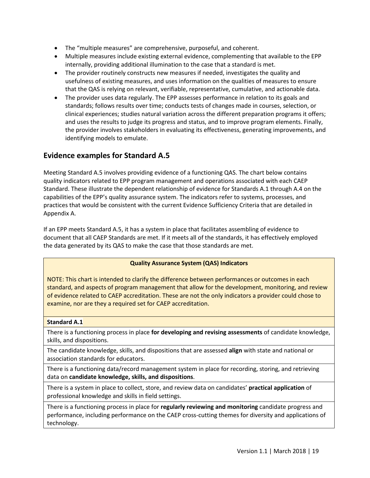- The "multiple measures" are comprehensive, purposeful, and coherent.
- Multiple measures include existing external evidence, complementing that available to the EPP internally, providing additional illumination to the case that a standard is met.
- The provider routinely constructs new measures if needed, investigates the quality and usefulness of existing measures, and uses information on the qualities of measures to ensure that the QAS is relying on relevant, verifiable, representative, cumulative, and actionable data.
- The provider uses data regularly. The EPP assesses performance in relation to its goals and standards; follows results over time; conducts tests of changes made in courses, selection, or clinical experiences; studies natural variation across the different preparation programs it offers; and uses the results to judge its progress and status, and to improve program elements. Finally, the provider involves stakeholders in evaluating its effectiveness, generating improvements, and identifying models to emulate.

## **Evidence examples for Standard A.5**

Meeting Standard A.5 involves providing evidence of a functioning QAS. The chart below contains quality indicators related to EPP program management and operations associated with each CAEP Standard. These illustrate the dependent relationship of evidence for Standards A.1 through A.4 on the capabilities of the EPP's quality assurance system. The indicators refer to systems, processes, and practices that would be consistent with the current Evidence Sufficiency Criteria that are detailed in Appendix A.

If an EPP meets Standard A.5, it has a system in place that facilitates assembling of evidence to document that all CAEP Standards are met. If it meets all of the standards, it has effectively employed the data generated by its QAS to make the case that those standards are met.

## **Quality Assurance System (QAS) Indicators**

NOTE: This chart is intended to clarify the difference between performances or outcomes in each standard, and aspects of program management that allow for the development, monitoring, and review of evidence related to CAEP accreditation. These are not the only indicators a provider could chose to examine, nor are they a required set for CAEP accreditation.

### **Standard A.1**

There is a functioning process in place **for developing and revising assessments** of candidate knowledge, skills, and dispositions.

The candidate knowledge, skills, and dispositions that are assessed **align** with state and national or association standards for educators.

There is a functioning data/record management system in place for recording, storing, and retrieving data on **candidate knowledge, skills, and dispositions**.

There is a system in place to collect, store, and review data on candidates' **practical application** of professional knowledge and skills in field settings.

There is a functioning process in place for **regularly reviewing and monitoring** candidate progress and performance, including performance on the CAEP cross-cutting themes for diversity and applications of technology.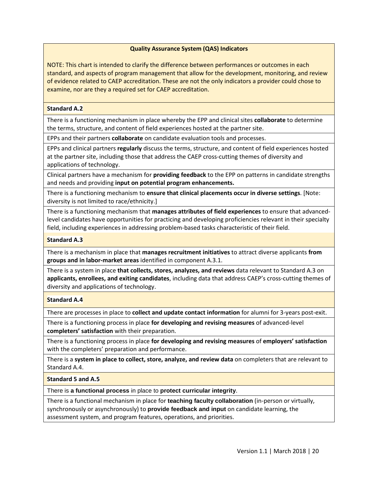## **Quality Assurance System (QAS) Indicators**

NOTE: This chart is intended to clarify the difference between performances or outcomes in each standard, and aspects of program management that allow for the development, monitoring, and review of evidence related to CAEP accreditation. These are not the only indicators a provider could chose to examine, nor are they a required set for CAEP accreditation.

#### **Standard A.2**

There is a functioning mechanism in place whereby the EPP and clinical sites **collaborate** to determine the terms, structure, and content of field experiences hosted at the partner site.

EPPs and their partners **collaborate** on candidate evaluation tools and processes.

EPPs and clinical partners **regularly** discuss the terms, structure, and content of field experiences hosted at the partner site, including those that address the CAEP cross-cutting themes of diversity and applications of technology.

Clinical partners have a mechanism for **providing feedback** to the EPP on patterns in candidate strengths and needs and providing **input on potential program enhancements.**

There is a functioning mechanism to **ensure that clinical placements occur in diverse settings**. [Note: diversity is not limited to race/ethnicity.]

There is a functioning mechanism that **manages attributes of field experiences** to ensure that advancedlevel candidates have opportunities for practicing and developing proficiencies relevant in their specialty field, including experiences in addressing problem-based tasks characteristic of their field.

#### **Standard A.3**

There is a mechanism in place that **manages recruitment initiatives** to attract diverse applicants **from groups and in labor-market areas** identified in component A.3.1.

There is a system in place **that collects, stores, analyzes, and reviews** data relevant to Standard A.3 on **applicants, enrollees, and exiting candidates**, including data that address CAEP's cross-cutting themes of diversity and applications of technology.

### **Standard A.4**

There are processes in place to **collect and update contact information** for alumni for 3-years post-exit.

There is a functioning process in place **for developing and revising measures** of advanced-level **completers' satisfaction** with their preparation.

There is a functioning process in place **for developing and revising measures** of **employers' satisfaction** with the completers' preparation and performance.

There is a **system in place to collect, store, analyze, and review data** on completers that are relevant to Standard A.4.

### **Standard 5 and A.5**

There is **a functional process** in place to **protect curricular integrity**.

There is a functional mechanism in place for **teaching faculty collaboration** (in-person or virtually, synchronously or asynchronously) to **provide feedback and input** on candidate learning, the assessment system, and program features, operations, and priorities.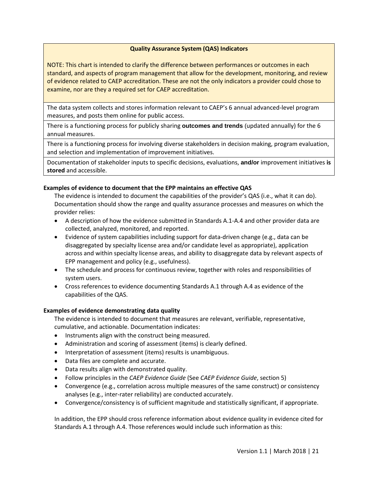## **Quality Assurance System (QAS) Indicators**

NOTE: This chart is intended to clarify the difference between performances or outcomes in each standard, and aspects of program management that allow for the development, monitoring, and review of evidence related to CAEP accreditation. These are not the only indicators a provider could chose to examine, nor are they a required set for CAEP accreditation.

The data system collects and stores information relevant to CAEP's 6 annual advanced-level program measures, and posts them online for public access.

There is a functioning process for publicly sharing **outcomes and trends** (updated annually) for the 6 annual measures.

There is a functioning process for involving diverse stakeholders in decision making, program evaluation, and selection and implementation of improvement initiatives.

Documentation of stakeholder inputs to specific decisions, evaluations, **and/or** improvement initiatives **is stored** and accessible.

#### **Examples of evidence to document that the EPP maintains an effective QAS**

The evidence is intended to document the capabilities of the provider's QAS (i.e., what it can do). Documentation should show the range and quality assurance processes and measures on which the provider relies:

- A description of how the evidence submitted in Standards A.1-A.4 and other provider data are collected, analyzed, monitored, and reported.
- Evidence of system capabilities including support for data-driven change (e.g., data can be disaggregated by specialty license area and/or candidate level as appropriate), application across and within specialty license areas, and ability to disaggregate data by relevant aspects of EPP management and policy (e.g., usefulness).
- The schedule and process for continuous review, together with roles and responsibilities of system users.
- Cross references to evidence documenting Standards A.1 through A.4 as evidence of the capabilities of the QAS.

### **Examples of evidence demonstrating data quality**

The evidence is intended to document that measures are relevant, verifiable, representative, cumulative, and actionable. Documentation indicates:

- Instruments align with the construct being measured.
- Administration and scoring of assessment (items) is clearly defined.
- Interpretation of assessment (items) results is unambiguous.
- Data files are complete and accurate.
- Data results align with demonstrated quality.
- Follow principles in the *CAEP Evidence Guide* (See *CAEP Evidence Guide*, section 5)
- Convergence (e.g., correlation across multiple measures of the same construct) or consistency analyses (e.g., inter-rater reliability) are conducted accurately.
- Convergence/consistency is of sufficient magnitude and statistically significant, if appropriate.

In addition, the EPP should cross reference information about evidence quality in evidence cited for Standards A.1 through A.4. Those references would include such information as this: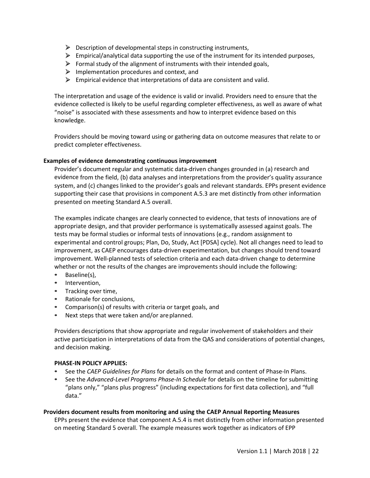- $\triangleright$  Description of developmental steps in constructing instruments,
- $\triangleright$  Empirical/analytical data supporting the use of the instrument for its intended purposes,
- $\triangleright$  Formal study of the alignment of instruments with their intended goals,
- $\triangleright$  Implementation procedures and context, and
- $\triangleright$  Empirical evidence that interpretations of data are consistent and valid.

The interpretation and usage of the evidence is valid or invalid. Providers need to ensure that the evidence collected is likely to be useful regarding completer effectiveness, as well as aware of what "noise" is associated with these assessments and how to interpret evidence based on this knowledge.

Providers should be moving toward using or gathering data on outcome measures that relate to or predict completer effectiveness.

### **Examples of evidence demonstrating continuous improvement**

Provider's document regular and systematic data-driven changes grounded in (a) research and evidence from the field, (b) data analyses and interpretations from the provider's quality assurance system, and (c) changes linked to the provider's goals and relevant standards. EPPs present evidence supporting their case that provisions in component A.5.3 are met distinctly from other information presented on meeting Standard A.5 overall.

The examples indicate changes are clearly connected to evidence, that tests of innovations are of appropriate design, and that provider performance is systematically assessed against goals. The tests may be formal studies or informal tests of innovations (e.g., random assignment to experimental and control groups; Plan, Do, Study, Act [PDSA] cycle). Not all changes need to lead to improvement, as CAEP encourages data-driven experimentation, but changes should trend toward improvement. Well-planned tests of selection criteria and each data-driven change to determine whether or not the results of the changes are improvements should include the following:

- **•** Baseline(s),
- **•** Intervention,
- **•** Tracking over time,
- **•** Rationale for conclusions,
- **•** Comparison(s) of results with criteria or target goals, and
- **•** Next steps that were taken and/or areplanned.

Providers descriptions that show appropriate and regular involvement of stakeholders and their active participation in interpretations of data from the QAS and considerations of potential changes, and decision making.

### **PHASE-IN POLICY APPLIES:**

- **•** See the *CAEP Guidelines for Plans* for details on the format and content of Phase-In Plans.
- **•** See the *Advanced-Level Programs Phase-In Schedule* for details on the timeline for submitting "plans only," "plans plus progress" (including expectations for first data collection), and "full data."

### **Providers document results from monitoring and using the CAEP Annual Reporting Measures**

EPPs present the evidence that component A.5.4 is met distinctly from other information presented on meeting Standard 5 overall. The example measures work together as indicators of EPP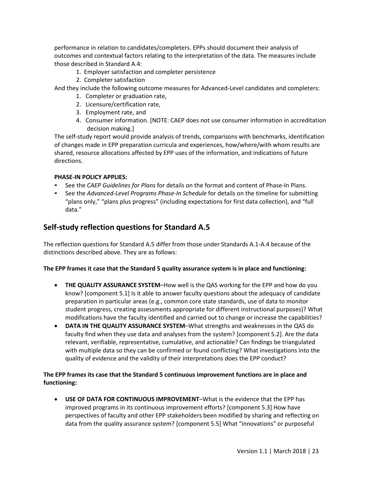performance in relation to candidates/completers. EPPs should document their analysis of outcomes and contextual factors relating to the interpretation of the data. The measures include those described in Standard A.4:

- 1. Employer satisfaction and completer persistence
- 2. Completer satisfaction

And they include the following outcome measures for Advanced-Level candidates and completers:

- 1. Completer or graduation rate,
- 2. Licensure/certification rate,
- 3. Employment rate, and
- 4. Consumer information. [NOTE: CAEP does not use consumer information in accreditation decision making.]

The self-study report would provide analysis of trends, comparisons with benchmarks, identification of changes made in EPP preparation curricula and experiences, how/where/with whom results are shared, resource allocations affected by EPP uses of the information, and indications of future directions.

## **PHASE-IN POLICY APPLIES:**

- **•** See the *CAEP Guidelines for Plans* for details on the format and content of Phase-In Plans.
- **•** See the *Advanced-Level Programs Phase-In Schedule* for details on the timeline for submitting "plans only," "plans plus progress" (including expectations for first data collection), and "full data."

## **Self-study reflection questions for Standard A.5**

The reflection questions for Standard A.5 differ from those under Standards A.1-A.4 because of the distinctions described above. They are as follows:

## **The EPP frames it case that the Standard 5 quality assurance system is in place and functioning:**

- **THE QUALITY ASSURANCE SYSTEM**–How well is the QAS working for the EPP and how do you know? [component 5.1] Is it able to answer faculty questions about the adequacy of candidate preparation in particular areas (e.g., common core state standards, use of data to monitor student progress, creating assessments appropriate for different instructional purposes)? What modifications have the faculty identified and carried out to change or increase the capabilities?
- **DATA IN THE QUALITY ASSURANCE SYSTEM**–What strengths and weaknesses in the QAS do faculty find when they use data and analyses from the system? [component 5.2]. Are the data relevant, verifiable, representative, cumulative, and actionable? Can findings be triangulated with multiple data so they can be confirmed or found conflicting? What investigations into the quality of evidence and the validity of their interpretations does the EPP conduct?

## **The EPP frames its case that the Standard 5 continuous improvement functions are in place and functioning:**

• **USE OF DATA FOR CONTINUOUS IMPROVEMENT**–What is the evidence that the EPP has improved programs in its continuous improvement efforts? [component 5.3] How have perspectives of faculty and other EPP stakeholders been modified by sharing and reflecting on data from the quality assurance system? [component 5.5] What "innovations" or purposeful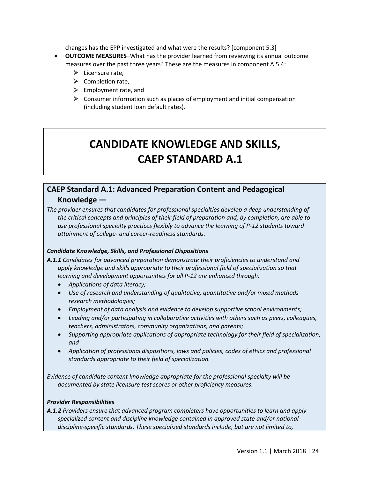changes has the EPP investigated and what were the results? [component 5.3]

- **OUTCOME MEASURES**–What has the provider learned from reviewing its annual outcome measures over the past three years? These are the measures in component A.5.4:
	- $\blacktriangleright$  Licensure rate,
	- $\triangleright$  Completion rate.
	- $\triangleright$  Employment rate, and
	- $\triangleright$  Consumer information such as places of employment and initial compensation (including student loan default rates).

# **CANDIDATE KNOWLEDGE AND SKILLS, CAEP STANDARD A.1**

## **CAEP Standard A.1: Advanced Preparation Content and Pedagogical Knowledge —**

*The provider ensures that candidates for professional specialties develop a deep understanding of the critical concepts and principles of their field of preparation and, by completion, are able to use professional specialty practices flexibly to advance the learning of P-12 students toward attainment of college- and career-readiness standards.*

## *Candidate Knowledge, Skills, and Professional Dispositions*

- *A.1.1 Candidates for advanced preparation demonstrate their proficiencies to understand and apply knowledge and skills appropriate to their professional field of specialization so that learning and development opportunities for all P-12 are enhanced through:* 
	- *Applications of data literacy;*
	- *Use of research and understanding of qualitative, quantitative and/or mixed methods research methodologies;*
	- *Employment of data analysis and evidence to develop supportive school environments;*
	- *Leading and/or participating in collaborative activities with others such as peers, colleagues, teachers, administrators, community organizations, and parents;*
	- *Supporting appropriate applications of appropriate technology for their field of specialization; and*
	- *Application of professional dispositions, laws and policies, codes of ethics and professional standards appropriate to their field of specialization.*

*Evidence of candidate content knowledge appropriate for the professional specialty will be documented by state licensure test scores or other proficiency measures.*

## *Provider Responsibilities*

*A.1.2 Providers ensure that advanced program completers have opportunities to learn and apply specialized content and discipline knowledge contained in approved state and/or national discipline-specific standards. These specialized standards include, but are not limited to,*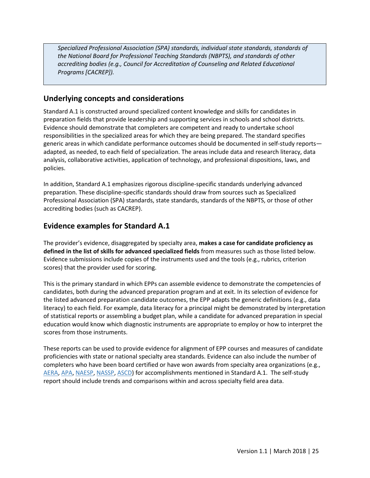*Specialized Professional Association (SPA) standards, individual state standards, standards of the National Board for Professional Teaching Standards (NBPTS), and standards of other accrediting bodies (e.g., Council for Accreditation of Counseling and Related Educational Programs [CACREP]).*

## **Underlying concepts and considerations**

Standard A.1 is constructed around specialized content knowledge and skills for candidates in preparation fields that provide leadership and supporting services in schools and school districts. Evidence should demonstrate that completers are competent and ready to undertake school responsibilities in the specialized areas for which they are being prepared. The standard specifies generic areas in which candidate performance outcomes should be documented in self-study reports adapted, as needed, to each field of specialization. The areas include data and research literacy, data analysis, collaborative activities, application of technology, and professional dispositions, laws, and policies.

In addition, Standard A.1 emphasizes rigorous discipline-specific standards underlying advanced preparation. These discipline-specific standards should draw from sources such as Specialized Professional Association (SPA) standards, state standards, standards of the NBPTS, or those of other accrediting bodies (such as CACREP).

## **Evidence examples for Standard A.1**

The provider's evidence, disaggregated by specialty area, **makes a case for candidate proficiency as defined in the list of skills for advanced specialized fields** from measures such as those listed below. Evidence submissions include copies of the instruments used and the tools (e.g., rubrics, criterion scores) that the provider used for scoring.

This is the primary standard in which EPPs can assemble evidence to demonstrate the competencies of candidates, both during the advanced preparation program and at exit. In its selection of evidence for the listed advanced preparation candidate outcomes, the EPP adapts the generic definitions (e.g., data literacy) to each field. For example, data literacy for a principal might be demonstrated by interpretation of statistical reports or assembling a budget plan, while a candidate for advanced preparation in special education would know which diagnostic instruments are appropriate to employ or how to interpret the scores from those instruments.

These reports can be used to provide evidence for alignment of EPP courses and measures of candidate proficiencies with state or national specialty area standards. Evidence can also include the number of completers who have been board certified or have won awards from specialty area organizations (e.g., [AERA,](http://www.aera.net/) [APA,](http://www.apa.org/) [NAESP,](https://www.naesp.org/) [NASSP,](https://www.principals.org/) [ASCD\)](http://www.ascd.org/) for accomplishments mentioned in Standard A.1. The self-study report should include trends and comparisons within and across specialty field area data.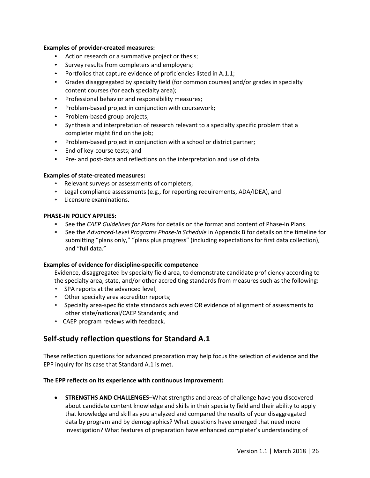#### **Examples of provider-created measures:**

- Action research or a summative project or thesis;
- Survey results from completers and employers;
- Portfolios that capture evidence of proficiencies listed in A.1.1;
- Grades disaggregated by specialty field (for common courses) and/or grades in specialty content courses (for each specialty area);
- Professional behavior and responsibility measures;
- Problem-based project in conjunction with coursework;
- Problem-based group projects;
- Synthesis and interpretation of research relevant to a specialty specific problem that a completer might find on the job;
- Problem-based project in conjunction with a school or district partner;
- End of key-course tests; and
- Pre- and post-data and reflections on the interpretation and use of data.

#### **Examples of state-created measures:**

- Relevant surveys or assessments of completers,
- Legal compliance assessments (e.g., for reporting requirements, ADA/IDEA), and
- Licensure examinations.

## **PHASE-IN POLICY APPLIES:**

- **•** See the *CAEP Guidelines for Plans* for details on the format and content of Phase-In Plans.
- **•** See the *Advanced-Level Programs Phase-In Schedule* in Appendix B for details on the timeline for submitting "plans only," "plans plus progress" (including expectations for first data collection), and "full data."

### **Examples of evidence for discipline-specific competence**

Evidence, disaggregated by specialty field area, to demonstrate candidate proficiency according to the specialty area, state, and/or other accrediting standards from measures such as the following:

- SPA reports at the advanced level;
- Other specialty area accreditor reports;
- Specialty area-specific state standards achieved OR evidence of alignment of assessments to other state/national/CAEP Standards; and
- CAEP program reviews with feedback.

## **Self-study reflection questions for Standard A.1**

These reflection questions for advanced preparation may help focus the selection of evidence and the EPP inquiry for its case that Standard A.1 is met.

### **The EPP reflects on its experience with continuous improvement:**

• **STRENGTHS AND CHALLENGES**–What strengths and areas of challenge have you discovered about candidate content knowledge and skills in their specialty field and their ability to apply that knowledge and skill as you analyzed and compared the results of your disaggregated data by program and by demographics? What questions have emerged that need more investigation? What features of preparation have enhanced completer's understanding of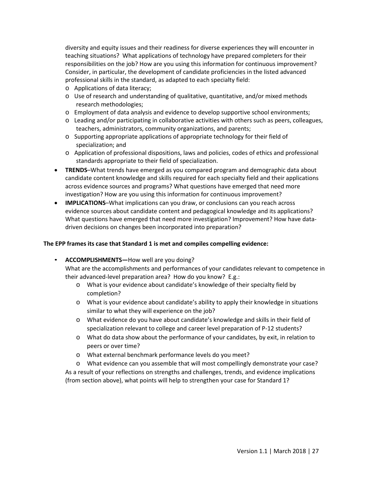diversity and equity issues and their readiness for diverse experiences they will encounter in teaching situations? What applications of technology have prepared completers for their responsibilities on the job? How are you using this information for continuous improvement? Consider, in particular, the development of candidate proficiencies in the listed advanced professional skills in the standard, as adapted to each specialty field:

- o Applications of data literacy;
- o Use of research and understanding of qualitative, quantitative, and/or mixed methods research methodologies;
- o Employment of data analysis and evidence to develop supportive school environments;
- o Leading and/or participating in collaborative activities with others such as peers, colleagues, teachers, administrators, community organizations, and parents;
- $\circ$  Supporting appropriate applications of appropriate technology for their field of specialization; and
- o Application of professional dispositions, laws and policies, codes of ethics and professional standards appropriate to their field of specialization.
- **TRENDS**–What trends have emerged as you compared program and demographic data about candidate content knowledge and skills required for each specialty field and their applications across evidence sources and programs? What questions have emerged that need more investigation? How are you using this information for continuous improvement?
- **IMPLICATIONS**–What implications can you draw, or conclusions can you reach across evidence sources about candidate content and pedagogical knowledge and its applications? What questions have emerged that need more investigation? Improvement? How have datadriven decisions on changes been incorporated into preparation?

## **The EPP frames its case that Standard 1 is met and compiles compelling evidence:**

• **ACCOMPLISHMENTS—**How well are you doing?

What are the accomplishments and performances of your candidates relevant to competence in their advanced-level preparation area? How do you know? E.g.:

- o What is your evidence about candidate's knowledge of their specialty field by completion?
- o What is your evidence about candidate's ability to apply their knowledge in situations similar to what they will experience on the job?
- o What evidence do you have about candidate's knowledge and skills in their field of specialization relevant to college and career level preparation of P-12 students?
- o What do data show about the performance of your candidates, by exit, in relation to peers or over time?
- o What external benchmark performance levels do you meet?
- o What evidence can you assemble that will most compellingly demonstrate your case? As a result of your reflections on strengths and challenges, trends, and evidence implications (from section above), what points will help to strengthen your case for Standard 1?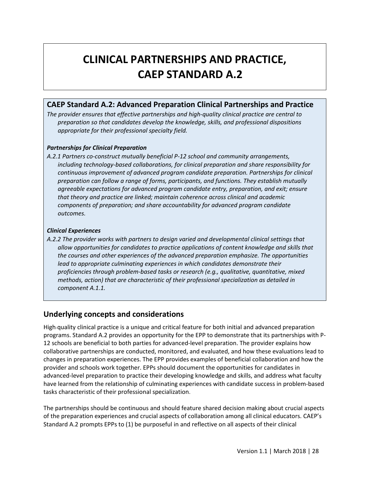# **CLINICAL PARTNERSHIPS AND PRACTICE, CAEP STANDARD A.2**

## **CAEP Standard A.2: Advanced Preparation Clinical Partnerships and Practice**

*The provider ensures that effective partnerships and high-quality clinical practice are central to preparation so that candidates develop the knowledge, skills, and professional dispositions appropriate for their professional specialty field.*

## *Partnerships for Clinical Preparation*

*A.2.1 Partners co-construct mutually beneficial P-12 school and community arrangements, including technology-based collaborations, for clinical preparation and share responsibility for continuous improvement of advanced program candidate preparation. Partnerships for clinical preparation can follow a range of forms, participants, and functions. They establish mutually agreeable expectations for advanced program candidate entry, preparation, and exit; ensure that theory and practice are linked; maintain coherence across clinical and academic components of preparation; and share accountability for advanced program candidate outcomes.*

## *Clinical Experiences*

*A.2.2 The provider works with partners to design varied and developmental clinical settings that allow opportunities for candidates to practice applications of content knowledge and skills that the courses and other experiences of the advanced preparation emphasize. The opportunities lead to appropriate culminating experiences in which candidates demonstrate their proficiencies through problem-based tasks or research (e.g., qualitative, quantitative, mixed methods, action) that are characteristic of their professional specialization as detailed in component A.1.1.*

## **Underlying concepts and considerations**

High-quality clinical practice is a unique and critical feature for both initial and advanced preparation programs. Standard A.2 provides an opportunity for the EPP to demonstrate that its partnerships with P-12 schools are beneficial to both parties for advanced-level preparation. The provider explains how collaborative partnerships are conducted, monitored, and evaluated, and how these evaluations lead to changes in preparation experiences. The EPP provides examples of beneficial collaboration and how the provider and schools work together. EPPs should document the opportunities for candidates in advanced-level preparation to practice their developing knowledge and skills, and address what faculty have learned from the relationship of culminating experiences with candidate success in problem-based tasks characteristic of their professional specialization.

The partnerships should be continuous and should feature shared decision making about crucial aspects of the preparation experiences and crucial aspects of collaboration among all clinical educators. CAEP's Standard A.2 prompts EPPs to (1) be purposeful in and reflective on all aspects of their clinical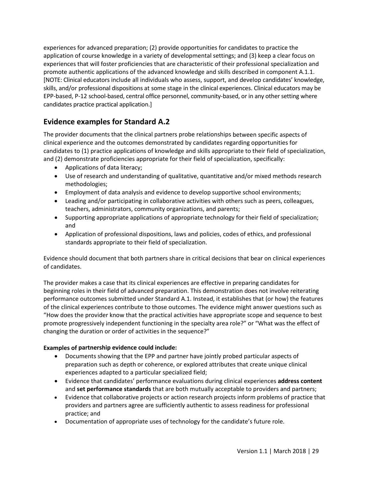experiences for advanced preparation; (2) provide opportunities for candidates to practice the application of course knowledge in a variety of developmental settings; and (3) keep a clear focus on experiences that will foster proficiencies that are characteristic of their professional specialization and promote authentic applications of the advanced knowledge and skills described in component A.1.1. [NOTE: Clinical educators include all individuals who assess, support, and develop candidates' knowledge, skills, and/or professional dispositions at some stage in the clinical experiences. Clinical educators may be EPP-based, P-12 school-based, central office personnel, community-based, or in any other setting where candidates practice practical application.]

## **Evidence examples for Standard A.2**

The provider documents that the clinical partners probe relationships between specific aspects of clinical experience and the outcomes demonstrated by candidates regarding opportunities for candidates to (1) practice applications of knowledge and skills appropriate to their field of specialization, and (2) demonstrate proficiencies appropriate for their field of specialization, specifically:

- Applications of data literacy;
- Use of research and understanding of qualitative, quantitative and/or mixed methods research methodologies;
- Employment of data analysis and evidence to develop supportive school environments;
- Leading and/or participating in collaborative activities with others such as peers, colleagues, teachers, administrators, community organizations, and parents;
- Supporting appropriate applications of appropriate technology for their field of specialization; and
- Application of professional dispositions, laws and policies, codes of ethics, and professional standards appropriate to their field of specialization.

Evidence should document that both partners share in critical decisions that bear on clinical experiences of candidates.

The provider makes a case that its clinical experiences are effective in preparing candidates for beginning roles in their field of advanced preparation. This demonstration does not involve reiterating performance outcomes submitted under Standard A.1. Instead, it establishes that (or how) the features of the clinical experiences contribute to those outcomes. The evidence might answer questions such as "How does the provider know that the practical activities have appropriate scope and sequence to best promote progressively independent functioning in the specialty area role?" or "What was the effect of changing the duration or order of activities in the sequence?"

## **Examples of partnership evidence could include:**

- Documents showing that the EPP and partner have jointly probed particular aspects of preparation such as depth or coherence, or explored attributes that create unique clinical experiences adapted to a particular specialized field;
- Evidence that candidates' performance evaluations during clinical experiences **address content** and **set performance standards** that are both mutually acceptable to providers and partners;
- Evidence that collaborative projects or action research projects inform problems of practice that providers and partners agree are sufficiently authentic to assess readiness for professional practice; and
- Documentation of appropriate uses of technology for the candidate's future role.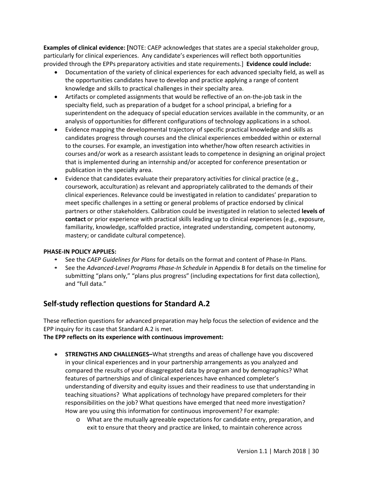**Examples of clinical evidence: [**NOTE: CAEP acknowledges that states are a special stakeholder group, particularly for clinical experiences. Any candidate's experiences will reflect both opportunities provided through the EPPs preparatory activities and state requirements.] **Evidence could include:**

- Documentation of the variety of clinical experiences for each advanced specialty field, as well as the opportunities candidates have to develop and practice applying a range of content knowledge and skills to practical challenges in their specialty area.
- Artifacts or completed assignments that would be reflective of an on-the-job task in the specialty field, such as preparation of a budget for a school principal, a briefing for a superintendent on the adequacy of special education services available in the community, or an analysis of opportunities for different configurations of technology applications in a school.
- Evidence mapping the developmental trajectory of specific practical knowledge and skills as candidates progress through courses and the clinical experiences embedded within or external to the courses. For example, an investigation into whether/how often research activities in courses and/or work as a research assistant leads to competence in designing an original project that is implemented during an internship and/or accepted for conference presentation or publication in the specialty area.
- Evidence that candidates evaluate their preparatory activities for clinical practice (e.g., coursework, acculturation) as relevant and appropriately calibrated to the demands of their clinical experiences. Relevance could be investigated in relation to candidates' preparation to meet specific challenges in a setting or general problems of practice endorsed by clinical partners or other stakeholders. Calibration could be investigated in relation to selected **levels of contact** or prior experience with practical skills leading up to clinical experiences (e.g., exposure, familiarity, knowledge, scaffolded practice, integrated understanding, competent autonomy, mastery; or candidate cultural competence).

### **PHASE-IN POLICY APPLIES:**

- **•** See the *CAEP Guidelines for Plans* for details on the format and content of Phase-In Plans.
- **•** See the *Advanced-Level Programs Phase-In Schedule* in Appendix B for details on the timeline for submitting "plans only," "plans plus progress" (including expectations for first data collection), and "full data."

## **Self-study reflection questions for Standard A.2**

These reflection questions for advanced preparation may help focus the selection of evidence and the EPP inquiry for its case that Standard A.2 is met.

**The EPP reflects on its experience with continuous improvement:**

- **STRENGTHS AND CHALLENGES–**What strengths and areas of challenge have you discovered in your clinical experiences and in your partnership arrangements as you analyzed and compared the results of your disaggregated data by program and by demographics? What features of partnerships and of clinical experiences have enhanced completer's understanding of diversity and equity issues and their readiness to use that understanding in teaching situations? What applications of technology have prepared completers for their responsibilities on the job? What questions have emerged that need more investigation? How are you using this information for continuous improvement? For example:
	- o What are the mutually agreeable expectations for candidate entry, preparation, and exit to ensure that theory and practice are linked, to maintain coherence across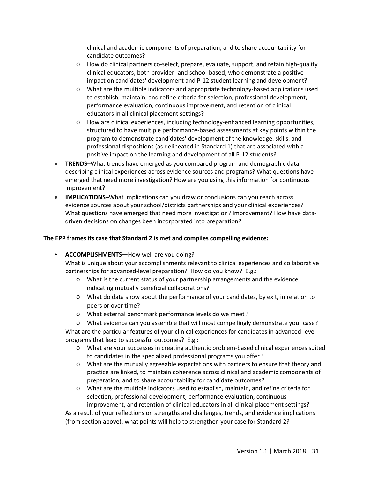clinical and academic components of preparation, and to share accountability for candidate outcomes?

- o How do clinical partners co-select, prepare, evaluate, support, and retain high-quality clinical educators, both provider- and school-based, who demonstrate a positive impact on candidates' development and P-12 student learning and development?
- o What are the multiple indicators and appropriate technology-based applications used to establish, maintain, and refine criteria for selection, professional development, performance evaluation, continuous improvement, and retention of clinical educators in all clinical placement settings?
- o How are clinical experiences, including technology-enhanced learning opportunities, structured to have multiple performance-based assessments at key points within the program to demonstrate candidates' development of the knowledge, skills, and professional dispositions (as delineated in Standard 1) that are associated with a positive impact on the learning and development of all P-12 students?
- **TRENDS**–What trends have emerged as you compared program and demographic data describing clinical experiences across evidence sources and programs? What questions have emerged that need more investigation? How are you using this information for continuous improvement?
- **IMPLICATIONS**–What implications can you draw or conclusions can you reach across evidence sources about your school/districts partnerships and your clinical experiences? What questions have emerged that need more investigation? Improvement? How have datadriven decisions on changes been incorporated into preparation?

## **The EPP frames its case that Standard 2 is met and compiles compelling evidence:**

• **ACCOMPLISHMENTS—**How well are you doing?

What is unique about your accomplishments relevant to clinical experiences and collaborative partnerships for advanced-level preparation? How do you know? E.g.:

- o What is the current status of your partnership arrangements and the evidence indicating mutually beneficial collaborations?
- o What do data show about the performance of your candidates, by exit, in relation to peers or over time?
- o What external benchmark performance levels do we meet?
- o What evidence can you assemble that will most compellingly demonstrate your case?

What are the particular features of your clinical experiences for candidates in advanced-level programs that lead to successful outcomes? E.g.:

- o What are your successes in creating authentic problem-based clinical experiences suited to candidates in the specialized professional programs you offer?
- o What are the mutually agreeable expectations with partners to ensure that theory and practice are linked, to maintain coherence across clinical and academic components of preparation, and to share accountability for candidate outcomes?
- o What are the multiple indicators used to establish, maintain, and refine criteria for selection, professional development, performance evaluation, continuous improvement, and retention of clinical educators in all clinical placement settings?

As a result of your reflections on strengths and challenges, trends, and evidence implications (from section above), what points will help to strengthen your case for Standard 2?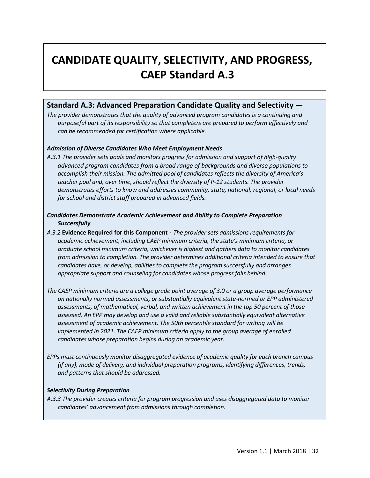# **CANDIDATE QUALITY, SELECTIVITY, AND PROGRESS, CAEP Standard A.3**

## **Standard A.3: Advanced Preparation Candidate Quality and Selectivity —**

*The provider demonstrates that the quality of advanced program candidates is a continuing and purposeful part of its responsibility so that completers are prepared to perform effectively and can be recommended for certification where applicable.* 

## *Admission of Diverse Candidates Who Meet Employment Needs*

*A.3.1 The provider sets goals and monitors progress for admission and support of high-quality advanced program candidates from a broad range of backgrounds and diverse populations to accomplish their mission. The admitted pool of candidates reflects the diversity of America's teacher pool and, over time, should reflect the diversity of P-12 students. The provider demonstrates efforts to know and addresses community, state, national, regional, or local needs for school and district staff prepared in advanced fields.*

## *Candidates Demonstrate Academic Achievement and Ability to Complete Preparation Successfully*

- *A.3.2* **Evidence Required for this Component** *The provider sets admissions requirements for academic achievement, including CAEP minimum criteria, the state's minimum criteria, or graduate school minimum criteria, whichever is highest and gathers data to monitor candidates from admission to completion. The provider determines additional criteria intended to ensure that candidates have, or develop, abilities to complete the program successfully and arranges appropriate support and counseling for candidates whose progress falls behind.*
- *The CAEP minimum criteria are a college grade point average of 3.0 or a group average performance on nationally normed assessments, or substantially equivalent state-normed or EPP administered assessments, of mathematical, verbal, and written achievement in the top 50 percent of those assessed. An EPP may develop and use a valid and reliable substantially equivalent alternative assessment of academic achievement. The 50th percentile standard for writing will be implemented in 2021. The CAEP minimum criteria apply to the group average of enrolled candidates whose preparation begins during an academic year.*
- *EPPs must continuously monitor disaggregated evidence of academic quality for each branch campus (if any), mode of delivery, and individual preparation programs, identifying differences, trends, and patterns that should be addressed.*

### *Selectivity During Preparation*

*A.3.3 The provider creates criteria for program progression and uses disaggregated data to monitor candidates' advancement from admissions through completion.*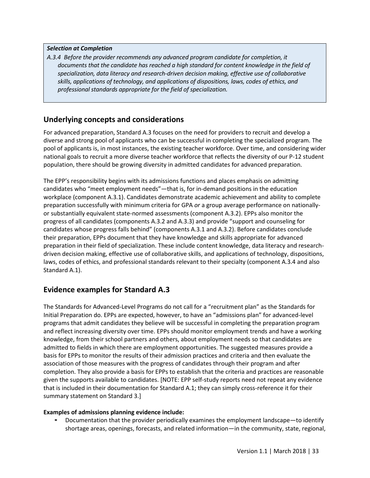## *Selection at Completion*

*A.3.4 Before the provider recommends any advanced program candidate for completion, it documents that the candidate has reached a high standard for content knowledge in the field of specialization, data literacy and research-driven decision making, effective use of collaborative skills, applications of technology, and applications of dispositions, laws, codes of ethics, and professional standards appropriate for the field of specialization.*

## **Underlying concepts and considerations**

For advanced preparation, Standard A.3 focuses on the need for providers to recruit and develop a diverse and strong pool of applicants who can be successful in completing the specialized program. The pool of applicants is, in most instances, the existing teacher workforce. Over time, and considering wider national goals to recruit a more diverse teacher workforce that reflects the diversity of our P-12 student population, there should be growing diversity in admitted candidates for advanced preparation.

The EPP's responsibility begins with its admissions functions and places emphasis on admitting candidates who "meet employment needs"—that is, for in-demand positions in the education workplace (component A.3.1). Candidates demonstrate academic achievement and ability to complete preparation successfully with minimum criteria for GPA *or* a group average performance on nationallyor substantially equivalent state-normed assessments (component A.3.2). EPPs also monitor the progress of all candidates (components A.3.2 and A.3.3) and provide "support and counseling for candidates whose progress falls behind" (components A.3.1 and A.3.2). Before candidates conclude their preparation, EPPs document that they have knowledge and skills appropriate for advanced preparation in their field of specialization. These include content knowledge, data literacy and researchdriven decision making, effective use of collaborative skills, and applications of technology, dispositions, laws, codes of ethics, and professional standards relevant to their specialty (component A.3.4 and also Standard A.1).

## **Evidence examples for Standard A.3**

The Standards for Advanced-Level Programs do not call for a "recruitment plan" as the Standards for Initial Preparation do. EPPs are expected, however, to have an "admissions plan" for advanced-level programs that admit candidates they believe will be successful in completing the preparation program and reflect increasing diversity over time. EPPs should monitor employment trends and have a working knowledge, from their school partners and others, about employment needs so that candidates are admitted to fields in which there are employment opportunities. The suggested measures provide a basis for EPPs to monitor the results of their admission practices and criteria and then evaluate the association of those measures with the progress of candidates through their program and after completion. They also provide a basis for EPPs to establish that the criteria and practices are reasonable given the supports available to candidates. [NOTE: EPP self-study reports need not repeat any evidence that is included in their documentation for Standard A.1; they can simply cross-reference it for their summary statement on Standard 3.]

## **Examples of admissions planning evidence include:**

*•* Documentation that the provider periodically examines the employment landscape—to identify shortage areas, openings, forecasts, and related information—in the community, state, regional,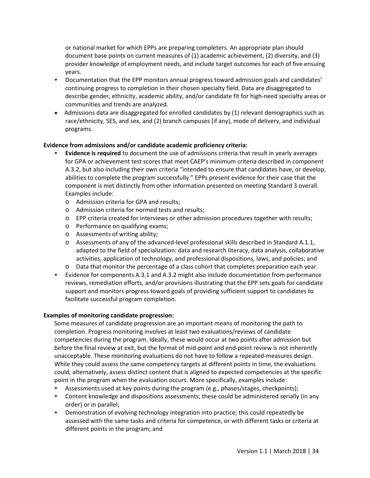or national market for which EPPs are preparing completers. An appropriate plan should document base points on current measures of (1) academic achievement, (2) diversity, and (3) provider knowledge of employment needs, and include target outcomes for each of five ensuing years.

- *•* Documentation that the EPP monitors annual progress toward admission goals and candidates' continuing progress to completion in their chosen specialty field. Data are disaggregated to describe gender, ethnicity, academic ability, and/or candidate fit for high-need specialty areas or communities and trends are analyzed.
- Admissions data are disaggregated for enrolled candidates by (1) relevant demographics such as race/ethnicity, SES, and sex, and (2) branch campuses (if any), mode of delivery, and individual programs.

## **Evidence from admissions and/or candidate academic proficiency criteria:**

- *•* **Evidence is required** to document the use of admissions criteria that result in yearly averages for GPA or achievement test scores that meet CAEP's minimum criteria described in component A.3.2, but also including their own criteria "intended to ensure that candidates have, or develop, abilities to complete the program successfully." EPPs present evidence for their case that the component is met distinctly from other information presented on meeting Standard 3 overall. Examples include:
	- o Admission criteria for GPA and results;
	- o Admission criteria for normed tests and results;
	- o EPP criteria created for interviews or other admission procedures together with results;
	- o Performance on qualifying exams;
	- o Assessments of writing ability;
	- o Assessments of any of the advanced-level professional skills described in Standard A.1.1, adapted to the field of specialization: data and research literacy, data analysis, collaborative activities, application of technology, and professional dispositions, laws, and policies; and
	- o Data that monitor the percentage of a class cohort that completes preparation each year.
- *•* Evidence for components A.3.1 and A.3.2 might also include documentation from performance reviews, remediation efforts, and/or provisions illustrating that the EPP sets goals for candidate support and monitors progress toward goals of providing sufficient support to candidates to facilitate successful program completion.

### **Examples of monitoring candidate progression:**

Some measures of candidate progression are an important means of monitoring the path to completion. Progress monitoring involves at least two evaluations/reviews of candidate competencies during the program. Ideally, these would occur at two points after admission but before the final review at exit, but the format of mid-point and end-point review is not inherently unacceptable. These monitoring evaluations do not have to follow a repeated-measures design. While they could assess the same competency targets at different points in time, the evaluations could, alternatively, assess distinct content that is aligned to expected competencies at the specific point in the program when the evaluation occurs. More specifically, examples include:

- *•* Assessments used at key points during the program (e.g., phases/stages, checkpoints);
- *•* Content knowledge and dispositions assessments; these could be administered serially (in any order) or in parallel;
- *•* Demonstration of evolving technology integration into practice; this could repeatedly be assessed with the same tasks and criteria for competence, or with different tasks or criteria at different points in the program; and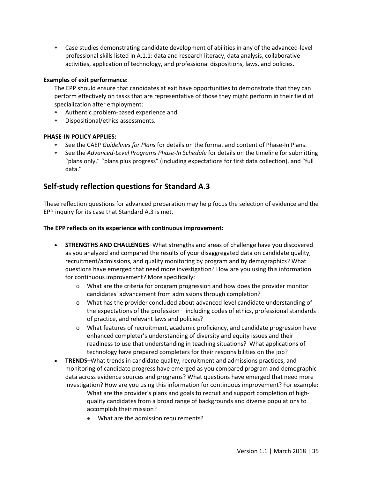*•* Case studies demonstrating candidate development of abilities in any of the advanced-level professional skills listed in A.1.1: data and research literacy, data analysis, collaborative activities, application of technology, and professional dispositions, laws, and policies.

## **Examples of exit performance:**

The EPP should ensure that candidates at exit have opportunities to demonstrate that they can perform effectively on tasks that are representative of those they might perform in their field of specialization after employment:

- *•* Authentic problem-based experience and
- *•* Dispositional/ethics assessments.

## **PHASE-IN POLICY APPLIES:**

- **•** See the CAEP *Guidelines for Plans* for details on the format and content of Phase-In Plans.
- **•** See the *Advanced-Level Programs Phase-In Schedule* for details on the timeline for submitting "plans only," "plans plus progress" (including expectations for first data collection), and "full data."

## **Self-study reflection questions for Standard A.3**

These reflection questions for advanced preparation may help focus the selection of evidence and the EPP inquiry for its case that Standard A.3 is met.

### **The EPP reflects on its experience with continuous improvement:**

- **STRENGTHS AND CHALLENGES**–What strengths and areas of challenge have you discovered as you analyzed and compared the results of your disaggregated data on candidate quality, recruitment/admissions, and quality monitoring by program and by demographics? What questions have emerged that need more investigation? How are you using this information for continuous improvement? More specifically:
	- o What are the criteria for program progression and how does the provider monitor candidates' advancement from admissions through completion?
	- o What has the provider concluded about advanced level candidate understanding of the expectations of the profession—including codes of ethics, professional standards of practice, and relevant laws and policies?
	- o What features of recruitment, academic proficiency, and candidate progression have enhanced completer's understanding of diversity and equity issues and their readiness to use that understanding in teaching situations? What applications of technology have prepared completers for their responsibilities on the job?
- **TRENDS**–What trends in candidate quality, recruitment and admissions practices, and monitoring of candidate progress have emerged as you compared program and demographic data across evidence sources and programs? What questions have emerged that need more investigation? How are you using this information for continuous improvement? For example: What are the provider's plans and goals to recruit and support completion of highquality candidates from a broad range of backgrounds and diverse populations to
	- accomplish their mission?
	- What are the admission requirements?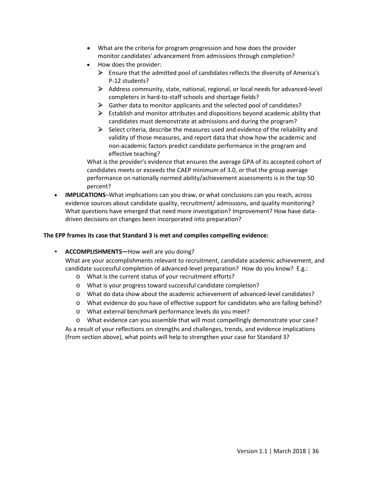- What are the criteria for program progression and how does the provider monitor candidates' advancement from admissions through completion?
- How does the provider:
	- $\triangleright$  Ensure that the admitted pool of candidates reflects the diversity of America's P-12 students?
	- $\triangleright$  Address community, state, national, regional, or local needs for advanced-level completers in hard-to-staff schools and shortage fields?
	- $\triangleright$  Gather data to monitor applicants and the selected pool of candidates?
	- $\triangleright$  Establish and monitor attributes and dispositions beyond academic ability that candidates must demonstrate at admissions and during the program?
	- $\triangleright$  Select criteria, describe the measures used and evidence of the reliability and validity of those measures, and report data that show how the academic and non-academic factors predict candidate performance in the program and effective teaching?

What is the provider's evidence that ensures the average GPA of its accepted cohort of candidates meets or exceeds the CAEP minimum of 3.0, *or* that the group average performance on nationally normed ability/achievement assessments is in the top 50 percent?

• **IMPLICATIONS**–What implications can you draw, or what conclusions can you reach, across evidence sources about candidate quality, recruitment/ admissions, and quality monitoring? What questions have emerged that need more investigation? Improvement? How have datadriven decisions on changes been incorporated into preparation?

### **The EPP frames its case that Standard 3 is met and compiles compelling evidence:**

• **ACCOMPLISHMENTS—**How well are you doing?

What are your accomplishments relevant to recruitment, candidate academic achievement, and candidate successful completion of advanced-level preparation? How do you know? E.g.:

- o What is the current status of your recruitment efforts?
- o What is your progress toward successful candidate completion?
- o What do data show about the academic achievement of advanced-level candidates?
- o What evidence do you have of effective support for candidates who are falling behind?
- o What external benchmark performance levels do you meet?
- o What evidence can you assemble that will most compellingly demonstrate your case?

As a result of your reflections on strengths and challenges, trends, and evidence implications (from section above), what points will help to strengthen your case for Standard 3?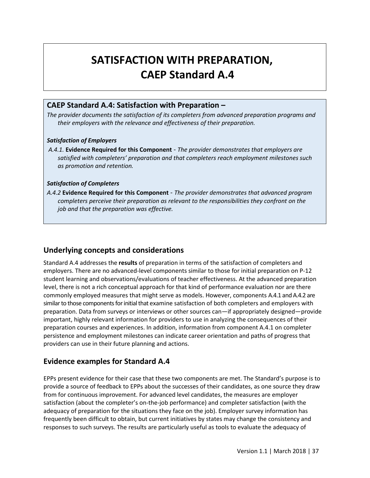# **SATISFACTION WITH PREPARATION, CAEP Standard A.4**

## **CAEP Standard A.4: Satisfaction with Preparation –**

*The provider documents the satisfaction of its completers from advanced preparation programs and their employers with the relevance and effectiveness of their preparation.* 

## *Satisfaction of Employers*

*A.4.1.* **Evidence Required for this Component** - *The provider demonstrates that employers are satisfied with completers' preparation and that completers reach employment milestones such as promotion and retention.* 

## *Satisfaction of Completers*

*A.4.2* **Evidence Required for this Component** - *The provider demonstrates that advanced program completers perceive their preparation as relevant to the responsibilities they confront on the job and that the preparation was effective.*

## **Underlying concepts and considerations**

Standard A.4 addresses the **results** of preparation in terms of the satisfaction of completers and employers. There are no advanced-level components similar to those for initial preparation on P-12 student learning and observations/evaluations of teacher effectiveness. At the advanced preparation level, there is not a rich conceptual approach for that kind of performance evaluation nor are there commonly employed measures that might serve as models. However, components A.4.1 and A.4.2 are similar to those components for initial that examine satisfaction of both completers and employers with preparation. Data from surveys or interviews or other sources can—if appropriately designed—provide important, highly relevant information for providers to use in analyzing the consequences of their preparation courses and experiences. In addition, information from component A.4.1 on completer persistence and employment milestones can indicate career orientation and paths of progress that providers can use in their future planning and actions.

## **Evidence examples for Standard A.4**

EPPs present evidence for their case that these two components are met. The Standard's purpose is to provide a source of feedback to EPPs about the successes of their candidates, as one source they draw from for continuous improvement. For advanced level candidates, the measures are employer satisfaction (about the completer's on-the-job performance) and completer satisfaction (with the adequacy of preparation for the situations they face on the job). Employer survey information has frequently been difficult to obtain, but current initiatives by states may change the consistency and responses to such surveys. The results are particularly useful as tools to evaluate the adequacy of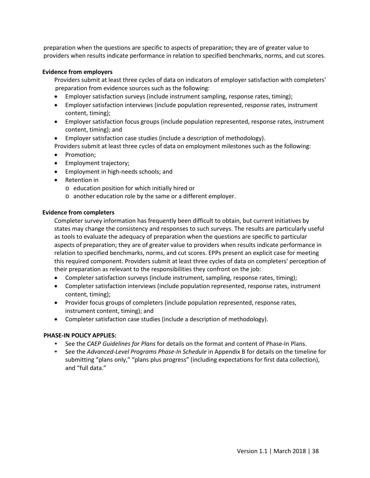preparation when the questions are specific to aspects of preparation; they are of greater value to providers when results indicate performance in relation to specified benchmarks, norms, and cut scores.

#### **Evidence from employers**

Providers submit at least three cycles of data on indicators of employer satisfaction with completers' preparation from evidence sources such as the following:

- Employer satisfaction surveys (include instrument sampling, response rates, timing);
- Employer satisfaction interviews (include population represented, response rates, instrument content, timing);
- Employer satisfaction focus groups (include population represented, response rates, instrument content, timing); and
- Employer satisfaction case studies (include a description of methodology).
- Providers submit at least three cycles of data on employment milestones such as the following:
- Promotion;
- Employment trajectory;
- Employment in high-needs schools; and
- Retention in
	- o education position for which initially hired or
	- o another education role by the same or a different employer.

#### **Evidence from completers**

Completer survey information has frequently been difficult to obtain, but current initiatives by states may change the consistency and responses to such surveys. The results are particularly useful as tools to evaluate the adequacy of preparation when the questions are specific to particular aspects of preparation; they are of greater value to providers when results indicate performance in relation to specified benchmarks, norms, and cut scores. EPPs present an explicit case for meeting this required component. Providers submit at least three cycles of data on completers' perception of their preparation as relevant to the responsibilities they confront on the job:

- Completer satisfaction surveys (include instrument, sampling, response rates, timing);
- Completer satisfaction interviews (include population represented, response rates, instrument content, timing);
- Provider focus groups of completers (include population represented, response rates, instrument content, timing); and
- Completer satisfaction case studies (include a description of methodology).

### **PHASE-IN POLICY APPLIES:**

- **•** See the *CAEP Guidelines for Plans* for details on the format and content of Phase-In Plans.
- **•** See the *Advanced-Level Programs Phase-In Schedule* in Appendix B for details on the timeline for submitting "plans only," "plans plus progress" (including expectations for first data collection), and "full data."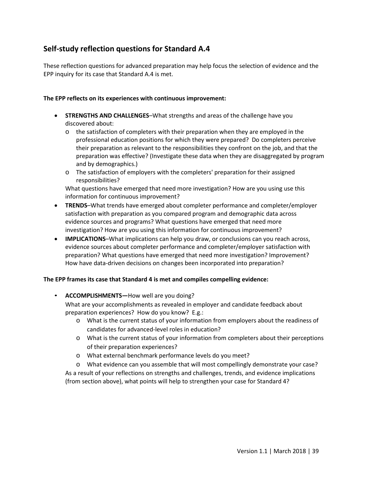## **Self-study reflection questions for Standard A.4**

These reflection questions for advanced preparation may help focus the selection of evidence and the EPP inquiry for its case that Standard A.4 is met.

## **The EPP reflects on its experiences with continuous improvement:**

- **STRENGTHS AND CHALLENGES**–What strengths and areas of the challenge have you discovered about:
	- o the satisfaction of completers with their preparation when they are employed in the professional education positions for which they were prepared? Do completers perceive their preparation as relevant to the responsibilities they confront on the job, and that the preparation was effective? (Investigate these data when they are disaggregated by program and by demographics.)
	- o The satisfaction of employers with the completers' preparation for their assigned responsibilities?

What questions have emerged that need more investigation? How are you using use this information for continuous improvement?

- **TRENDS**–What trends have emerged about completer performance and completer/employer satisfaction with preparation as you compared program and demographic data across evidence sources and programs? What questions have emerged that need more investigation? How are you using this information for continuous improvement?
- **IMPLICATIONS**–What implications can help you draw, or conclusions can you reach across, evidence sources about completer performance and completer/employer satisfaction with preparation? What questions have emerged that need more investigation? Improvement? How have data-driven decisions on changes been incorporated into preparation?

### **The EPP frames its case that Standard 4 is met and compiles compelling evidence:**

- **ACCOMPLISHMENTS—**How well are you doing? What are your accomplishments as revealed in employer and candidate feedback about preparation experiences? How do you know? E.g.:
	- o What is the current status of your information from employers about the readiness of candidates for advanced-level roles in education?
	- o What is the current status of your information from completers about their perceptions of their preparation experiences?
	- o What external benchmark performance levels do you meet?
	- o What evidence can you assemble that will most compellingly demonstrate your case?

As a result of your reflections on strengths and challenges, trends, and evidence implications (from section above), what points will help to strengthen your case for Standard 4?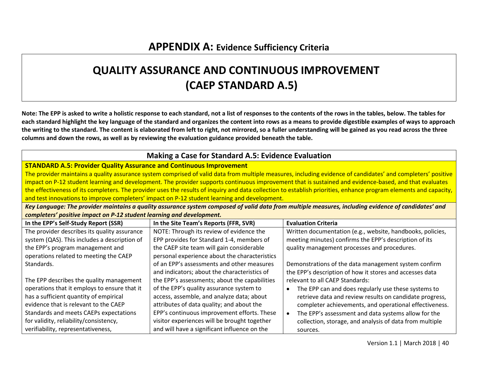## **QUALITY ASSURANCE AND CONTINUOUS IMPROVEMENT (CAEP STANDARD A.5)**

**Note: The EPP is asked to write a holistic response to each standard, not a list of responses to the contents of the rows in the tables, below. The tables for each standard highlight the key language of the standard and organizes the content into rows as a means to provide digestible examples of ways to approach the writing to the standard. The content is elaborated from left to right, not mirrored, so a fuller understanding will be gained as you read across the three columns and down the rows, as well as by reviewing the evaluation guidance provided beneath the table.** 

| <b>Making a Case for Standard A.5: Evidence Evaluation</b>                 |                                                                                              |                                                                                                                                                                   |  |
|----------------------------------------------------------------------------|----------------------------------------------------------------------------------------------|-------------------------------------------------------------------------------------------------------------------------------------------------------------------|--|
| <b>STANDARD A.5: Provider Quality Assurance and Continuous Improvement</b> |                                                                                              |                                                                                                                                                                   |  |
|                                                                            |                                                                                              | The provider maintains a quality assurance system comprised of valid data from multiple measures, including evidence of candidates' and completers' positive      |  |
|                                                                            |                                                                                              | impact on P-12 student learning and development. The provider supports continuous improvement that is sustained and evidence-based, and that evaluates            |  |
|                                                                            |                                                                                              | the effectiveness of its completers. The provider uses the results of inquiry and data collection to establish priorities, enhance program elements and capacity, |  |
|                                                                            | and test innovations to improve completers' impact on P-12 student learning and development. |                                                                                                                                                                   |  |
|                                                                            |                                                                                              | Key Language: The provider maintains a quality assurance system composed of valid data from multiple measures, including evidence of candidates' and              |  |
| completers' positive impact on P-12 student learning and development.      |                                                                                              |                                                                                                                                                                   |  |
| In the EPP's Self-Study Report (SSR)                                       | In the Site Team's Reports (FFR, SVR)                                                        | <b>Evaluation Criteria</b>                                                                                                                                        |  |
| The provider describes its quality assurance                               | NOTE: Through its review of evidence the                                                     | Written documentation (e.g., website, handbooks, policies,                                                                                                        |  |
| system (QAS). This includes a description of                               | EPP provides for Standard 1-4, members of                                                    | meeting minutes) confirms the EPP's description of its                                                                                                            |  |
| the EPP's program management and                                           | the CAEP site team will gain considerable                                                    | quality management processes and procedures.                                                                                                                      |  |
| operations related to meeting the CAEP                                     | personal experience about the characteristics                                                |                                                                                                                                                                   |  |
| Standards.                                                                 | of an EPP's assessments and other measures                                                   | Demonstrations of the data management system confirm                                                                                                              |  |
|                                                                            | and indicators; about the characteristics of                                                 | the EPP's description of how it stores and accesses data                                                                                                          |  |
| The EPP describes the quality management                                   | the EPP's assessments; about the capabilities                                                | relevant to all CAEP Standards:                                                                                                                                   |  |
| operations that it employs to ensure that it                               | of the EPP's quality assurance system to                                                     | The EPP can and does regularly use these systems to<br>$\bullet$                                                                                                  |  |
| has a sufficient quantity of empirical                                     | access, assemble, and analyze data; about                                                    | retrieve data and review results on candidate progress,                                                                                                           |  |
| evidence that is relevant to the CAEP                                      | attributes of data quality; and about the                                                    | completer achievements, and operational effectiveness.                                                                                                            |  |
| Standards and meets CAEPs expectations                                     | EPP's continuous improvement efforts. These                                                  | The EPP's assessment and data systems allow for the                                                                                                               |  |
| for validity, reliability/consistency,                                     | visitor experiences will be brought together                                                 | collection, storage, and analysis of data from multiple                                                                                                           |  |
| verifiability, representativeness,                                         | and will have a significant influence on the                                                 | sources.                                                                                                                                                          |  |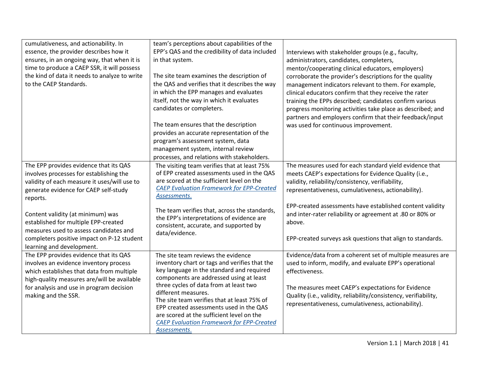| cumulativeness, and actionability. In         | team's perceptions about capabilities of the                                               |                                                                  |
|-----------------------------------------------|--------------------------------------------------------------------------------------------|------------------------------------------------------------------|
| essence, the provider describes how it        | EPP's QAS and the credibility of data included                                             | Interviews with stakeholder groups (e.g., faculty,               |
| ensures, in an ongoing way, that when it is   | in that system.                                                                            | administrators, candidates, completers,                          |
| time to produce a CAEP SSR, it will possess   |                                                                                            | mentor/cooperating clinical educators, employers)                |
| the kind of data it needs to analyze to write | The site team examines the description of                                                  | corroborate the provider's descriptions for the quality          |
| to the CAEP Standards.                        | the QAS and verifies that it describes the way                                             | management indicators relevant to them. For example,             |
|                                               | in which the EPP manages and evaluates                                                     | clinical educators confirm that they receive the rater           |
|                                               | itself, not the way in which it evaluates                                                  | training the EPPs described; candidates confirm various          |
|                                               | candidates or completers.                                                                  | progress monitoring activities take place as described; and      |
|                                               |                                                                                            | partners and employers confirm that their feedback/input         |
|                                               | The team ensures that the description                                                      | was used for continuous improvement.                             |
|                                               | provides an accurate representation of the                                                 |                                                                  |
|                                               | program's assessment system, data                                                          |                                                                  |
|                                               | management system, internal review                                                         |                                                                  |
|                                               | processes, and relations with stakeholders.                                                |                                                                  |
| The EPP provides evidence that its QAS        | The visiting team verifies that at least 75%                                               | The measures used for each standard yield evidence that          |
| involves processes for establishing the       | of EPP created assessments used in the QAS                                                 | meets CAEP's expectations for Evidence Quality (i.e.,            |
| validity of each measure it uses/will use to  | are scored at the sufficient level on the                                                  | validity, reliability/consistency, verifiability,                |
| generate evidence for CAEP self-study         | <b>CAEP Evaluation Framework for EPP-Created</b>                                           | representativeness, cumulativeness, actionability).              |
| reports.                                      | Assessments.                                                                               |                                                                  |
|                                               |                                                                                            | EPP-created assessments have established content validity        |
| Content validity (at minimum) was             | The team verifies that, across the standards,<br>the EPP's interpretations of evidence are | and inter-rater reliability or agreement at .80 or 80% or        |
| established for multiple EPP-created          | consistent, accurate, and supported by                                                     | above.                                                           |
| measures used to assess candidates and        | data/evidence.                                                                             |                                                                  |
| completers positive impact on P-12 student    |                                                                                            | EPP-created surveys ask questions that align to standards.       |
| learning and development.                     |                                                                                            |                                                                  |
| The EPP provides evidence that its QAS        | The site team reviews the evidence                                                         | Evidence/data from a coherent set of multiple measures are       |
| involves an evidence inventory process        | inventory chart or tags and verifies that the                                              | used to inform, modify, and evaluate EPP's operational           |
| which establishes that data from multiple     | key language in the standard and required                                                  | effectiveness.                                                   |
| high-quality measures are/will be available   | components are addressed using at least                                                    |                                                                  |
| for analysis and use in program decision      | three cycles of data from at least two                                                     | The measures meet CAEP's expectations for Evidence               |
| making and the SSR.                           | different measures.<br>The site team verifies that at least 75% of                         | Quality (i.e., validity, reliability/consistency, verifiability, |
|                                               | EPP created assessments used in the QAS                                                    | representativeness, cumulativeness, actionability).              |
|                                               | are scored at the sufficient level on the                                                  |                                                                  |
|                                               | <b>CAEP Evaluation Framework for EPP-Created</b>                                           |                                                                  |
|                                               | Assessments.                                                                               |                                                                  |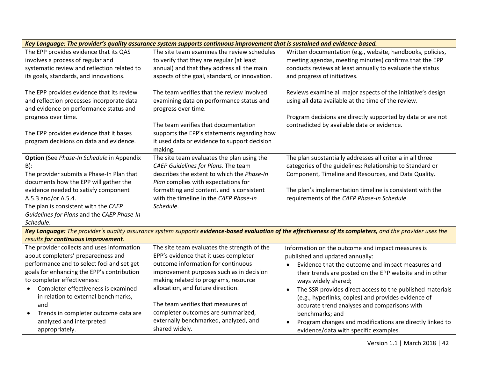| Key Language: The provider's quality assurance system supports continuous improvement that is sustained and evidence-based. |                                               |                                                                                                                                                            |  |
|-----------------------------------------------------------------------------------------------------------------------------|-----------------------------------------------|------------------------------------------------------------------------------------------------------------------------------------------------------------|--|
| The EPP provides evidence that its QAS                                                                                      | The site team examines the review schedules   | Written documentation (e.g., website, handbooks, policies,                                                                                                 |  |
| involves a process of regular and                                                                                           | to verify that they are regular (at least     | meeting agendas, meeting minutes) confirms that the EPP                                                                                                    |  |
| systematic review and reflection related to                                                                                 | annual) and that they address all the main    | conducts reviews at least annually to evaluate the status                                                                                                  |  |
| its goals, standards, and innovations.                                                                                      | aspects of the goal, standard, or innovation. | and progress of initiatives.                                                                                                                               |  |
|                                                                                                                             |                                               |                                                                                                                                                            |  |
| The EPP provides evidence that its review                                                                                   | The team verifies that the review involved    | Reviews examine all major aspects of the initiative's design                                                                                               |  |
| and reflection processes incorporate data                                                                                   | examining data on performance status and      | using all data available at the time of the review.                                                                                                        |  |
| and evidence on performance status and                                                                                      | progress over time.                           |                                                                                                                                                            |  |
| progress over time.                                                                                                         |                                               | Program decisions are directly supported by data or are not                                                                                                |  |
|                                                                                                                             | The team verifies that documentation          | contradicted by available data or evidence.                                                                                                                |  |
| The EPP provides evidence that it bases                                                                                     | supports the EPP's statements regarding how   |                                                                                                                                                            |  |
| program decisions on data and evidence.                                                                                     | it used data or evidence to support decision  |                                                                                                                                                            |  |
|                                                                                                                             | making.                                       |                                                                                                                                                            |  |
| <b>Option</b> (See Phase-In Schedule in Appendix                                                                            | The site team evaluates the plan using the    | The plan substantially addresses all criteria in all three                                                                                                 |  |
| $B)$ :                                                                                                                      | CAEP Guidelines for Plans. The team           | categories of the guidelines: Relationship to Standard or                                                                                                  |  |
| The provider submits a Phase-In Plan that                                                                                   | describes the extent to which the Phase-In    | Component, Timeline and Resources, and Data Quality.                                                                                                       |  |
| documents how the EPP will gather the                                                                                       | Plan complies with expectations for           |                                                                                                                                                            |  |
| evidence needed to satisfy component                                                                                        | formatting and content, and is consistent     | The plan's implementation timeline is consistent with the                                                                                                  |  |
| A.5.3 and/or A.5.4.                                                                                                         | with the timeline in the CAEP Phase-In        | requirements of the CAEP Phase-In Schedule.                                                                                                                |  |
| The plan is consistent with the CAEP                                                                                        | Schedule.                                     |                                                                                                                                                            |  |
| Guidelines for Plans and the CAEP Phase-In                                                                                  |                                               |                                                                                                                                                            |  |
| Schedule.                                                                                                                   |                                               |                                                                                                                                                            |  |
|                                                                                                                             |                                               | Key Language: The provider's quality assurance system supports evidence-based evaluation of the effectiveness of its completers, and the provider uses the |  |
| results for continuous improvement.                                                                                         |                                               |                                                                                                                                                            |  |
| The provider collects and uses information                                                                                  | The site team evaluates the strength of the   | Information on the outcome and impact measures is                                                                                                          |  |
| about completers' preparedness and                                                                                          | EPP's evidence that it uses completer         | published and updated annually:                                                                                                                            |  |
| performance and to select foci and set get                                                                                  | outcome information for continuous            | Evidence that the outcome and impact measures and                                                                                                          |  |
| goals for enhancing the EPP's contribution                                                                                  | improvement purposes such as in decision      | their trends are posted on the EPP website and in other                                                                                                    |  |
| to completer effectiveness:                                                                                                 | making related to programs, resource          | ways widely shared;                                                                                                                                        |  |
| Completer effectiveness is examined<br>$\bullet$                                                                            | allocation, and future direction.             | The SSR provides direct access to the published materials<br>$\bullet$                                                                                     |  |
| in relation to external benchmarks,                                                                                         |                                               | (e.g., hyperlinks, copies) and provides evidence of                                                                                                        |  |
| and                                                                                                                         | The team verifies that measures of            | accurate trend analyses and comparisons with                                                                                                               |  |
| Trends in completer outcome data are<br>$\bullet$                                                                           | completer outcomes are summarized,            | benchmarks; and                                                                                                                                            |  |
| analyzed and interpreted                                                                                                    | externally benchmarked, analyzed, and         | Program changes and modifications are directly linked to                                                                                                   |  |
| appropriately.                                                                                                              | shared widely.                                | evidence/data with specific examples.                                                                                                                      |  |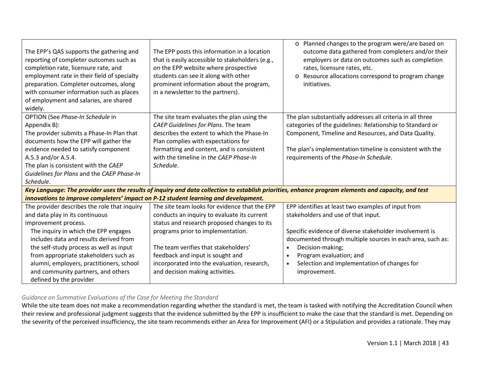| The EPP's QAS supports the gathering and<br>reporting of completer outcomes such as<br>completion rate, licensure rate, and<br>employment rate in their field of specialty<br>preparation. Completer outcomes, along<br>with consumer information such as places<br>of employment and salaries, are shared<br>widely. | The EPP posts this information in a location<br>that is easily accessible to stakeholders (e.g.,<br>on the EPP website where prospective<br>students can see it along with other<br>prominent information about the program,<br>in a newsletter to the partners). | Planned changes to the program were/are based on<br>$\circ$<br>outcome data gathered from completers and/or their<br>employers or data on outcomes such as completion<br>rates, licensure rates, etc.<br>Resource allocations correspond to program change<br>$\circ$<br>initiatives. |
|-----------------------------------------------------------------------------------------------------------------------------------------------------------------------------------------------------------------------------------------------------------------------------------------------------------------------|-------------------------------------------------------------------------------------------------------------------------------------------------------------------------------------------------------------------------------------------------------------------|---------------------------------------------------------------------------------------------------------------------------------------------------------------------------------------------------------------------------------------------------------------------------------------|
| OPTION (See Phase-In Schedule in                                                                                                                                                                                                                                                                                      | The site team evaluates the plan using the                                                                                                                                                                                                                        | The plan substantially addresses all criteria in all three                                                                                                                                                                                                                            |
| Appendix B):                                                                                                                                                                                                                                                                                                          | CAEP Guidelines for Plans. The team                                                                                                                                                                                                                               | categories of the guidelines: Relationship to Standard or                                                                                                                                                                                                                             |
| The provider submits a Phase-In Plan that                                                                                                                                                                                                                                                                             | describes the extent to which the Phase-In                                                                                                                                                                                                                        | Component, Timeline and Resources, and Data Quality.                                                                                                                                                                                                                                  |
| documents how the EPP will gather the                                                                                                                                                                                                                                                                                 | Plan complies with expectations for                                                                                                                                                                                                                               |                                                                                                                                                                                                                                                                                       |
| evidence needed to satisfy component                                                                                                                                                                                                                                                                                  | formatting and content, and is consistent                                                                                                                                                                                                                         | The plan's implementation timeline is consistent with the                                                                                                                                                                                                                             |
| A.5.3 and/or A.5.4.                                                                                                                                                                                                                                                                                                   | with the timeline in the CAEP Phase-In                                                                                                                                                                                                                            | requirements of the Phase-In Schedule.                                                                                                                                                                                                                                                |
| The plan is consistent with the CAEP                                                                                                                                                                                                                                                                                  | Schedule.                                                                                                                                                                                                                                                         |                                                                                                                                                                                                                                                                                       |
| Guidelines for Plans and the CAEP Phase-In                                                                                                                                                                                                                                                                            |                                                                                                                                                                                                                                                                   |                                                                                                                                                                                                                                                                                       |
| Schedule.                                                                                                                                                                                                                                                                                                             |                                                                                                                                                                                                                                                                   |                                                                                                                                                                                                                                                                                       |
|                                                                                                                                                                                                                                                                                                                       |                                                                                                                                                                                                                                                                   | Key Language: The provider uses the results of inquiry and data collection to establish priorities, enhance program elements and capacity, and test                                                                                                                                   |
| innovations to improve completers' impact on P-12 student learning and development.                                                                                                                                                                                                                                   |                                                                                                                                                                                                                                                                   |                                                                                                                                                                                                                                                                                       |
| The provider describes the role that inquiry                                                                                                                                                                                                                                                                          | The site team looks for evidence that the EPP                                                                                                                                                                                                                     | EPP identifies at least two examples of input from                                                                                                                                                                                                                                    |
| and data play in its continuous                                                                                                                                                                                                                                                                                       | conducts an inquiry to evaluate its current                                                                                                                                                                                                                       | stakeholders and use of that input.                                                                                                                                                                                                                                                   |
| improvement process.                                                                                                                                                                                                                                                                                                  | status and research proposed changes to its                                                                                                                                                                                                                       |                                                                                                                                                                                                                                                                                       |
| The inquiry in which the EPP engages                                                                                                                                                                                                                                                                                  | programs prior to implementation.                                                                                                                                                                                                                                 | Specific evidence of diverse stakeholder involvement is                                                                                                                                                                                                                               |
| includes data and results derived from                                                                                                                                                                                                                                                                                |                                                                                                                                                                                                                                                                   | documented through multiple sources in each area, such as:                                                                                                                                                                                                                            |
| the self-study process as well as input                                                                                                                                                                                                                                                                               | The team verifies that stakeholders'                                                                                                                                                                                                                              | Decision-making;<br>$\bullet$                                                                                                                                                                                                                                                         |
| from appropriate stakeholders such as                                                                                                                                                                                                                                                                                 | feedback and input is sought and                                                                                                                                                                                                                                  | Program evaluation; and<br>$\bullet$                                                                                                                                                                                                                                                  |
| alumni, employers, practitioners, school                                                                                                                                                                                                                                                                              | incorporated into the evaluation, research,                                                                                                                                                                                                                       | Selection and implementation of changes for<br>$\bullet$                                                                                                                                                                                                                              |
| and community partners, and others                                                                                                                                                                                                                                                                                    | and decision making activities.                                                                                                                                                                                                                                   | improvement.                                                                                                                                                                                                                                                                          |
| defined by the provider                                                                                                                                                                                                                                                                                               |                                                                                                                                                                                                                                                                   |                                                                                                                                                                                                                                                                                       |

## *Guidance on Summative Evaluations of the Case for Meeting the Standard*

While the site team does not make a recommendation regarding whether the standard is met, the team is tasked with notifying the Accreditation Council when their review and professional judgment suggests that the evidence submitted by the EPP is insufficient to make the case that the standard is met. Depending on the severity of the perceived insufficiency, the site team recommends either an Area for Improvement (AFI) or a Stipulation and provides a rationale. They may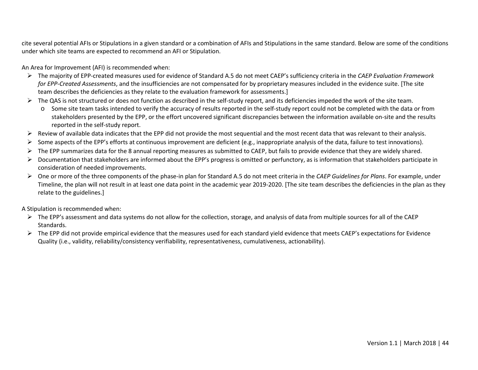cite several potential AFIs or Stipulations in a given standard or a combination of AFIs and Stipulations in the same standard. Below are some of the conditions under which site teams are expected to recommend an AFI or Stipulation.

An Area for Improvement (AFI) is recommended when:

- The majority of EPP-created measures used for evidence of Standard A.5 do not meet CAEP's sufficiency criteria in the *[CAEP Evaluation Framework](http://caepnet.org/%7E/media/Files/caep/accreditation-resources/caep-assessment-tool-v1-20170127t140453.pdf?la=en)  [for EPP-Created Assessments](http://caepnet.org/%7E/media/Files/caep/accreditation-resources/caep-assessment-tool-v1-20170127t140453.pdf?la=en)*, and the insufficiencies are not compensated for by proprietary measures included in the evidence suite. [The site team describes the deficiencies as they relate to the evaluation framework for assessments.]
- $\triangleright$  The QAS is not structured or does not function as described in the self-study report, and its deficiencies impeded the work of the site team.
	- o Some site team tasks intended to verify the accuracy of results reported in the self-study report could not be completed with the data or from stakeholders presented by the EPP, or the effort uncovered significant discrepancies between the information available on-site and the results reported in the self-study report.
- $\triangleright$  Review of available data indicates that the EPP did not provide the most sequential and the most recent data that was relevant to their analysis.
- Some aspects of the EPP's efforts at continuous improvement are deficient (e.g., inappropriate analysis of the data, failure to test innovations).
- $\triangleright$  The EPP summarizes data for the 8 annual reporting measures as submitted to CAEP, but fails to provide evidence that they are widely shared.
- $\triangleright$  Documentation that stakeholders are informed about the EPP's progress is omitted or perfunctory, as is information that stakeholders participate in consideration of needed improvements.
- One or more of the three components of the phase-in plan for Standard A.5 do not meet criteria in the *CAEP Guidelines for Plans*. For example, under Timeline, the plan will not result in at least one data point in the academic year 2019-2020. [The site team describes the deficiencies in the plan as they relate to the guidelines.]

A Stipulation is recommended when:

- $\triangleright$  The EPP's assessment and data systems do not allow for the collection, storage, and analysis of data from multiple sources for all of the CAEP Standards.
- $\triangleright$  The EPP did not provide empirical evidence that the measures used for each standard yield evidence that meets CAEP's expectations for Evidence Quality (i.e., validity, reliability/consistency verifiability, representativeness, cumulativeness, actionability).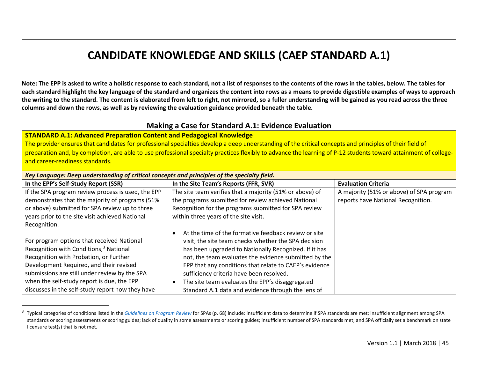## <span id="page-44-0"></span>**CANDIDATE KNOWLEDGE AND SKILLS (CAEP STANDARD A.1)**

**Note: The EPP is asked to write a holistic response to each standard, not a list of responses to the contents of the rows in the tables, below. The tables for each standard highlight the key language of the standard and organizes the content into rows as a means to provide digestible examples of ways to approach the writing to the standard. The content is elaborated from left to right, not mirrored, so a fuller understanding will be gained as you read across the three columns and down the rows, as well as by reviewing the evaluation guidance provided beneath the table.** 

## **Making a Case for Standard A.1: Evidence Evaluation**

## **STANDARD A.1: Advanced Preparation Content and Pedagogical Knowledge**

The provider ensures that candidates for professional specialties develop a deep understanding of the critical concepts and principles of their field of preparation and, by completion, are able to use professional specialty practices flexibly to advance the learning of P-12 students toward attainment of collegeand career-readiness standards.

| Key Language: Deep understanding of critical concepts and principles of the specialty field. |                                                          |                                          |  |
|----------------------------------------------------------------------------------------------|----------------------------------------------------------|------------------------------------------|--|
| In the EPP's Self-Study Report (SSR)                                                         | In the Site Team's Reports (FFR, SVR)                    | <b>Evaluation Criteria</b>               |  |
| If the SPA program review process is used, the EPP                                           | The site team verifies that a majority (51% or above) of | A majority (51% or above) of SPA program |  |
| demonstrates that the majority of programs (51%                                              | the programs submitted for review achieved National      | reports have National Recognition.       |  |
| or above) submitted for SPA review up to three                                               | Recognition for the programs submitted for SPA review    |                                          |  |
| years prior to the site visit achieved National                                              | within three years of the site visit.                    |                                          |  |
| Recognition.                                                                                 |                                                          |                                          |  |
|                                                                                              | At the time of the formative feedback review or site     |                                          |  |
| For program options that received National                                                   | visit, the site team checks whether the SPA decision     |                                          |  |
| Recognition with Conditions, <sup>3</sup> National                                           | has been upgraded to Nationally Recognized. If it has    |                                          |  |
| Recognition with Probation, or Further                                                       | not, the team evaluates the evidence submitted by the    |                                          |  |
| Development Required, and their revised                                                      | EPP that any conditions that relate to CAEP's evidence   |                                          |  |
| submissions are still under review by the SPA                                                | sufficiency criteria have been resolved.                 |                                          |  |
| when the self-study report is due, the EPP                                                   | The site team evaluates the EPP's disaggregated          |                                          |  |
| discusses in the self-study report how they have                                             | Standard A.1 data and evidence through the lens of       |                                          |  |

<sup>-&</sup>lt;br>3 <sup>3</sup> Typical categories of conditions listed in the *[Guidelines on Program Review](http://caepnet.org/%7E/media/Files/caep/accreditation/guidelines-on-program-review-with-nation.pdf?la=en)* for SPAs (p. 68) include: insufficient data to determine if SPA standards are met; insufficient alignment among SPA standards or scoring assessments or scoring guides; lack of quality in some assessments or scoring guides; insufficient number of SPA standards met; and SPA officially set a benchmark on state licensure test(s) that is not met.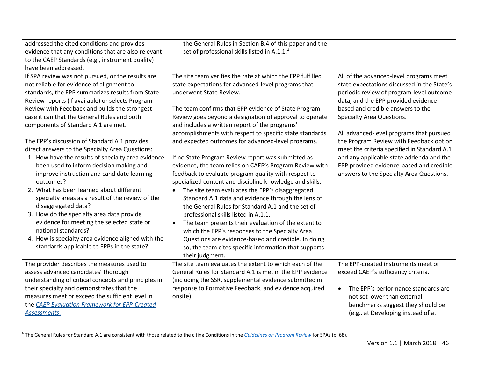<span id="page-45-0"></span>

| addressed the cited conditions and provides          | the General Rules in Section B.4 of this paper and the           |                                                  |
|------------------------------------------------------|------------------------------------------------------------------|--------------------------------------------------|
| evidence that any conditions that are also relevant  | set of professional skills listed in A.1.1. <sup>4</sup>         |                                                  |
| to the CAEP Standards (e.g., instrument quality)     |                                                                  |                                                  |
| have been addressed.                                 |                                                                  |                                                  |
| If SPA review was not pursued, or the results are    | The site team verifies the rate at which the EPP fulfilled       | All of the advanced-level programs meet          |
| not reliable for evidence of alignment to            | state expectations for advanced-level programs that              | state expectations discussed in the State's      |
| standards, the EPP summarizes results from State     | underwent State Review.                                          | periodic review of program-level outcome         |
| Review reports (if available) or selects Program     |                                                                  | data, and the EPP provided evidence-             |
| Review with Feedback and builds the strongest        | The team confirms that EPP evidence of State Program             | based and credible answers to the                |
| case it can that the General Rules and both          | Review goes beyond a designation of approval to operate          | Specialty Area Questions.                        |
| components of Standard A.1 are met.                  | and includes a written report of the programs'                   |                                                  |
|                                                      | accomplishments with respect to specific state standards         | All advanced-level programs that pursued         |
| The EPP's discussion of Standard A.1 provides        | and expected outcomes for advanced-level programs.               | the Program Review with Feedback option          |
| direct answers to the Specialty Area Questions:      |                                                                  | meet the criteria specified in Standard A.1      |
| 1. How have the results of specialty area evidence   | If no State Program Review report was submitted as               | and any applicable state addenda and the         |
| been used to inform decision making and              | evidence, the team relies on CAEP's Program Review with          | EPP provided evidence-based and credible         |
| improve instruction and candidate learning           | feedback to evaluate program quality with respect to             | answers to the Specialty Area Questions.         |
| outcomes?                                            | specialized content and discipline knowledge and skills.         |                                                  |
| 2. What has been learned about different             | The site team evaluates the EPP's disaggregated                  |                                                  |
| specialty areas as a result of the review of the     | Standard A.1 data and evidence through the lens of               |                                                  |
| disaggregated data?                                  | the General Rules for Standard A.1 and the set of                |                                                  |
| 3. How do the specialty area data provide            | professional skills listed in A.1.1.                             |                                                  |
| evidence for meeting the selected state or           | The team presents their evaluation of the extent to<br>$\bullet$ |                                                  |
| national standards?                                  | which the EPP's responses to the Specialty Area                  |                                                  |
| 4. How is specialty area evidence aligned with the   | Questions are evidence-based and credible. In doing              |                                                  |
| standards applicable to EPPs in the state?           | so, the team cites specific information that supports            |                                                  |
|                                                      | their judgment.                                                  |                                                  |
|                                                      | The site team evaluates the extent to which each of the          | The EPP-created instruments meet or              |
| The provider describes the measures used to          | General Rules for Standard A.1 is met in the EPP evidence        |                                                  |
| assess advanced candidates' thorough                 |                                                                  | exceed CAEP's sufficiency criteria.              |
| understanding of critical concepts and principles in | (including the SSR, supplemental evidence submitted in           |                                                  |
| their specialty and demonstrates that the            | response to Formative Feedback, and evidence acquired            | The EPP's performance standards are<br>$\bullet$ |
| measures meet or exceed the sufficient level in      | onsite).                                                         | not set lower than external                      |
| the CAEP Evaluation Framework for EPP-Created        |                                                                  | benchmarks suggest they should be                |
| Assessments.                                         |                                                                  | (e.g., at Developing instead of at               |

 <sup>4</sup> The General Rules for Standard A.1 are consistent with those related to the citing Conditions in the *[Guidelines on Program Review](http://caepnet.org/%7E/media/Files/caep/accreditation/guidelines-on-program-review-with-nation.pdf?la=en)* for SPAs (p. 68).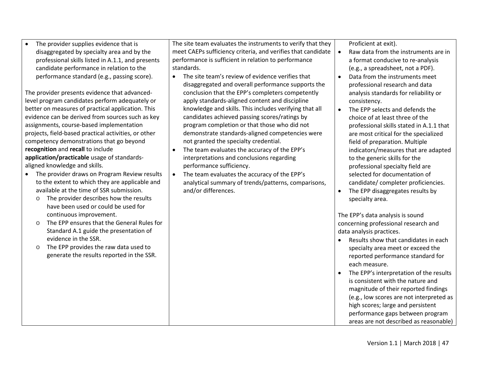The provider supplies evidence that is disaggregated by specialty area and by the professional skills listed in A.1.1, and presents candidate performance in relation to the performance standard (e.g., passing score).

The provider presents evidence that advancedlevel program candidates perform adequately or better on measures of practical application. This evidence can be derived from sources such as key assignments, course-based implementation projects, field-based practical activities, or other competency demonstrations that go beyond **recognition** and **recall** to include **application/practicable** usage of standardsaligned knowledge and skills.

- The provider draws on Program Review results to the extent to which they are applicable and available at the time of SSR submission.
	- o The provider describes how the results have been used or could be used for continuous improvement.
	- o The EPP ensures that the General Rules for Standard A.1 guide the presentation of evidence in the SSR.
	- o The EPP provides the raw data used to generate the results reported in the SSR.

The site team evaluates the instruments to verify that they meet CAEPs sufficiency criteria, and verifies that candidate performance is sufficient in relation to performance standards.

- The site team's review of evidence verifies that disaggregated and overall performance supports the conclusion that the EPP's completers competently apply standards-aligned content and discipline knowledge and skills. This includes verifying that all candidates achieved passing scores/ratings by program completion or that those who did not demonstrate standards-aligned competencies were not granted the specialty credential.
- The team evaluates the accuracy of the EPP's interpretations and conclusions regarding performance sufficiency.
- The team evaluates the accuracy of the EPP's analytical summary of trends/patterns, comparisons, and/or differences.

Proficient at exit).

- Raw data from the instruments are in a format conducive to re-analysis (e.g., a spreadsheet, not a PDF).
- Data from the instruments meet professional research and data analysis standards for reliability or consistency.
- The EPP selects and defends the choice of at least three of the professional skills stated in A.1.1 that are most critical for the specialized field of preparation. Multiple indicators/measures that are adapted to the generic skills for the professional specialty field are selected for documentation of candidate/ completer proficiencies.
- The EPP disaggregates results by specialty area.

The EPP's data analysis is sound concerning professional research and data analysis practices.

- Results show that candidates in each specialty area meet or exceed the reported performance standard for each measure.
- The EPP's interpretation of the results is consistent with the nature and magnitude of their reported findings (e.g., low scores are not interpreted as high scores; large and persistent performance gaps between program areas are not described as reasonable)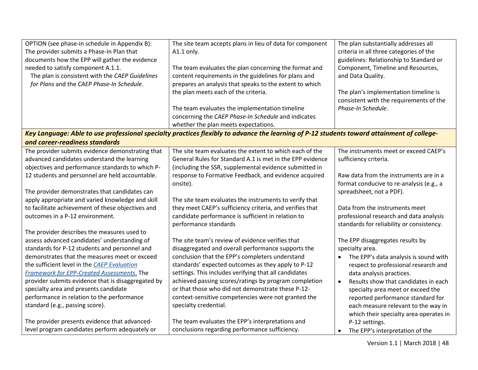| OPTION (see phase-in schedule in Appendix B):      | The site team accepts plans in lieu of data for component                                                                                  | The plan substantially addresses all      |
|----------------------------------------------------|--------------------------------------------------------------------------------------------------------------------------------------------|-------------------------------------------|
| The provider submits a Phase-In Plan that          | A1.1 only.                                                                                                                                 | criteria in all three categories of the   |
| documents how the EPP will gather the evidence     |                                                                                                                                            | guidelines: Relationship to Standard or   |
| needed to satisfy component A.1.1.                 | The team evaluates the plan concerning the format and                                                                                      | Component, Timeline and Resources,        |
| The plan is consistent with the CAEP Guidelines    | content requirements in the guidelines for plans and                                                                                       | and Data Quality.                         |
| for Plans and the CAEP Phase-In Schedule.          | prepares an analysis that speaks to the extent to which                                                                                    |                                           |
|                                                    | the plan meets each of the criteria.                                                                                                       | The plan's implementation timeline is     |
|                                                    |                                                                                                                                            | consistent with the requirements of the   |
|                                                    | The team evaluates the implementation timeline                                                                                             | Phase-In Schedule.                        |
|                                                    | concerning the CAEP Phase-In Schedule and indicates                                                                                        |                                           |
|                                                    | whether the plan meets expectations.                                                                                                       |                                           |
|                                                    | Key Language: Able to use professional specialty practices flexibly to advance the learning of P-12 students toward attainment of college- |                                           |
| and career-readiness standards                     |                                                                                                                                            |                                           |
| The provider submits evidence demonstrating that   | The site team evaluates the extent to which each of the                                                                                    | The instruments meet or exceed CAEP's     |
| advanced candidates understand the learning        | General Rules for Standard A.1 is met in the EPP evidence                                                                                  | sufficiency criteria.                     |
| objectives and performance standards to which P-   | (including the SSR, supplemental evidence submitted in                                                                                     |                                           |
| 12 students and personnel are held accountable.    | response to Formative Feedback, and evidence acquired                                                                                      | Raw data from the instruments are in a    |
|                                                    | onsite).                                                                                                                                   | format conducive to re-analysis (e.g., a  |
| The provider demonstrates that candidates can      |                                                                                                                                            | spreadsheet, not a PDF).                  |
| apply appropriate and varied knowledge and skill   | The site team evaluates the instruments to verify that                                                                                     |                                           |
| to facilitate achievement of these objectives and  | they meet CAEP's sufficiency criteria, and verifies that                                                                                   | Data from the instruments meet            |
| outcomes in a P-12 environment.                    | candidate performance is sufficient in relation to                                                                                         | professional research and data analysis   |
|                                                    | performance standards                                                                                                                      | standards for reliability or consistency. |
| The provider describes the measures used to        |                                                                                                                                            |                                           |
| assess advanced candidates' understanding of       | The site team's review of evidence verifies that                                                                                           | The EPP disaggregates results by          |
| standards for P-12 students and personnel and      | disaggregated and overall performance supports the                                                                                         | specialty area.                           |
| demonstrates that the measures meet or exceed      | conclusion that the EPP's completers understand                                                                                            | The EPP's data analysis is sound with     |
| the sufficient level in the CAEP Evaluation        | standards' expected outcomes as they apply to P-12                                                                                         | respect to professional research and      |
| Framework for EPP-Created Assessments. The         | settings. This includes verifying that all candidates                                                                                      | data analysis practices.                  |
| provider submits evidence that is disaggregated by | achieved passing scores/ratings by program completion                                                                                      | Results show that candidates in each      |
| specialty area and presents candidate              | or that those who did not demonstrate these P-12-                                                                                          | specialty area meet or exceed the         |
| performance in relation to the performance         | context-sensitive competencies were not granted the                                                                                        | reported performance standard for         |
| standard (e.g., passing score).                    | specialty credential.                                                                                                                      | each measure relevant to the way in       |
|                                                    |                                                                                                                                            | which their specialty area operates in    |
| The provider presents evidence that advanced-      | The team evaluates the EPP's interpretations and                                                                                           | P-12 settings.                            |
| level program candidates perform adequately or     | conclusions regarding performance sufficiency.                                                                                             | The EPP's interpretation of the           |
|                                                    |                                                                                                                                            |                                           |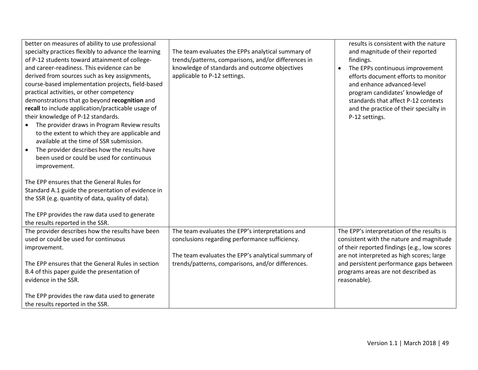| better on measures of ability to use professional<br>specialty practices flexibly to advance the learning<br>of P-12 students toward attainment of college-<br>and career-readiness. This evidence can be<br>derived from sources such as key assignments,<br>course-based implementation projects, field-based<br>practical activities, or other competency<br>demonstrations that go beyond recognition and<br>recall to include application/practicable usage of<br>their knowledge of P-12 standards.<br>The provider draws in Program Review results<br>to the extent to which they are applicable and<br>available at the time of SSR submission.<br>The provider describes how the results have<br>$\bullet$<br>been used or could be used for continuous<br>improvement.<br>The EPP ensures that the General Rules for<br>Standard A.1 guide the presentation of evidence in<br>the SSR (e.g. quantity of data, quality of data). | The team evaluates the EPPs analytical summary of<br>trends/patterns, comparisons, and/or differences in<br>knowledge of standards and outcome objectives<br>applicable to P-12 settings. | results is consistent with the nature<br>and magnitude of their reported<br>findings.<br>The EPPs continuous improvement<br>$\bullet$<br>efforts document efforts to monitor<br>and enhance advanced-level<br>program candidates' knowledge of<br>standards that affect P-12 contexts<br>and the practice of their specialty in<br>P-12 settings. |
|-------------------------------------------------------------------------------------------------------------------------------------------------------------------------------------------------------------------------------------------------------------------------------------------------------------------------------------------------------------------------------------------------------------------------------------------------------------------------------------------------------------------------------------------------------------------------------------------------------------------------------------------------------------------------------------------------------------------------------------------------------------------------------------------------------------------------------------------------------------------------------------------------------------------------------------------|-------------------------------------------------------------------------------------------------------------------------------------------------------------------------------------------|---------------------------------------------------------------------------------------------------------------------------------------------------------------------------------------------------------------------------------------------------------------------------------------------------------------------------------------------------|
| The EPP provides the raw data used to generate<br>the results reported in the SSR.                                                                                                                                                                                                                                                                                                                                                                                                                                                                                                                                                                                                                                                                                                                                                                                                                                                        |                                                                                                                                                                                           |                                                                                                                                                                                                                                                                                                                                                   |
| The provider describes how the results have been<br>used or could be used for continuous<br>improvement.                                                                                                                                                                                                                                                                                                                                                                                                                                                                                                                                                                                                                                                                                                                                                                                                                                  | The team evaluates the EPP's interpretations and<br>conclusions regarding performance sufficiency.<br>The team evaluates the EPP's analytical summary of                                  | The EPP's interpretation of the results is<br>consistent with the nature and magnitude<br>of their reported findings (e.g., low scores<br>are not interpreted as high scores; large                                                                                                                                                               |
| The EPP ensures that the General Rules in section<br>B.4 of this paper guide the presentation of<br>evidence in the SSR.                                                                                                                                                                                                                                                                                                                                                                                                                                                                                                                                                                                                                                                                                                                                                                                                                  | trends/patterns, comparisons, and/or differences.                                                                                                                                         | and persistent performance gaps between<br>programs areas are not described as<br>reasonable).                                                                                                                                                                                                                                                    |
| The EPP provides the raw data used to generate<br>the results reported in the SSR.                                                                                                                                                                                                                                                                                                                                                                                                                                                                                                                                                                                                                                                                                                                                                                                                                                                        |                                                                                                                                                                                           |                                                                                                                                                                                                                                                                                                                                                   |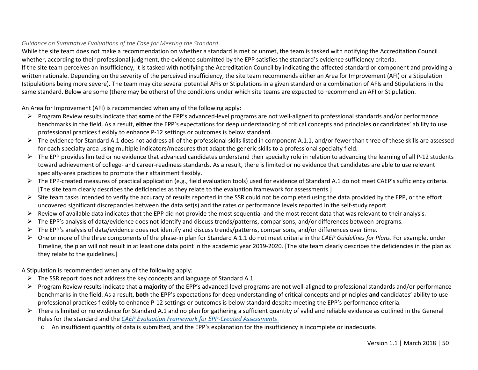## *Guidance on Summative Evaluations of the Case for Meeting the Standard*

While the site team does not make a recommendation on whether a standard is met or unmet, the team is tasked with notifying the Accreditation Council whether, according to their professional judgment, the evidence submitted by the EPP satisfies the standard's evidence sufficiency criteria. If the site team perceives an insufficiency, it is tasked with notifying the Accreditation Council by indicating the affected standard or component and providing a written rationale. Depending on the severity of the perceived insufficiency, the site team recommends either an Area for Improvement (AFI) or a Stipulation (stipulations being more severe). The team may cite several potential AFIs or Stipulations in a given standard or a combination of AFIs and Stipulations in the same standard. Below are some (there may be others) of the conditions under which site teams are expected to recommend an AFI or Stipulation.

An Area for Improvement (AFI) is recommended when any of the following apply:

- Program Review results indicate that **some** of the EPP's advanced-level programs are not well-aligned to professional standards and/or performance benchmarks in the field. As a result, **either** the EPP's expectations for deep understanding of critical concepts and principles **or** candidates' ability to use professional practices flexibly to enhance P-12 settings or outcomes is below standard.
- $\triangleright$  The evidence for Standard A.1 does not address all of the professional skills listed in component A.1.1, and/or fewer than three of these skills are assessed for each specialty area using multiple indicators/measures that adapt the generic skills to a professional specialty field.
- $\triangleright$  The EPP provides limited or no evidence that advanced candidates understand their specialty role in relation to advancing the learning of all P-12 students toward achievement of college- and career-readiness standards. As a result, there is limited or no evidence that candidates are able to use relevant specialty-area practices to promote their attainment flexibly.
- $\triangleright$  The EPP-created measures of practical application (e.g., field evaluation tools) used for evidence of Standard A.1 do not meet CAEP's sufficiency criteria. [The site team clearly describes the deficiencies as they relate to the evaluation framework for assessments.]
- $\triangleright$  Site team tasks intended to verify the accuracy of results reported in the SSR could not be completed using the data provided by the EPP, or the effort uncovered significant discrepancies between the data set(s) and the rates or performance levels reported in the self-study report.
- $\triangleright$  Review of available data indicates that the EPP did not provide the most sequential and the most recent data that was relevant to their analysis.
- The EPP's analysis of data/evidence does not identify and discuss trends/patterns, comparisons, and/or differences between programs.
- The EPP's analysis of data/evidence does not identify and discuss trends/patterns, comparisons, and/or differences over time.
- One or more of the three components of the phase-in plan for Standard A.1.1 do not meet criteria in the *CAEP Guidelines for Plans*. For example, under Timeline, the plan will not result in at least one data point in the academic year 2019-2020. [The site team clearly describes the deficiencies in the plan as they relate to the guidelines.]

A Stipulation is recommended when any of the following apply:

- $\triangleright$  The SSR report does not address the key concepts and language of Standard A.1.
- Program Review results indicate that **a majority** of the EPP's advanced-level programs are not well-aligned to professional standards and/or performance benchmarks in the field. As a result, **both** the EPP's expectations for deep understanding of critical concepts and principles **and** candidates' ability to use professional practices flexibly to enhance P-12 settings or outcomes is below standard despite meeting the EPP's performance criteria.
- $\triangleright$  There is limited or no evidence for Standard A.1 and no plan for gathering a sufficient quantity of valid and reliable evidence as outlined in the General Rules for the standard and the *[CAEP Evaluation Framework for EPP-Created Assessments](http://caepnet.org/%7E/media/Files/caep/accreditation-resources/caep-assessment-tool.pdf?la=en)*.
	- o An insufficient quantity of data is submitted, and the EPP's explanation for the insufficiency is incomplete or inadequate.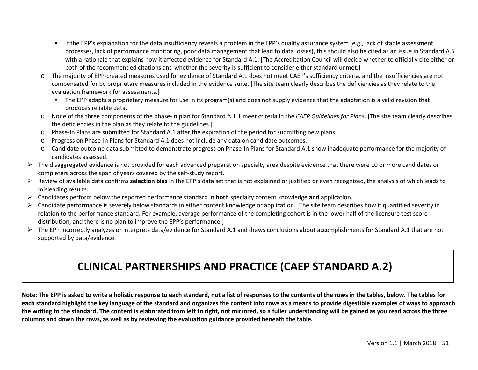- **If the EPP's explanation for the data insufficiency reveals a problem in the EPP's quality assurance system (e.g., lack of stable assessment** processes, lack of performance monitoring, poor data management that lead to data losses), this should also be cited as an issue in Standard A.5 with a rationale that explains how it affected evidence for Standard A.1. [The Accreditation Council will decide whether to officially cite either or both of the recommended citations and whether the severity is sufficient to consider either standard unmet.]
- o The majority of EPP-created measures used for evidence of Standard A.1 does not meet CAEP's sufficiency criteria, and the insufficiencies are not compensated for by proprietary measures included in the evidence suite. [The site team clearly describes the deficiencies as they relate to the evaluation framework for assessments.]
	- The EPP adapts a proprietary measure for use in its program(s) and does not supply evidence that the adaptation is a valid revision that produces reliable data.
- o None of the three components of the phase-in plan for Standard A.1.1 meet criteria in the *CAEP Guidelines for Plans*. [The site team clearly describes the deficiencies in the plan as they relate to the guidelines.]
- o Phase-In Plans are submitted for Standard A.1 after the expiration of the period for submitting new plans.
- o Progress on Phase-In Plans for Standard A.1 does not include any data on candidate outcomes.
- o Candidate outcome data submitted to demonstrate progress on Phase-In Plans for Standard A.1 show inadequate performance for the majority of candidates assessed.
- $\triangleright$  The disaggregated evidence is not provided for each advanced preparation specialty area despite evidence that there were 10 or more candidates or completers across the span of years covered by the self-study report.
- Review of available data confirms **selection bias** in the EPP's data set that is not explained or justified or even recognized, the analysis of which leads to misleading results.
- Candidates perform below the reported performance standard in **both** specialty content knowledge **and** application.
- $\triangleright$  Candidate performance is severely below standards in either content knowledge or application. [The site team describes how it quantified severity in relation to the performance standard. For example, average performance of the completing cohort is in the lower half of the licensure test score distribution, and there is no plan to improve the EPP's performance.]
- $\triangleright$  The EPP incorrectly analyzes or interprets data/evidence for Standard A.1 and draws conclusions about accomplishments for Standard A.1 that are not supported by data/evidence.

## **CLINICAL PARTNERSHIPS AND PRACTICE (CAEP STANDARD A.2)**

**Note: The EPP is asked to write a holistic response to each standard, not a list of responses to the contents of the rows in the tables, below. The tables for each standard highlight the key language of the standard and organizes the content into rows as a means to provide digestible examples of ways to approach the writing to the standard. The content is elaborated from left to right, not mirrored, so a fuller understanding will be gained as you read across the three columns and down the rows, as well as by reviewing the evaluation guidance provided beneath the table.**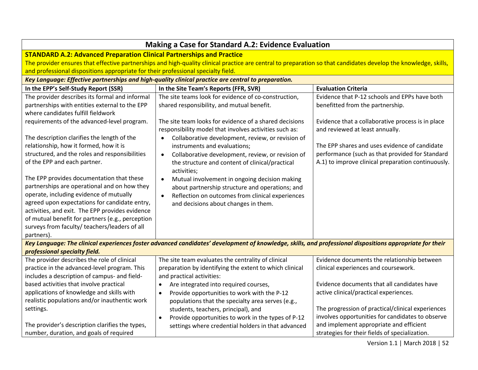| <b>Making a Case for Standard A.2: Evidence Evaluation</b>                                          |                                                                                                                                                                  |                                                    |  |
|-----------------------------------------------------------------------------------------------------|------------------------------------------------------------------------------------------------------------------------------------------------------------------|----------------------------------------------------|--|
| <b>STANDARD A.2: Advanced Preparation Clinical Partnerships and Practice</b>                        |                                                                                                                                                                  |                                                    |  |
|                                                                                                     | The provider ensures that effective partnerships and high-quality clinical practice are central to preparation so that candidates develop the knowledge, skills, |                                                    |  |
| and professional dispositions appropriate for their professional specialty field.                   |                                                                                                                                                                  |                                                    |  |
|                                                                                                     | Key Language: Effective partnerships and high-quality clinical practice are central to preparation.                                                              |                                                    |  |
| In the EPP's Self-Study Report (SSR)                                                                | In the Site Team's Reports (FFR, SVR)                                                                                                                            | <b>Evaluation Criteria</b>                         |  |
| The provider describes its formal and informal                                                      | The site teams look for evidence of co-construction,                                                                                                             | Evidence that P-12 schools and EPPs have both      |  |
| partnerships with entities external to the EPP                                                      | shared responsibility, and mutual benefit.                                                                                                                       | benefitted from the partnership.                   |  |
| where candidates fulfill fieldwork                                                                  |                                                                                                                                                                  |                                                    |  |
| requirements of the advanced-level program.                                                         | The site team looks for evidence of a shared decisions                                                                                                           | Evidence that a collaborative process is in place  |  |
|                                                                                                     | responsibility model that involves activities such as:                                                                                                           | and reviewed at least annually.                    |  |
| The description clarifies the length of the                                                         | Collaborative development, review, or revision of<br>$\bullet$                                                                                                   |                                                    |  |
| relationship, how it formed, how it is                                                              | instruments and evaluations;                                                                                                                                     | The EPP shares and uses evidence of candidate      |  |
| structured, and the roles and responsibilities                                                      | Collaborative development, review, or revision of<br>$\bullet$                                                                                                   | performance (such as that provided for Standard    |  |
| of the EPP and each partner.                                                                        | the structure and content of clinical/practical                                                                                                                  | A.1) to improve clinical preparation continuously. |  |
|                                                                                                     | activities;                                                                                                                                                      |                                                    |  |
| The EPP provides documentation that these                                                           | Mutual involvement in ongoing decision making<br>$\bullet$                                                                                                       |                                                    |  |
| partnerships are operational and on how they                                                        | about partnership structure and operations; and                                                                                                                  |                                                    |  |
| operate, including evidence of mutually                                                             | Reflection on outcomes from clinical experiences<br>$\bullet$                                                                                                    |                                                    |  |
| agreed upon expectations for candidate entry,                                                       | and decisions about changes in them.                                                                                                                             |                                                    |  |
| activities, and exit. The EPP provides evidence<br>of mutual benefit for partners (e.g., perception |                                                                                                                                                                  |                                                    |  |
| surveys from faculty/ teachers/leaders of all                                                       |                                                                                                                                                                  |                                                    |  |
| partners).                                                                                          |                                                                                                                                                                  |                                                    |  |
|                                                                                                     | Key Language: The clinical experiences foster advanced candidates' development of knowledge, skills, and professional dispositions appropriate for their         |                                                    |  |
| professional specialty field.                                                                       |                                                                                                                                                                  |                                                    |  |
| The provider describes the role of clinical                                                         | The site team evaluates the centrality of clinical                                                                                                               | Evidence documents the relationship between        |  |
| practice in the advanced-level program. This                                                        | preparation by identifying the extent to which clinical                                                                                                          | clinical experiences and coursework.               |  |
| includes a description of campus- and field-                                                        | and practical activities:                                                                                                                                        |                                                    |  |
| based activities that involve practical                                                             | Are integrated into required courses,<br>$\bullet$                                                                                                               | Evidence documents that all candidates have        |  |
| applications of knowledge and skills with                                                           | Provide opportunities to work with the P-12<br>$\bullet$                                                                                                         | active clinical/practical experiences.             |  |
| realistic populations and/or inauthentic work                                                       | populations that the specialty area serves (e.g.,                                                                                                                |                                                    |  |
| settings.                                                                                           | students, teachers, principal), and                                                                                                                              | The progression of practical/clinical experiences  |  |
|                                                                                                     | Provide opportunities to work in the types of P-12<br>$\bullet$                                                                                                  | involves opportunities for candidates to observe   |  |
| The provider's description clarifies the types,                                                     | settings where credential holders in that advanced                                                                                                               | and implement appropriate and efficient            |  |
| number, duration, and goals of required                                                             |                                                                                                                                                                  | strategies for their fields of specialization.     |  |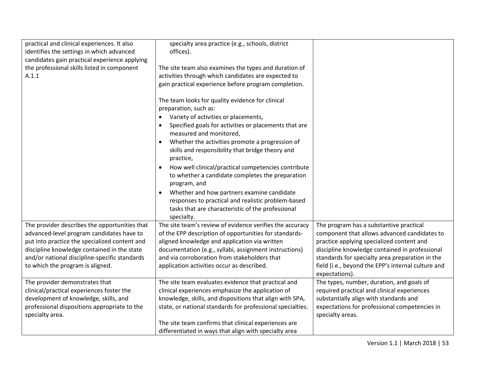| practical and clinical experiences. It also<br>identifies the settings in which advanced<br>candidates gain practical experience applying<br>the professional skills listed in component<br>A.1.1                                                                               | specialty area practice (e.g., schools, district<br>offices).<br>The site team also examines the types and duration of<br>activities through which candidates are expected to<br>gain practical experience before program completion.                                                                                                               |                                                                                                                                                                                                                                                                                                                   |
|---------------------------------------------------------------------------------------------------------------------------------------------------------------------------------------------------------------------------------------------------------------------------------|-----------------------------------------------------------------------------------------------------------------------------------------------------------------------------------------------------------------------------------------------------------------------------------------------------------------------------------------------------|-------------------------------------------------------------------------------------------------------------------------------------------------------------------------------------------------------------------------------------------------------------------------------------------------------------------|
|                                                                                                                                                                                                                                                                                 | The team looks for quality evidence for clinical<br>preparation, such as:<br>Variety of activities or placements,<br>$\bullet$<br>Specified goals for activities or placements that are<br>measured and monitored,<br>Whether the activities promote a progression of<br>$\bullet$<br>skills and responsibility that bridge theory and<br>practice, |                                                                                                                                                                                                                                                                                                                   |
|                                                                                                                                                                                                                                                                                 | How well clinical/practical competencies contribute<br>$\bullet$<br>to whether a candidate completes the preparation<br>program, and<br>Whether and how partners examine candidate<br>responses to practical and realistic problem-based<br>tasks that are characteristic of the professional<br>specialty.                                         |                                                                                                                                                                                                                                                                                                                   |
| The provider describes the opportunities that<br>advanced-level program candidates have to<br>put into practice the specialized content and<br>discipline knowledge contained in the state<br>and/or national discipline-specific standards<br>to which the program is aligned. | The site team's review of evidence verifies the accuracy<br>of the EPP description of opportunities for standards-<br>aligned knowledge and application via written<br>documentation (e.g., syllabi, assignment instructions)<br>and via corroboration from stakeholders that<br>application activities occur as described.                         | The program has a substantive practical<br>component that allows advanced candidates to<br>practice applying specialized content and<br>discipline knowledge contained in professional<br>standards for specialty area preparation in the<br>field (i.e., beyond the EPP's internal culture and<br>expectations). |
| The provider demonstrates that<br>clinical/practical experiences foster the<br>development of knowledge, skills, and<br>professional dispositions appropriate to the<br>specialty area.                                                                                         | The site team evaluates evidence that practical and<br>clinical experiences emphasize the application of<br>knowledge, skills, and dispositions that align with SPA,<br>state, or national standards for professional specialties.<br>The site team confirms that clinical experiences are<br>differentiated in ways that align with specialty area | The types, number, duration, and goals of<br>required practical and clinical experiences<br>substantially align with standards and<br>expectations for professional competencies in<br>specialty areas.                                                                                                           |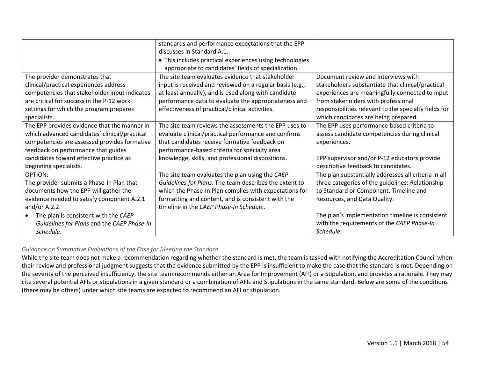|                                               | standards and performance expectations that the EPP      |                                                       |
|-----------------------------------------------|----------------------------------------------------------|-------------------------------------------------------|
|                                               | discusses in Standard A.1.                               |                                                       |
|                                               | • This includes practical experiences using technologies |                                                       |
|                                               | appropriate to candidates' fields of specialization.     |                                                       |
| The provider demonstrates that                | The site team evaluates evidence that stakeholder        | Document review and interviews with                   |
| clinical/practical experiences address        | input is received and reviewed on a regular basis (e.g., | stakeholders substantiate that clinical/practical     |
| competencies that stakeholder input indicates | at least annually), and is used along with candidate     | experiences are meaningfully connected to input       |
| are critical for success in the P-12 work     | performance data to evaluate the appropriateness and     | from stakeholders with professional                   |
| settings for which the program prepares       | effectiveness of practical/clinical activities.          | responsibilities relevant to the specialty fields for |
| specialists.                                  |                                                          | which candidates are being prepared.                  |
| The EPP provides evidence that the manner in  | The site team reviews the assessments the EPP uses to    | The EPP uses performance-based criteria to            |
| which advanced candidates' clinical/practical | evaluate clinical/practical performance and confirms     | assess candidate competencies during clinical         |
| competencies are assessed provides formative  | that candidates receive formative feedback on            | experiences.                                          |
| feedback on performance that guides           | performance-based criteria for specialty area            |                                                       |
| candidates toward effective practice as       | knowledge, skills, and professional dispositions.        | EPP supervisor and/or P-12 educators provide          |
| beginning specialists.                        |                                                          | descriptive feedback to candidates.                   |
| OPTION:                                       | The site team evaluates the plan using the CAEP          | The plan substantially addresses all criteria in all  |
| The provider submits a Phase-In Plan that     | Guidelines for Plans. The team describes the extent to   | three categories of the guidelines: Relationship      |
| documents how the EPP will gather the         | which the Phase-In Plan complies with expectations for   | to Standard or Component, Timeline and                |
| evidence needed to satisfy component A.2.1    | formatting and content, and is consistent with the       | Resources, and Data Quality.                          |
| and/or $A.2.2$ .                              | timeline in the CAEP Phase-In Schedule.                  |                                                       |
| The plan is consistent with the CAEP          |                                                          | The plan's implementation timeline is consistent      |
| Guidelines for Plans and the CAEP Phase-In    |                                                          | with the requirements of the CAEP Phase-In            |
| Schedule.                                     |                                                          | Schedule.                                             |

## *Guidance on Summative Evaluations of the Case for Meeting the Standard*

While the site team does not make a recommendation regarding whether the standard is met, the team is tasked with notifying the Accreditation Council when their review and professional judgment suggests that the evidence submitted by the EPP is insufficient to make the case that the standard is met. Depending on the severity of the perceived insufficiency, the site team recommends either an Area for Improvement (AFI) or a Stipulation, and provides a rationale. They may cite several potential AFIs or stipulations in a given standard or a combination of AFIs and Stipulations in the same standard. Below are some of the conditions (there may be others) under which site teams are expected to recommend an AFI or stipulation.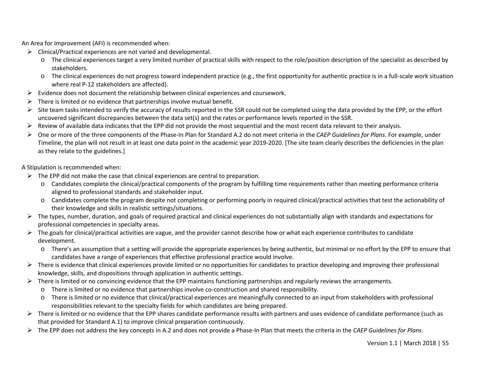An Area for Improvement (AFI) is recommended when:

- $\triangleright$  Clinical/Practical experiences are not varied and developmental.
	- o The clinical experiences target a very limited number of practical skills with respect to the role/position description of the specialist as described by stakeholders.
	- o The clinical experiences do not progress toward independent practice (e.g., the first opportunity for authentic practice is in a full-scale work situation where real P-12 stakeholders are affected).
- $\triangleright$  Evidence does not document the relationship between clinical experiences and coursework.
- $\triangleright$  There is limited or no evidence that partnerships involve mutual benefit.
- $\triangleright$  Site team tasks intended to verify the accuracy of results reported in the SSR could not be completed using the data provided by the EPP, or the effort uncovered significant discrepancies between the data set(s) and the rates or performance levels reported in the SSR.
- $\triangleright$  Review of available data indicates that the EPP did not provide the most sequential and the most recent data relevant to their analysis.
- One or more of the three components of the Phase-In Plan for Standard A.2 do not meet criteria in the *CAEP Guidelines for Plans*. For example, under Timeline, the plan will not result in at least one data point in the academic year 2019-2020. [The site team clearly describes the deficiencies in the plan as they relate to the guidelines.]

A Stipulation is recommended when:

- $\triangleright$  The EPP did not make the case that clinical experiences are central to preparation.
	- o Candidates complete the clinical/practical components of the program by fulfilling time requirements rather than meeting performance criteria aligned to professional standards and stakeholder input.
	- o Candidates complete the program despite not completing or performing poorly in required clinical/practical activities that test the actionability of their knowledge and skills in realistic settings/situations.
- ▶ The types, number, duration, and goals of required practical and clinical experiences do not substantially align with standards and expectations for professional competencies in specialty areas.
- $\triangleright$  The goals for clinical/practical activities are vague, and the provider cannot describe how or what each experience contributes to candidate development.
	- o There's an assumption that a setting will provide the appropriate experiences by being authentic, but minimal or no effort by the EPP to ensure that candidates have a range of experiences that effective professional practice would involve.
- $\triangleright$  There is evidence that clinical experiences provide limited or no opportunities for candidates to practice developing and improving their professional knowledge, skills, and dispositions through application in authentic settings.
- $\triangleright$  There is limited or no convincing evidence that the EPP maintains functioning partnerships and regularly reviews the arrangements.
	- o There is limited or no evidence that partnerships involve co-construction and shared responsibility.
	- o There is limited or no evidence that clinical/practical experiences are meaningfully connected to an input from stakeholders with professional responsibilities relevant to the specialty fields for which candidates are being prepared.
- $\triangleright$  There is limited or no evidence that the EPP shares candidate performance results with partners and uses evidence of candidate performance (such as that provided for Standard A.1) to improve clinical preparation continuously.
- The EPP does not address the key concepts in A.2 and does not provide a Phase-In Plan that meets the criteria in the *CAEP Guidelines for Plans*.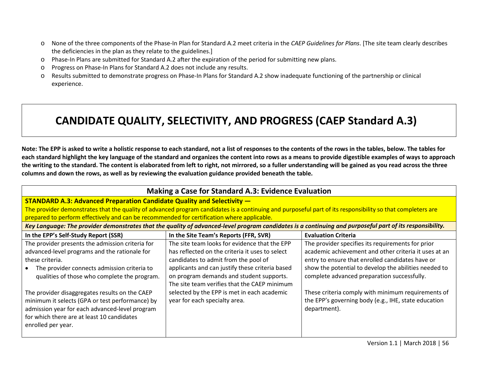- o None of the three components of the Phase-In Plan for Standard A.2 meet criteria in the *CAEP Guidelines for Plans*. [The site team clearly describes the deficiencies in the plan as they relate to the guidelines.]
- o Phase-In Plans are submitted for Standard A.2 after the expiration of the period for submitting new plans.
- o Progress on Phase-In Plans for Standard A.2 does not include any results.
- o Results submitted to demonstrate progress on Phase-In Plans for Standard A.2 show inadequate functioning of the partnership or clinical experience.

## **CANDIDATE QUALITY, SELECTIVITY, AND PROGRESS (CAEP Standard A.3)**

**Note: The EPP is asked to write a holistic response to each standard, not a list of responses to the contents of the rows in the tables, below. The tables for each standard highlight the key language of the standard and organizes the content into rows as a means to provide digestible examples of ways to approach the writing to the standard. The content is elaborated from left to right, not mirrored, so a fuller understanding will be gained as you read across the three columns and down the rows, as well as by reviewing the evaluation guidance provided beneath the table.** 

| <b>Making a Case for Standard A.3: Evidence Evaluation</b>                                                                                                                                                                                                                                                                                                                                                                                     |                                                                                                                                                                                                                                                                                                                                                                         |                                                                                                                                                                                                                                                                                                                                                                                                      |  |  |
|------------------------------------------------------------------------------------------------------------------------------------------------------------------------------------------------------------------------------------------------------------------------------------------------------------------------------------------------------------------------------------------------------------------------------------------------|-------------------------------------------------------------------------------------------------------------------------------------------------------------------------------------------------------------------------------------------------------------------------------------------------------------------------------------------------------------------------|------------------------------------------------------------------------------------------------------------------------------------------------------------------------------------------------------------------------------------------------------------------------------------------------------------------------------------------------------------------------------------------------------|--|--|
| <b>STANDARD A.3: Advanced Preparation Candidate Quality and Selectivity —</b>                                                                                                                                                                                                                                                                                                                                                                  |                                                                                                                                                                                                                                                                                                                                                                         |                                                                                                                                                                                                                                                                                                                                                                                                      |  |  |
| The provider demonstrates that the quality of advanced program candidates is a continuing and purposeful part of its responsibility so that completers are                                                                                                                                                                                                                                                                                     |                                                                                                                                                                                                                                                                                                                                                                         |                                                                                                                                                                                                                                                                                                                                                                                                      |  |  |
| prepared to perform effectively and can be recommended for certification where applicable.                                                                                                                                                                                                                                                                                                                                                     |                                                                                                                                                                                                                                                                                                                                                                         |                                                                                                                                                                                                                                                                                                                                                                                                      |  |  |
|                                                                                                                                                                                                                                                                                                                                                                                                                                                |                                                                                                                                                                                                                                                                                                                                                                         | Key Language: The provider demonstrates that the quality of advanced-level program candidates is a continuing and purposeful part of its responsibility.                                                                                                                                                                                                                                             |  |  |
| In the EPP's Self-Study Report (SSR)                                                                                                                                                                                                                                                                                                                                                                                                           | In the Site Team's Reports (FFR, SVR)                                                                                                                                                                                                                                                                                                                                   | <b>Evaluation Criteria</b>                                                                                                                                                                                                                                                                                                                                                                           |  |  |
| The provider presents the admission criteria for<br>advanced-level programs and the rationale for<br>these criteria.<br>The provider connects admission criteria to<br>qualities of those who complete the program.<br>The provider disaggregates results on the CAEP<br>minimum it selects (GPA or test performance) by<br>admission year for each advanced-level program<br>for which there are at least 10 candidates<br>enrolled per year. | The site team looks for evidence that the EPP<br>has reflected on the criteria it uses to select<br>candidates to admit from the pool of<br>applicants and can justify these criteria based<br>on program demands and student supports.<br>The site team verifies that the CAEP minimum<br>selected by the EPP is met in each academic<br>year for each specialty area. | The provider specifies its requirements for prior<br>academic achievement and other criteria it uses at an<br>entry to ensure that enrolled candidates have or<br>show the potential to develop the abilities needed to<br>complete advanced preparation successfully.<br>These criteria comply with minimum requirements of<br>the EPP's governing body (e.g., IHE, state education<br>department). |  |  |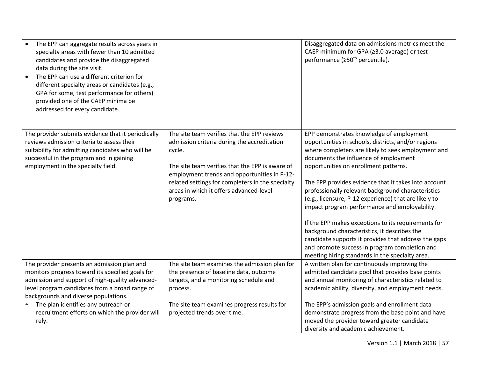| The EPP can aggregate results across years in<br>specialty areas with fewer than 10 admitted<br>candidates and provide the disaggregated<br>data during the site visit.<br>The EPP can use a different criterion for<br>$\bullet$<br>different specialty areas or candidates (e.g.,<br>GPA for some, test performance for others)<br>provided one of the CAEP minima be<br>addressed for every candidate. |                                                                                                                                                                                                                                                                                                                     | Disaggregated data on admissions metrics meet the<br>CAEP minimum for GPA (≥3.0 average) or test<br>performance (≥50 <sup>th</sup> percentile).                                                                                                                                                                                                                                                                                                                                                                                                                                                                                                                                                                                    |
|-----------------------------------------------------------------------------------------------------------------------------------------------------------------------------------------------------------------------------------------------------------------------------------------------------------------------------------------------------------------------------------------------------------|---------------------------------------------------------------------------------------------------------------------------------------------------------------------------------------------------------------------------------------------------------------------------------------------------------------------|------------------------------------------------------------------------------------------------------------------------------------------------------------------------------------------------------------------------------------------------------------------------------------------------------------------------------------------------------------------------------------------------------------------------------------------------------------------------------------------------------------------------------------------------------------------------------------------------------------------------------------------------------------------------------------------------------------------------------------|
| The provider submits evidence that it periodically<br>reviews admission criteria to assess their<br>suitability for admitting candidates who will be<br>successful in the program and in gaining<br>employment in the specialty field.                                                                                                                                                                    | The site team verifies that the EPP reviews<br>admission criteria during the accreditation<br>cycle.<br>The site team verifies that the EPP is aware of<br>employment trends and opportunities in P-12-<br>related settings for completers in the specialty<br>areas in which it offers advanced-level<br>programs. | EPP demonstrates knowledge of employment<br>opportunities in schools, districts, and/or regions<br>where completers are likely to seek employment and<br>documents the influence of employment<br>opportunities on enrollment patterns.<br>The EPP provides evidence that it takes into account<br>professionally relevant background characteristics<br>(e.g., licensure, P-12 experience) that are likely to<br>impact program performance and employability.<br>If the EPP makes exceptions to its requirements for<br>background characteristics, it describes the<br>candidate supports it provides that address the gaps<br>and promote success in program completion and<br>meeting hiring standards in the specialty area. |
| The provider presents an admission plan and<br>monitors progress toward its specified goals for<br>admission and support of high-quality advanced-<br>level program candidates from a broad range of<br>backgrounds and diverse populations.<br>The plan identifies any outreach or<br>recruitment efforts on which the provider will<br>rely.                                                            | The site team examines the admission plan for<br>the presence of baseline data, outcome<br>targets, and a monitoring schedule and<br>process.<br>The site team examines progress results for<br>projected trends over time.                                                                                         | A written plan for continuously improving the<br>admitted candidate pool that provides base points<br>and annual monitoring of characteristics related to<br>academic ability, diversity, and employment needs.<br>The EPP's admission goals and enrollment data<br>demonstrate progress from the base point and have<br>moved the provider toward greater candidate<br>diversity and academic achievement.                                                                                                                                                                                                                                                                                                                        |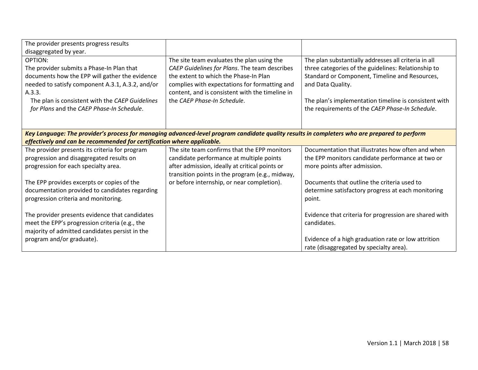| The provider presents progress results<br>disaggregated by year.                                                                                                                                                                                                     |                                                                                                                                                                                                                                                                         |                                                                                                                                                                                                                                                                                                |
|----------------------------------------------------------------------------------------------------------------------------------------------------------------------------------------------------------------------------------------------------------------------|-------------------------------------------------------------------------------------------------------------------------------------------------------------------------------------------------------------------------------------------------------------------------|------------------------------------------------------------------------------------------------------------------------------------------------------------------------------------------------------------------------------------------------------------------------------------------------|
| OPTION:<br>The provider submits a Phase-In Plan that<br>documents how the EPP will gather the evidence<br>needed to satisfy component A.3.1, A.3.2, and/or<br>A.3.3.<br>The plan is consistent with the CAEP Guidelines<br>for Plans and the CAEP Phase-In Schedule. | The site team evaluates the plan using the<br>CAEP Guidelines for Plans. The team describes<br>the extent to which the Phase-In Plan<br>complies with expectations for formatting and<br>content, and is consistent with the timeline in<br>the CAEP Phase-In Schedule. | The plan substantially addresses all criteria in all<br>three categories of the guidelines: Relationship to<br>Standard or Component, Timeline and Resources,<br>and Data Quality.<br>The plan's implementation timeline is consistent with<br>the requirements of the CAEP Phase-In Schedule. |
| Key Language: The provider's process for managing advanced-level program candidate quality results in completers who are prepared to perform<br>effectively and can be recommended for certification where applicable.                                               |                                                                                                                                                                                                                                                                         |                                                                                                                                                                                                                                                                                                |
| The provider presents its criteria for program                                                                                                                                                                                                                       | The site team confirms that the EPP monitors                                                                                                                                                                                                                            | Documentation that illustrates how often and when                                                                                                                                                                                                                                              |
| progression and disaggregated results on                                                                                                                                                                                                                             | candidate performance at multiple points                                                                                                                                                                                                                                | the EPP monitors candidate performance at two or                                                                                                                                                                                                                                               |
| progression for each specialty area.                                                                                                                                                                                                                                 | after admission, ideally at critical points or<br>transition points in the program (e.g., midway,                                                                                                                                                                       | more points after admission.                                                                                                                                                                                                                                                                   |
| The EPP provides excerpts or copies of the                                                                                                                                                                                                                           | or before internship, or near completion).                                                                                                                                                                                                                              | Documents that outline the criteria used to                                                                                                                                                                                                                                                    |
| documentation provided to candidates regarding<br>progression criteria and monitoring.                                                                                                                                                                               |                                                                                                                                                                                                                                                                         | determine satisfactory progress at each monitoring<br>point.                                                                                                                                                                                                                                   |
| The provider presents evidence that candidates<br>meet the EPP's progression criteria (e.g., the<br>majority of admitted candidates persist in the                                                                                                                   |                                                                                                                                                                                                                                                                         | Evidence that criteria for progression are shared with<br>candidates.                                                                                                                                                                                                                          |
| program and/or graduate).                                                                                                                                                                                                                                            |                                                                                                                                                                                                                                                                         | Evidence of a high graduation rate or low attrition<br>rate (disaggregated by specialty area).                                                                                                                                                                                                 |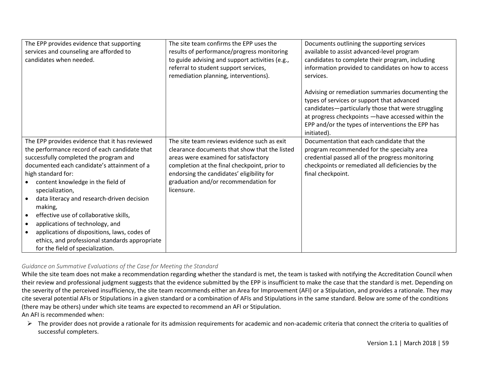| The EPP provides evidence that supporting<br>services and counseling are afforded to<br>candidates when needed.                                                                                                                                                                                                                                                                                                                                                                                                                                                              | The site team confirms the EPP uses the<br>results of performance/progress monitoring<br>to guide advising and support activities (e.g.,<br>referral to student support services,<br>remediation planning, interventions).                                                              | Documents outlining the supporting services<br>available to assist advanced-level program<br>candidates to complete their program, including<br>information provided to candidates on how to access<br>services.<br>Advising or remediation summaries documenting the<br>types of services or support that advanced<br>candidates-particularly those that were struggling<br>at progress checkpoints - have accessed within the<br>EPP and/or the types of interventions the EPP has<br>initiated). |
|------------------------------------------------------------------------------------------------------------------------------------------------------------------------------------------------------------------------------------------------------------------------------------------------------------------------------------------------------------------------------------------------------------------------------------------------------------------------------------------------------------------------------------------------------------------------------|-----------------------------------------------------------------------------------------------------------------------------------------------------------------------------------------------------------------------------------------------------------------------------------------|-----------------------------------------------------------------------------------------------------------------------------------------------------------------------------------------------------------------------------------------------------------------------------------------------------------------------------------------------------------------------------------------------------------------------------------------------------------------------------------------------------|
| The EPP provides evidence that it has reviewed<br>the performance record of each candidate that<br>successfully completed the program and<br>documented each candidate's attainment of a<br>high standard for:<br>content knowledge in the field of<br>specialization,<br>data literacy and research-driven decision<br>making,<br>effective use of collaborative skills,<br>applications of technology, and<br>$\bullet$<br>applications of dispositions, laws, codes of<br>$\bullet$<br>ethics, and professional standards appropriate<br>for the field of specialization. | The site team reviews evidence such as exit<br>clearance documents that show that the listed<br>areas were examined for satisfactory<br>completion at the final checkpoint, prior to<br>endorsing the candidates' eligibility for<br>graduation and/or recommendation for<br>licensure. | Documentation that each candidate that the<br>program recommended for the specialty area<br>credential passed all of the progress monitoring<br>checkpoints or remediated all deficiencies by the<br>final checkpoint.                                                                                                                                                                                                                                                                              |

## *Guidance on Summative Evaluations of the Case for Meeting the Standard*

While the site team does not make a recommendation regarding whether the standard is met, the team is tasked with notifying the Accreditation Council when their review and professional judgment suggests that the evidence submitted by the EPP is insufficient to make the case that the standard is met. Depending on the severity of the perceived insufficiency, the site team recommends either an Area for Improvement (AFI) or a Stipulation, and provides a rationale. They may cite several potential AFIs or Stipulations in a given standard or a combination of AFIs and Stipulations in the same standard. Below are some of the conditions (there may be others) under which site teams are expected to recommend an AFI or Stipulation.

An AFI is recommended when:

Fig. The provider does not provide a rationale for its admission requirements for academic and non-academic criteria that connect the criteria to qualities of successful completers.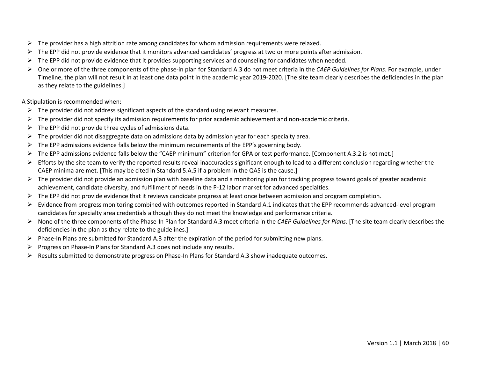- $\triangleright$  The provider has a high attrition rate among candidates for whom admission requirements were relaxed.
- $\triangleright$  The EPP did not provide evidence that it monitors advanced candidates' progress at two or more points after admission.
- $\triangleright$  The EPP did not provide evidence that it provides supporting services and counseling for candidates when needed.
- One or more of the three components of the phase-in plan for Standard A.3 do not meet criteria in the *CAEP Guidelines for Plans*. For example, under Timeline, the plan will not result in at least one data point in the academic year 2019-2020. [The site team clearly describes the deficiencies in the plan as they relate to the guidelines.]

A Stipulation is recommended when:

- $\triangleright$  The provider did not address significant aspects of the standard using relevant measures.
- $\triangleright$  The provider did not specify its admission requirements for prior academic achievement and non-academic criteria.
- $\triangleright$  The EPP did not provide three cycles of admissions data.
- $\triangleright$  The provider did not disaggregate data on admissions data by admission year for each specialty area.
- $\triangleright$  The EPP admissions evidence falls below the minimum requirements of the EPP's governing body.
- The EPP admissions evidence falls below the "CAEP minimum" criterion for GPA or test performance. [Component A.3.2 is not met.]
- $\triangleright$  Efforts by the site team to verify the reported results reveal inaccuracies significant enough to lead to a different conclusion regarding whether the CAEP minima are met. [This may be cited in Standard 5.A.5 if a problem in the QAS is the cause.]
- $\triangleright$  The provider did not provide an admission plan with baseline data and a monitoring plan for tracking progress toward goals of greater academic achievement, candidate diversity, and fulfillment of needs in the P-12 labor market for advanced specialties.
- $\triangleright$  The EPP did not provide evidence that it reviews candidate progress at least once between admission and program completion.
- $\triangleright$  Evidence from progress monitoring combined with outcomes reported in Standard A.1 indicates that the EPP recommends advanced-level program candidates for specialty area credentials although they do not meet the knowledge and performance criteria.
- None of the three components of the Phase-In Plan for Standard A.3 meet criteria in the *CAEP Guidelines for Plans*. [The site team clearly describes the deficiencies in the plan as they relate to the guidelines.]
- $\triangleright$  Phase-In Plans are submitted for Standard A.3 after the expiration of the period for submitting new plans.
- $\triangleright$  Progress on Phase-In Plans for Standard A.3 does not include any results.
- $\triangleright$  Results submitted to demonstrate progress on Phase-In Plans for Standard A.3 show inadequate outcomes.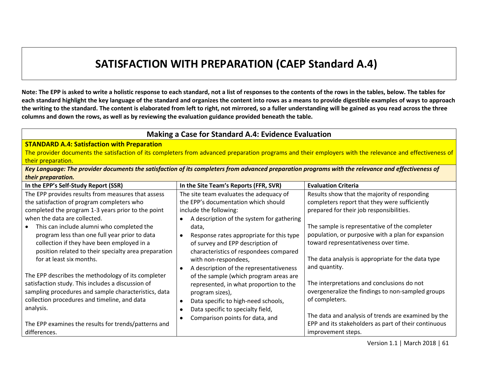## **SATISFACTION WITH PREPARATION (CAEP Standard A.4)**

**Note: The EPP is asked to write a holistic response to each standard, not a list of responses to the contents of the rows in the tables, below. The tables for each standard highlight the key language of the standard and organizes the content into rows as a means to provide digestible examples of ways to approach the writing to the standard. The content is elaborated from left to right, not mirrored, so a fuller understanding will be gained as you read across the three columns and down the rows, as well as by reviewing the evaluation guidance provided beneath the table.** 

#### **Making a Case for Standard A.4: Evidence Evaluation STANDARD A.4: Satisfaction with Preparation** The provider documents the satisfaction of its completers from advanced preparation programs and their employers with the relevance and effectiveness of their preparation. *Key Language: The provider documents the satisfaction of its completers from advanced preparation programs with the relevance and effectiveness of their preparation.*  **In the EPP's Self-Study Report (SSR) In the Site Team's Reports (FFR, SVR) Evaluation Criteria** The EPP provides results from measures that assess the satisfaction of program completers who completed the program 1-3 years prior to the point when the data are collected. • This can include alumni who completed the program less than one full year prior to data collection if they have been employed in a position related to their specialty area preparation for at least six months. The EPP describes the methodology of its completer satisfaction study. This includes a discussion of sampling procedures and sample characteristics, data collection procedures and timeline, and data analysis. The EPP examines the results for trends/patterns and differences. The site team evaluates the adequacy of the EPP's documentation which should include the following: • A description of the system for gathering data, • Response rates appropriate for this type of survey and EPP description of characteristics of respondees compared with non-respondees, • A description of the representativeness of the sample (which program areas are represented, in what proportion to the program sizes), • Data specific to high-need schools, • Data specific to specialty field, • Comparison points for data, and Results show that the majority of responding completers report that they were sufficiently prepared for their job responsibilities. The sample is representative of the completer population, or purposive with a plan for expansion toward representativeness over time. The data analysis is appropriate for the data type and quantity. The interpretations and conclusions do not overgeneralize the findings to non-sampled groups of completers. The data and analysis of trends are examined by the EPP and its stakeholders as part of their continuous improvement steps.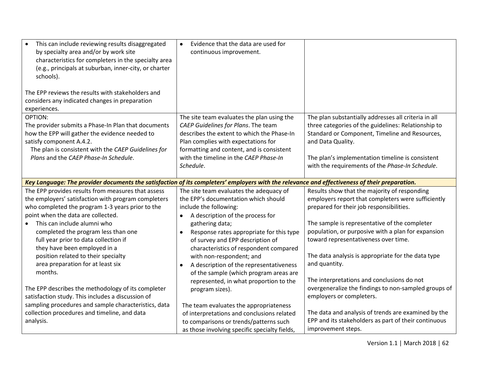| This can include reviewing results disaggregated<br>by specialty area and/or by work site<br>characteristics for completers in the specialty area<br>(e.g., principals at suburban, inner-city, or charter<br>schools).<br>The EPP reviews the results with stakeholders and | Evidence that the data are used for<br>continuous improvement. |                                                      |
|------------------------------------------------------------------------------------------------------------------------------------------------------------------------------------------------------------------------------------------------------------------------------|----------------------------------------------------------------|------------------------------------------------------|
| considers any indicated changes in preparation<br>experiences.                                                                                                                                                                                                               |                                                                |                                                      |
| <b>OPTION:</b>                                                                                                                                                                                                                                                               | The site team evaluates the plan using the                     | The plan substantially addresses all criteria in all |
| The provider submits a Phase-In Plan that documents                                                                                                                                                                                                                          | CAEP Guidelines for Plans. The team                            | three categories of the guidelines: Relationship to  |
| how the EPP will gather the evidence needed to                                                                                                                                                                                                                               | describes the extent to which the Phase-In                     | Standard or Component, Timeline and Resources,       |
| satisfy component A.4.2.                                                                                                                                                                                                                                                     | Plan complies with expectations for                            | and Data Quality.                                    |
| The plan is consistent with the CAEP Guidelines for                                                                                                                                                                                                                          | formatting and content, and is consistent                      |                                                      |
| Plans and the CAEP Phase-In Schedule.                                                                                                                                                                                                                                        | with the timeline in the CAEP Phase-In                         | The plan's implementation timeline is consistent     |
|                                                                                                                                                                                                                                                                              | Schedule.                                                      | with the requirements of the Phase-In Schedule.      |
| Key Language: The provider documents the satisfaction of its completers' employers with the relevance and effectiveness of their preparation.                                                                                                                                |                                                                |                                                      |
| The EPP provides results from measures that assess                                                                                                                                                                                                                           | The site team evaluates the adequacy of                        | Results show that the majority of responding         |
| the employers' satisfaction with program completers                                                                                                                                                                                                                          | the EPP's documentation which should                           | employers report that completers were sufficiently   |
| who completed the program 1-3 years prior to the                                                                                                                                                                                                                             | include the following:                                         | prepared for their job responsibilities.             |
| point when the data are collected.                                                                                                                                                                                                                                           | A description of the process for<br>$\bullet$                  |                                                      |
| This can include alumni who<br>$\bullet$                                                                                                                                                                                                                                     | gathering data;                                                | The sample is representative of the completer        |
| completed the program less than one                                                                                                                                                                                                                                          | Response rates appropriate for this type                       | population, or purposive with a plan for expansion   |
| full year prior to data collection if                                                                                                                                                                                                                                        | of survey and EPP description of                               | toward representativeness over time.                 |
| they have been employed in a                                                                                                                                                                                                                                                 | characteristics of respondent compared                         |                                                      |
| position related to their specialty                                                                                                                                                                                                                                          | with non-respondent; and                                       | The data analysis is appropriate for the data type   |
| area preparation for at least six                                                                                                                                                                                                                                            | A description of the representativeness<br>٠                   | and quantity.                                        |
| months.                                                                                                                                                                                                                                                                      | of the sample (which program areas are                         |                                                      |
|                                                                                                                                                                                                                                                                              | represented, in what proportion to the                         | The interpretations and conclusions do not           |
| The EPP describes the methodology of its completer                                                                                                                                                                                                                           | program sizes).                                                | overgeneralize the findings to non-sampled groups of |
| satisfaction study. This includes a discussion of                                                                                                                                                                                                                            |                                                                | employers or completers.                             |
| sampling procedures and sample characteristics, data                                                                                                                                                                                                                         | The team evaluates the appropriateness                         |                                                      |
| collection procedures and timeline, and data                                                                                                                                                                                                                                 | of interpretations and conclusions related                     | The data and analysis of trends are examined by the  |
| analysis.                                                                                                                                                                                                                                                                    | to comparisons or trends/patterns such                         | EPP and its stakeholders as part of their continuous |
|                                                                                                                                                                                                                                                                              | as those involving specific specialty fields,                  | improvement steps.                                   |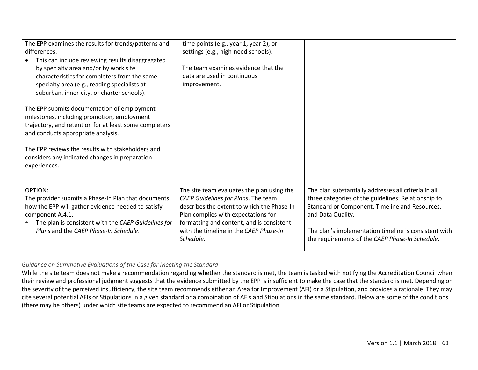| The EPP examines the results for trends/patterns and<br>differences.<br>This can include reviewing results disaggregated<br>by specialty area and/or by work site<br>characteristics for completers from the same<br>specialty area (e.g., reading specialists at<br>suburban, inner-city, or charter schools). | time points (e.g., year 1, year 2), or<br>settings (e.g., high-need schools).<br>The team examines evidence that the<br>data are used in continuous<br>improvement.                                                                                                        |                                                                                                                                                                                                                                                                                                |
|-----------------------------------------------------------------------------------------------------------------------------------------------------------------------------------------------------------------------------------------------------------------------------------------------------------------|----------------------------------------------------------------------------------------------------------------------------------------------------------------------------------------------------------------------------------------------------------------------------|------------------------------------------------------------------------------------------------------------------------------------------------------------------------------------------------------------------------------------------------------------------------------------------------|
| The EPP submits documentation of employment<br>milestones, including promotion, employment<br>trajectory, and retention for at least some completers<br>and conducts appropriate analysis.                                                                                                                      |                                                                                                                                                                                                                                                                            |                                                                                                                                                                                                                                                                                                |
| The EPP reviews the results with stakeholders and<br>considers any indicated changes in preparation<br>experiences.                                                                                                                                                                                             |                                                                                                                                                                                                                                                                            |                                                                                                                                                                                                                                                                                                |
| <b>OPTION:</b><br>The provider submits a Phase-In Plan that documents<br>how the EPP will gather evidence needed to satisfy<br>component A.4.1.<br>The plan is consistent with the CAEP Guidelines for<br>Plans and the CAEP Phase-In Schedule.                                                                 | The site team evaluates the plan using the<br>CAEP Guidelines for Plans. The team<br>describes the extent to which the Phase-In<br>Plan complies with expectations for<br>formatting and content, and is consistent<br>with the timeline in the CAEP Phase-In<br>Schedule. | The plan substantially addresses all criteria in all<br>three categories of the guidelines: Relationship to<br>Standard or Component, Timeline and Resources,<br>and Data Quality.<br>The plan's implementation timeline is consistent with<br>the requirements of the CAEP Phase-In Schedule. |

## *Guidance on Summative Evaluations of the Case for Meeting the Standard*

While the site team does not make a recommendation regarding whether the standard is met, the team is tasked with notifying the Accreditation Council when their review and professional judgment suggests that the evidence submitted by the EPP is insufficient to make the case that the standard is met. Depending on the severity of the perceived insufficiency, the site team recommends either an Area for Improvement (AFI) or a Stipulation, and provides a rationale. They may cite several potential AFIs or Stipulations in a given standard or a combination of AFIs and Stipulations in the same standard. Below are some of the conditions (there may be others) under which site teams are expected to recommend an AFI or Stipulation.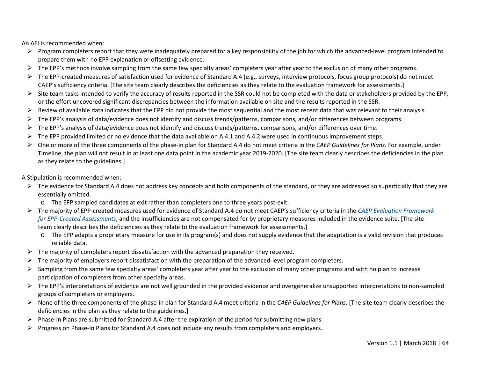An AFI is recommended when:

- $\triangleright$  Program completers report that they were inadequately prepared for a key responsibility of the job for which the advanced-level program intended to prepare them with no EPP explanation or offsetting evidence.
- $\triangleright$  The EPP's methods involve sampling from the same few specialty areas' completers year after year to the exclusion of many other programs.
- ▶ The EPP-created measures of satisfaction used for evidence of Standard A.4 (e.g., surveys, interview protocols, focus group protocols) do not meet CAEP's sufficiency criteria. [The site team clearly describes the deficiencies as they relate to the evaluation framework for assessments.]
- $\triangleright$  Site team tasks intended to verify the accuracy of results reported in the SSR could not be completed with the data or stakeholders provided by the EPP, or the effort uncovered significant discrepancies between the information available on site and the results reported in the SSR.
- $\triangleright$  Review of available data indicates that the EPP did not provide the most sequential and the most recent data that was relevant to their analysis.
- $\triangleright$  The EPP's analysis of data/evidence does not identify and discuss trends/patterns, comparisons, and/or differences between programs.
- $\triangleright$  The EPP's analysis of data/evidence does not identify and discuss trends/patterns, comparisons, and/or differences over time.
- $\triangleright$  The EPP provided limited or no evidence that the data available on A.4.1 and A.4.2 were used in continuous improvement steps.
- One or more of the three components of the phase-in plan for Standard A.4 do not meet criteria in the *CAEP Guidelines for Plans*. For example, under Timeline, the plan will not result in at least one data point in the academic year 2019-2020. [The site team clearly describes the deficiencies in the plan as they relate to the guidelines.]

A Stipulation is recommended when:

- $\triangleright$  The evidence for Standard A.4 does not address key concepts and both components of the standard, or they are addressed so superficially that they are essentially omitted.
	- o The EPP sampled candidates at exit rather than completers one to three years post-exit.
- The majority of EPP-created measures used for evidence of Standard A.4 do not meet CAEP's sufficiency criteria in the *[CAEP Evaluation Framework](http://caepnet.org/%7E/media/Files/caep/accreditation-resources/caep-assessment-tool-v1-20170127t140453.pdf?la=en)  [for EPP-Created Assessments](http://caepnet.org/%7E/media/Files/caep/accreditation-resources/caep-assessment-tool-v1-20170127t140453.pdf?la=en)*, and the insufficiencies are not compensated for by proprietary measures included in the evidence suite. [The site team clearly describes the deficiencies as they relate to the evaluation framework for assessments.]
	- o The EPP adapts a proprietary measure for use in its program(s) and does not supply evidence that the adaptation is a valid revision that produces reliable data.
- $\triangleright$  The majority of completers report dissatisfaction with the advanced preparation they received.
- $\triangleright$  The majority of employers report dissatisfaction with the preparation of the advanced-level program completers.
- $\triangleright$  Sampling from the same few specialty areas' completers year after year to the exclusion of many other programs and with no plan to increase participation of completers from other specialty areas.
- $\triangleright$  The EPP's interpretations of evidence are not well grounded in the provided evidence and overgeneralize unsupported interpretations to non-sampled groups of completers or employers.
- None of the three components of the phase-in plan for Standard A.4 meet criteria in the *CAEP Guidelines for Plans*. [The site team clearly describes the deficiencies in the plan as they relate to the guidelines.]
- $\triangleright$  Phase-In Plans are submitted for Standard A.4 after the expiration of the period for submitting new plans.
- $\triangleright$  Progress on Phase-In Plans for Standard A.4 does not include any results from completers and employers.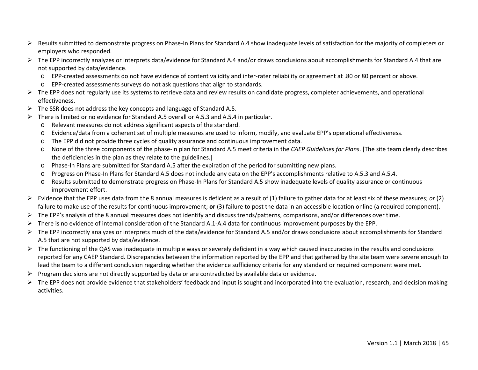- $\triangleright$  Results submitted to demonstrate progress on Phase-In Plans for Standard A.4 show inadequate levels of satisfaction for the majority of completers or employers who responded.
- ▶ The EPP incorrectly analyzes or interprets data/evidence for Standard A.4 and/or draws conclusions about accomplishments for Standard A.4 that are not supported by data/evidence.
	- o EPP-created assessments do not have evidence of content validity and inter-rater reliability or agreement at .80 or 80 percent or above.
	- o EPP-created assessments surveys do not ask questions that align to standards.
- $\triangleright$  The EPP does not regularly use its systems to retrieve data and review results on candidate progress, completer achievements, and operational effectiveness.
- $\triangleright$  The SSR does not address the key concepts and language of Standard A.5.
- $\triangleright$  There is limited or no evidence for Standard A.5 overall or A.5.3 and A.5.4 in particular.
	- o Relevant measures do not address significant aspects of the standard.
	- o Evidence/data from a coherent set of multiple measures are used to inform, modify, and evaluate EPP's operational effectiveness.
	- o The EPP did not provide three cycles of quality assurance and continuous improvement data.
	- o None of the three components of the phase-in plan for Standard A.5 meet criteria in the *CAEP Guidelines for Plans*. [The site team clearly describes the deficiencies in the plan as they relate to the guidelines.]
	- o Phase-In Plans are submitted for Standard A.5 after the expiration of the period for submitting new plans.
	- o Progress on Phase-In Plans for Standard A.5 does not include any data on the EPP's accomplishments relative to A.5.3 and A.5.4.
	- Results submitted to demonstrate progress on Phase-In Plans for Standard A.5 show inadequate levels of quality assurance or continuous improvement effort.
- Evidence that the EPP uses data from the 8 annual measures is deficient as a result of (1) failure to gather data for at least six of these measures; *or* (2) failure to make use of the results for continuous improvement; **or** (3) failure to post the data in an accessible location online (a required component).
- $\triangleright$  The EPP's analysis of the 8 annual measures does not identify and discuss trends/patterns, comparisons, and/or differences over time.
- There is no evidence of internal consideration of the Standard A.1-A.4 data for continuous improvement purposes by the EPP.
- $\triangleright$  The EPP incorrectly analyzes or interprets much of the data/evidence for Standard A.5 and/or draws conclusions about accomplishments for Standard A.5 that are not supported by data/evidence.
- $\triangleright$  The functioning of the QAS was inadequate in multiple ways or severely deficient in a way which caused inaccuracies in the results and conclusions reported for any CAEP Standard. Discrepancies between the information reported by the EPP and that gathered by the site team were severe enough to lead the team to a different conclusion regarding whether the evidence sufficiency criteria for any standard or required component were met.
- $\triangleright$  Program decisions are not directly supported by data or are contradicted by available data or evidence.
- $\triangleright$  The EPP does not provide evidence that stakeholders' feedback and input is sought and incorporated into the evaluation, research, and decision making activities.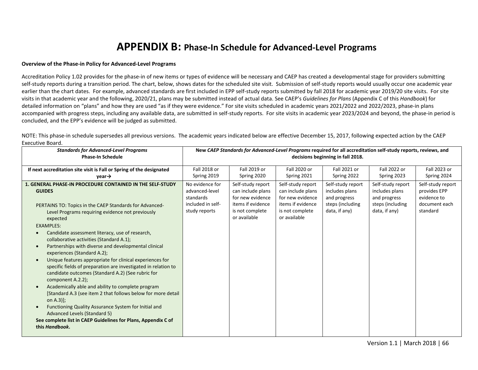## **APPENDIX B: Phase-In Schedule for Advanced-Level Programs**

#### **Overview of the Phase-in Policy for Advanced-Level Programs**

Accreditation Policy 1.02 provides for the phase-in of new items or types of evidence will be necessary and CAEP has created a developmental stage for providers submitting self-study reports during a transition period. The chart, below, shows dates for the scheduled site visit. Submission of self-study reports would usually occur one academic year earlier than the chart dates. For example, advanced standards are first included in EPP self-study reports submitted by fall 2018 for academic year 2019/20 site visits. For site visits in that academic year and the following, 2020/21, plans may be submitted instead of actual data. See CAEP's *Guidelines for Plans* (Appendix C of this *Handbook*) for detailed information on "plans" and how they are used "as if they were evidence." For site visits scheduled in academic years 2021/2022 and 2022/2023, phase-in plans accompanied with progress steps, including any available data, are submitted in self-study reports. For site visits in academic year 2023/2024 and beyond, the phase-in period is concluded, and the EPP's evidence will be judged as submitted.

NOTE: This phase-in schedule supersedes all previous versions. The academic years indicated below are effective December 15, 2017, following expected action by the CAEP Executive Board.

| <b>Standards for Advanced-Level Programs</b>                                                                                                                                                                                                                                                                                                                                                                                                                                                                                                                                                                                                                                                                                                                                                                                                                                                                                                                          | New CAEP Standards for Advanced-Level Programs required for all accreditation self-study reports, reviews, and |                                                                                                                    |                                                                                                                    |                                                                                          |                                                                                          |                                                                               |
|-----------------------------------------------------------------------------------------------------------------------------------------------------------------------------------------------------------------------------------------------------------------------------------------------------------------------------------------------------------------------------------------------------------------------------------------------------------------------------------------------------------------------------------------------------------------------------------------------------------------------------------------------------------------------------------------------------------------------------------------------------------------------------------------------------------------------------------------------------------------------------------------------------------------------------------------------------------------------|----------------------------------------------------------------------------------------------------------------|--------------------------------------------------------------------------------------------------------------------|--------------------------------------------------------------------------------------------------------------------|------------------------------------------------------------------------------------------|------------------------------------------------------------------------------------------|-------------------------------------------------------------------------------|
| <b>Phase-In Schedule</b>                                                                                                                                                                                                                                                                                                                                                                                                                                                                                                                                                                                                                                                                                                                                                                                                                                                                                                                                              | decisions beginning in fall 2018.                                                                              |                                                                                                                    |                                                                                                                    |                                                                                          |                                                                                          |                                                                               |
| If next accreditation site visit is Fall or Spring of the designated<br>$vear \rightarrow$                                                                                                                                                                                                                                                                                                                                                                                                                                                                                                                                                                                                                                                                                                                                                                                                                                                                            | Fall 2018 or<br>Spring 2019                                                                                    | Fall 2019 or<br>Spring 2020                                                                                        | Fall 2020 or<br>Spring 2021                                                                                        | Fall 2021 or<br>Spring 2022                                                              | Fall 2022 or<br>Spring 2023                                                              | Fall 2023 or<br>Spring 2024                                                   |
| <b>1. GENERAL PHASE-IN PROCEDURE CONTAINED IN THE SELF-STUDY</b><br><b>GUIDES</b><br>PERTAINS TO: Topics in the CAEP Standards for Advanced-<br>Level Programs requiring evidence not previously<br>expected<br><b>EXAMPLES:</b><br>Candidate assessment literacy, use of research,<br>collaborative activities (Standard A.1);<br>Partnerships with diverse and developmental clinical<br>experiences (Standard A.2);<br>Unique features appropriate for clinical experiences for<br>$\bullet$<br>specific fields of preparation are investigated in relation to<br>candidate outcomes (Standard A.2) (See rubric for<br>component A.2.2);<br>Academically able and ability to complete program<br>$\bullet$<br>[Standard A.3 (see item 2 that follows below for more detail<br>on A.3)];<br>Functioning Quality Assurance System for Initial and<br>Advanced Levels (Standard 5)<br>See complete list in CAEP Guidelines for Plans, Appendix C of<br>this Handbook. | No evidence for<br>advanced-level<br>standards<br>included in self-<br>study reports                           | Self-study report<br>can include plans<br>for new evidence<br>items if evidence<br>is not complete<br>or available | Self-study report<br>can include plans<br>for new evidence<br>items if evidence<br>is not complete<br>or available | Self-study report<br>includes plans<br>and progress<br>steps (including<br>data, if any) | Self-study report<br>includes plans<br>and progress<br>steps (including<br>data, if any) | Self-study report<br>provides EPP<br>evidence to<br>document each<br>standard |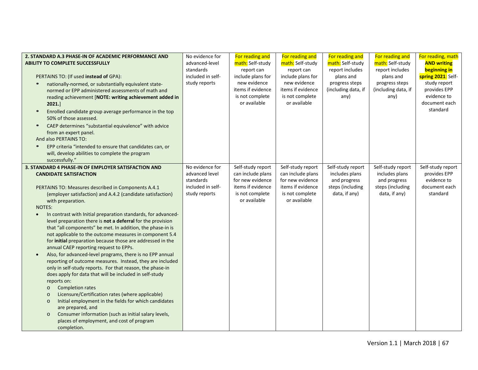| 2. STANDARD A.3 PHASE-IN OF ACADEMIC PERFORMANCE AND<br><b>ABILITY TO COMPLETE SUCCESSFULLY</b><br>PERTAINS TO: (If used instead of GPA):<br>nationally-normed, or substantially equivalent state-<br>$\bullet$<br>normed or EPP administered assessments of math and<br>reading achievement [NOTE: writing achievement added in<br>2021.]<br>Enrolled candidate group average performance in the top<br>$\bullet$<br>50% of those assessed.<br>CAEP determines "substantial equivalence" with advice<br>$\bullet$<br>from an expert panel.<br>And also PERTAINS TO:                                                                                                                                                                                                                                                                                                                                                                                                                                                                                                                                                                             | No evidence for<br>advanced-level<br>standards<br>included in self-<br>study reports | For reading and<br>math: Self-study<br>report can<br>include plans for<br>new evidence<br>items if evidence<br>is not complete<br>or available | For reading and<br>math: Self-study<br>report can<br>include plans for<br>new evidence<br>items if evidence<br>is not complete<br>or available | For reading and<br>math: Self-study<br>report includes<br>plans and<br>progress steps<br>(including data, if<br>any) | For reading and<br>math: Self-study<br>report includes<br>plans and<br>progress steps<br>(including data, if<br>any) | For reading, math<br><b>AND writing</b><br><b>beginning in</b><br>spring 2021: Self-<br>study report<br>provides EPP<br>evidence to<br>document each<br>standard |
|--------------------------------------------------------------------------------------------------------------------------------------------------------------------------------------------------------------------------------------------------------------------------------------------------------------------------------------------------------------------------------------------------------------------------------------------------------------------------------------------------------------------------------------------------------------------------------------------------------------------------------------------------------------------------------------------------------------------------------------------------------------------------------------------------------------------------------------------------------------------------------------------------------------------------------------------------------------------------------------------------------------------------------------------------------------------------------------------------------------------------------------------------|--------------------------------------------------------------------------------------|------------------------------------------------------------------------------------------------------------------------------------------------|------------------------------------------------------------------------------------------------------------------------------------------------|----------------------------------------------------------------------------------------------------------------------|----------------------------------------------------------------------------------------------------------------------|------------------------------------------------------------------------------------------------------------------------------------------------------------------|
| EPP criteria "intended to ensure that candidates can, or<br>$\bullet$<br>will, develop abilities to complete the program<br>successfully."                                                                                                                                                                                                                                                                                                                                                                                                                                                                                                                                                                                                                                                                                                                                                                                                                                                                                                                                                                                                       |                                                                                      |                                                                                                                                                |                                                                                                                                                |                                                                                                                      |                                                                                                                      |                                                                                                                                                                  |
| 3. STANDARD 4 PHASE-IN OF EMPLOYER SATISFACTION AND<br><b>CANDIDATE SATISFACTION</b>                                                                                                                                                                                                                                                                                                                                                                                                                                                                                                                                                                                                                                                                                                                                                                                                                                                                                                                                                                                                                                                             | No evidence for<br>advanced level<br>standards                                       | Self-study report<br>can include plans<br>for new evidence                                                                                     | Self-study report<br>can include plans<br>for new evidence                                                                                     | Self-study report<br>includes plans<br>and progress                                                                  | Self-study report<br>includes plans<br>and progress                                                                  | Self-study report<br>provides EPP<br>evidence to                                                                                                                 |
| PERTAINS TO: Measures described in Components A.4.1<br>(employer satisfaction) and A.4.2 (candidate satisfaction)<br>with preparation.<br><b>NOTES:</b><br>In contrast with Initial preparation standards, for advanced-<br>$\bullet$<br>level preparation there is not a deferral for the provision<br>that "all components" be met. In addition, the phase-in is<br>not applicable to the outcome measures in component 5.4<br>for initial preparation because those are addressed in the<br>annual CAEP reporting request to EPPs.<br>Also, for advanced-level programs, there is no EPP annual<br>$\bullet$<br>reporting of outcome measures. Instead, they are included<br>only in self-study reports. For that reason, the phase-in<br>does apply for data that will be included in self-study<br>reports on:<br><b>Completion rates</b><br>$\circ$<br>Licensure/Certification rates (where applicable)<br>$\circ$<br>Initial employment in the fields for which candidates<br>$\circ$<br>are prepared, and<br>Consumer information (such as initial salary levels,<br>$\circ$<br>places of employment, and cost of program<br>completion. | included in self-<br>study reports                                                   | items if evidence<br>is not complete<br>or available                                                                                           | items if evidence<br>is not complete<br>or available                                                                                           | steps (including<br>data, if any)                                                                                    | steps (including<br>data, if any)                                                                                    | document each<br>standard                                                                                                                                        |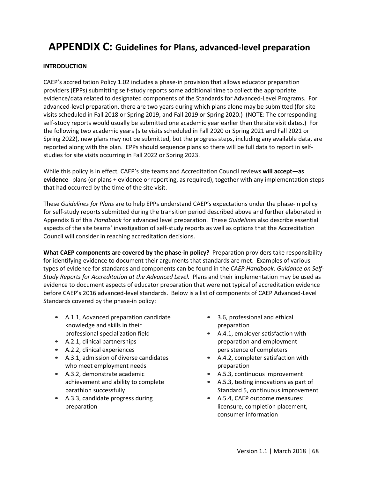## **APPENDIX C: Guidelines for Plans, advanced-level preparation**

## **INTRODUCTION**

CAEP's accreditation Policy 1.02 includes a phase-in provision that allows educator preparation providers (EPPs) submitting self-study reports some additional time to collect the appropriate evidence/data related to designated components of the Standards for Advanced-Level Programs. For advanced-level preparation, there are two years during which plans alone may be submitted (for site visits scheduled in Fall 2018 or Spring 2019, and Fall 2019 or Spring 2020.) (NOTE: The corresponding self-study reports would usually be submitted one academic year earlier than the site visit dates.) For the following two academic years (site visits scheduled in Fall 2020 or Spring 2021 and Fall 2021 or Spring 2022), new plans may not be submitted, but the progress steps, including any available data, are reported along with the plan. EPPs should sequence plans so there will be full data to report in selfstudies for site visits occurring in Fall 2022 or Spring 2023.

While this policy is in effect, CAEP's site teams and Accreditation Council reviews **will accept—as evidence**--plans (or plans + evidence or reporting, as required), together with any implementation steps that had occurred by the time of the site visit.

These *Guidelines for Plans* are to help EPPs understand CAEP's expectations under the phase-in policy for self-study reports submitted during the transition period described above and further elaborated in Appendix B of this *Handbook* for advanced level preparation. These *Guidelines* also describe essential aspects of the site teams' investigation of self-study reports as well as options that the Accreditation Council will consider in reaching accreditation decisions.

**What CAEP components are covered by the phase-in policy?** Preparation providers take responsibility for identifying evidence to document their arguments that standards are met. Examples of various types of evidence for standards and components can be found in the *CAEP Handbook: Guidance on Self-Study Reports for Accreditation at the Advanced Level.* Plans and their implementation may be used as evidence to document aspects of educator preparation that were not typical of accreditation evidence before CAEP's 2016 advanced-level standards. Below is a list of components of CAEP Advanced-Level Standards covered by the phase-in policy:

- A.1.1, Advanced preparation candidate knowledge and skills in their professional specialization field
- A.2.1, clinical partnerships
- A.2.2, clinical experiences
- A.3.1, admission of diverse candidates who meet employment needs
- A.3.2, demonstrate academic achievement and ability to complete parathion successfully
- A.3.3, candidate progress during preparation
- 3.6, professional and ethical preparation
- A.4.1, employer satisfaction with preparation and employment persistence of completers
- A.4.2, completer satisfaction with preparation
- A.5.3, continuous improvement
- A.5.3, testing innovations as part of Standard 5, continuous improvement
- A.5.4, CAEP outcome measures: licensure, completion placement, consumer information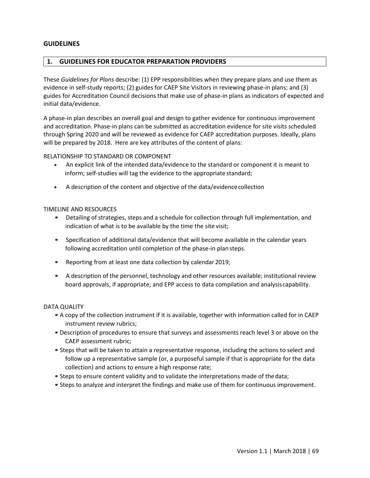## **GUIDELINES**

## **1. GUIDELINES FOR EDUCATOR PREPARATION PROVIDERS**

These *Guidelines for Plans* describe: (1) EPP responsibilities when they prepare plans and use them as evidence in self-study reports; (2) guides for CAEP Site Visitors in reviewing phase-in plans; and (3) guides for Accreditation Council decisions that make use of phase-in plans as indicators of expected and initial data/evidence.

A phase-in plan describes an overall goal and design to gather evidence for continuous improvement and accreditation. Phase-in plans can be submitted as accreditation evidence for site visits scheduled through Spring 2020 and will be reviewed as evidence for CAEP accreditation purposes. Ideally, plans will be prepared by 2018. Here are key attributes of the content of plans:

RELATIONSHIP TO STANDARD OR COMPONENT

- An explicit link of the intended data/evidence to the standard or component it is meant to inform; self-studies will tag the evidence to the appropriate standard;
- A description of the content and objective of the data/evidencecollection

#### TIMELINE AND RESOURCES

- Detailing of strategies, steps and a schedule for collection through full implementation, and indication of what is to be available by the time the site visit;
- Specification of additional data/evidence that will become available in the calendar years following accreditation until completion of the phase-in plan steps.
- Reporting from at least one data collection by calendar 2019;
- A description of the personnel, technology and other resources available; institutional review board approvals, if appropriate; and EPP access to data compilation and analysiscapability.

#### DATA QUALITY

- A copy of the collection instrument if it is available, together with information called for in CAEP instrument review rubrics;
- •Description of procedures to ensure that surveys and assessments reach level 3 or above on the CAEP assessment rubric;
- Steps that will be taken to attain a representative response, including the actions to select and follow up a representative sample (or, a purposeful sample if that is appropriate for the data collection) and actions to ensure a high response rate;
- Steps to ensure content validity and to validate the interpretations made of thedata;
- Steps to analyze and interpret the findings and make use of them for continuous improvement.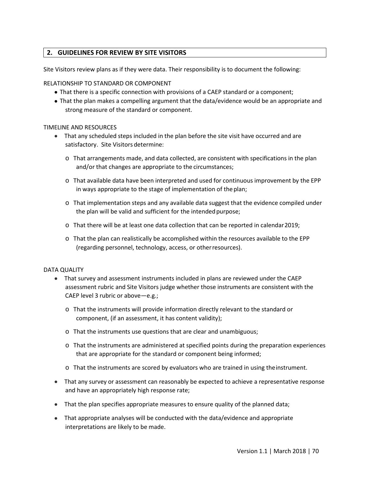## **2. GUIDELINES FOR REVIEW BY SITE VISITORS**

Site Visitors review plans as if they were data. Their responsibility is to document the following:

## RELATIONSHIP TO STANDARD OR COMPONENT

- That there is a specific connection with provisions of a CAEP standard or a component;
- That the plan makes a compelling argument that the data/evidence would be an appropriate and strong measure of the standard or component.

### TIMELINE AND RESOURCES

- That any scheduled steps included in the plan before the site visit have occurred and are satisfactory. Site Visitors determine:
	- o That arrangements made, and data collected, are consistent with specifications in the plan and/or that changes are appropriate to the circumstances;
	- o That available data have been interpreted and used for continuous improvement by the EPP in ways appropriate to the stage of implementation of the plan;
	- $\circ$  That implementation steps and any available data suggest that the evidence compiled under the plan will be valid and sufficient for the intended purpose;
	- o That there will be at least one data collection that can be reported in calendar2019;
	- o That the plan can realistically be accomplished within the resources available to the EPP (regarding personnel, technology, access, or otherresources).

### DATA QUALITY

- That survey and assessment instruments included in plans are reviewed under the CAEP assessment rubric and Site Visitors judge whether those instruments are consistent with the CAEP level 3 rubric or above—e.g.;
	- o That the instruments will provide information directly relevant to the standard or component, (if an assessment, it has content validity);
	- o That the instruments use questions that are clear and unambiguous;
	- o That the instruments are administered at specified points during the preparation experiences that are appropriate for the standard or component being informed;
	- o That the instruments are scored by evaluators who are trained in using theinstrument.
- That any survey or assessment can reasonably be expected to achieve a representative response and have an appropriately high response rate;
- That the plan specifies appropriate measures to ensure quality of the planned data;
- That appropriate analyses will be conducted with the data/evidence and appropriate interpretations are likely to be made.